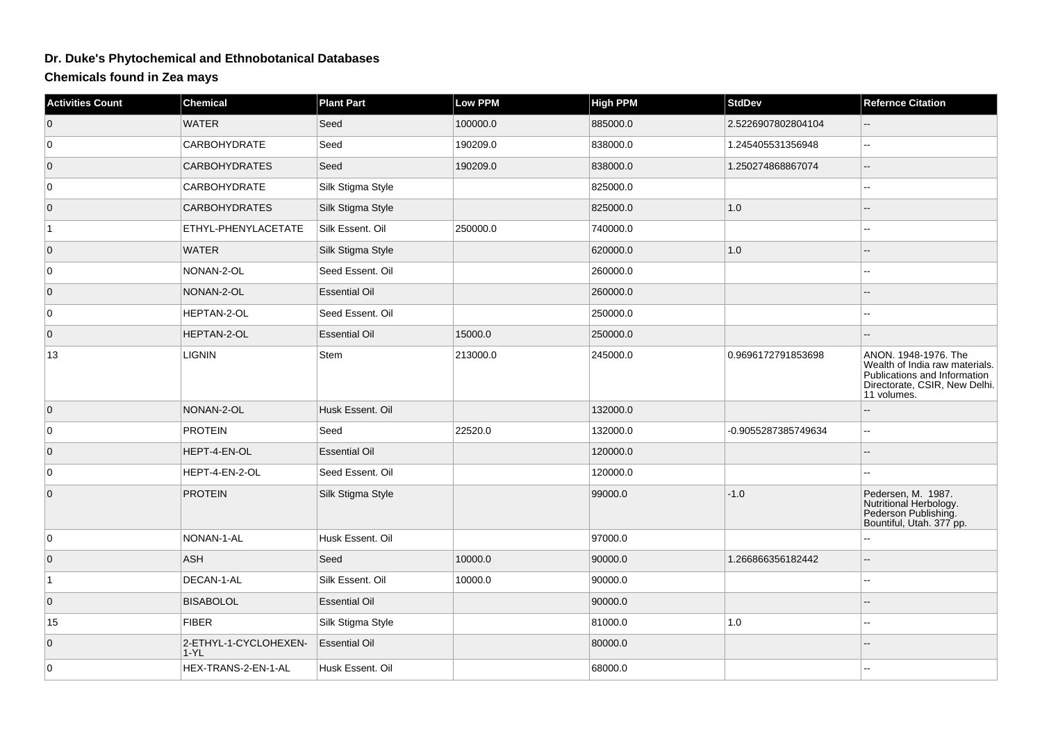## **Dr. Duke's Phytochemical and Ethnobotanical Databases**

## **Chemicals found in Zea mays**

| <b>Activities Count</b> | <b>Chemical</b>                 | <b>Plant Part</b>    | <b>Low PPM</b> | <b>High PPM</b> | <b>StdDev</b>       | <b>Refernce Citation</b>                                                                                                               |
|-------------------------|---------------------------------|----------------------|----------------|-----------------|---------------------|----------------------------------------------------------------------------------------------------------------------------------------|
| $\overline{0}$          | <b>WATER</b>                    | Seed                 | 100000.0       | 885000.0        | 2.5226907802804104  |                                                                                                                                        |
| 0                       | CARBOHYDRATE                    | Seed                 | 190209.0       | 838000.0        | 1.245405531356948   | $\overline{\phantom{a}}$                                                                                                               |
| $\overline{0}$          | <b>CARBOHYDRATES</b>            | Seed                 | 190209.0       | 838000.0        | 1.250274868867074   | $\overline{a}$                                                                                                                         |
| 0                       | <b>CARBOHYDRATE</b>             | Silk Stigma Style    |                | 825000.0        |                     |                                                                                                                                        |
| $\overline{0}$          | <b>CARBOHYDRATES</b>            | Silk Stigma Style    |                | 825000.0        | $1.0$               |                                                                                                                                        |
| $\vert$ 1               | ETHYL-PHENYLACETATE             | Silk Essent. Oil     | 250000.0       | 740000.0        |                     |                                                                                                                                        |
| $\overline{0}$          | <b>WATER</b>                    | Silk Stigma Style    |                | 620000.0        | 1.0                 |                                                                                                                                        |
| 0                       | NONAN-2-OL                      | Seed Essent. Oil     |                | 260000.0        |                     | --                                                                                                                                     |
| $\overline{0}$          | NONAN-2-OL                      | <b>Essential Oil</b> |                | 260000.0        |                     | --                                                                                                                                     |
| 0                       | HEPTAN-2-OL                     | Seed Essent. Oil     |                | 250000.0        |                     |                                                                                                                                        |
| $\overline{0}$          | <b>HEPTAN-2-OL</b>              | <b>Essential Oil</b> | 15000.0        | 250000.0        |                     | --                                                                                                                                     |
| 13                      | <b>LIGNIN</b>                   | Stem                 | 213000.0       | 245000.0        | 0.9696172791853698  | ANON. 1948-1976. The<br>Wealth of India raw materials.<br>Publications and Information<br>Directorate, CSIR, New Delhi.<br>11 volumes. |
| $\overline{0}$          | NONAN-2-OL                      | Husk Essent. Oil     |                | 132000.0        |                     | $\overline{a}$                                                                                                                         |
| 0                       | <b>PROTEIN</b>                  | Seed                 | 22520.0        | 132000.0        | -0.9055287385749634 | 44                                                                                                                                     |
| $\overline{0}$          | HEPT-4-EN-OL                    | <b>Essential Oil</b> |                | 120000.0        |                     | $-$                                                                                                                                    |
| 0                       | HEPT-4-EN-2-OL                  | Seed Essent. Oil     |                | 120000.0        |                     | --                                                                                                                                     |
| $\overline{0}$          | <b>PROTEIN</b>                  | Silk Stigma Style    |                | 99000.0         | $-1.0$              | Pedersen, M. 1987.<br>Nutritional Herbology.<br>Pederson Publishing.<br>Bountiful, Utah. 377 pp.                                       |
| 0                       | NONAN-1-AL                      | Husk Essent. Oil     |                | 97000.0         |                     |                                                                                                                                        |
| $\overline{0}$          | <b>ASH</b>                      | Seed                 | 10000.0        | 90000.0         | 1.266866356182442   | $-$                                                                                                                                    |
| $\vert$ 1               | DECAN-1-AL                      | Silk Essent. Oil     | 10000.0        | 90000.0         |                     | ۵.                                                                                                                                     |
| $\overline{0}$          | <b>BISABOLOL</b>                | <b>Essential Oil</b> |                | 90000.0         |                     |                                                                                                                                        |
| 15                      | <b>FIBER</b>                    | Silk Stigma Style    |                | 81000.0         | 1.0                 | ۵.                                                                                                                                     |
| $\overline{0}$          | 2-ETHYL-1-CYCLOHEXEN-<br>  1-YL | <b>Essential Oil</b> |                | 80000.0         |                     |                                                                                                                                        |
| 0                       | HEX-TRANS-2-EN-1-AL             | Husk Essent. Oil     |                | 68000.0         |                     |                                                                                                                                        |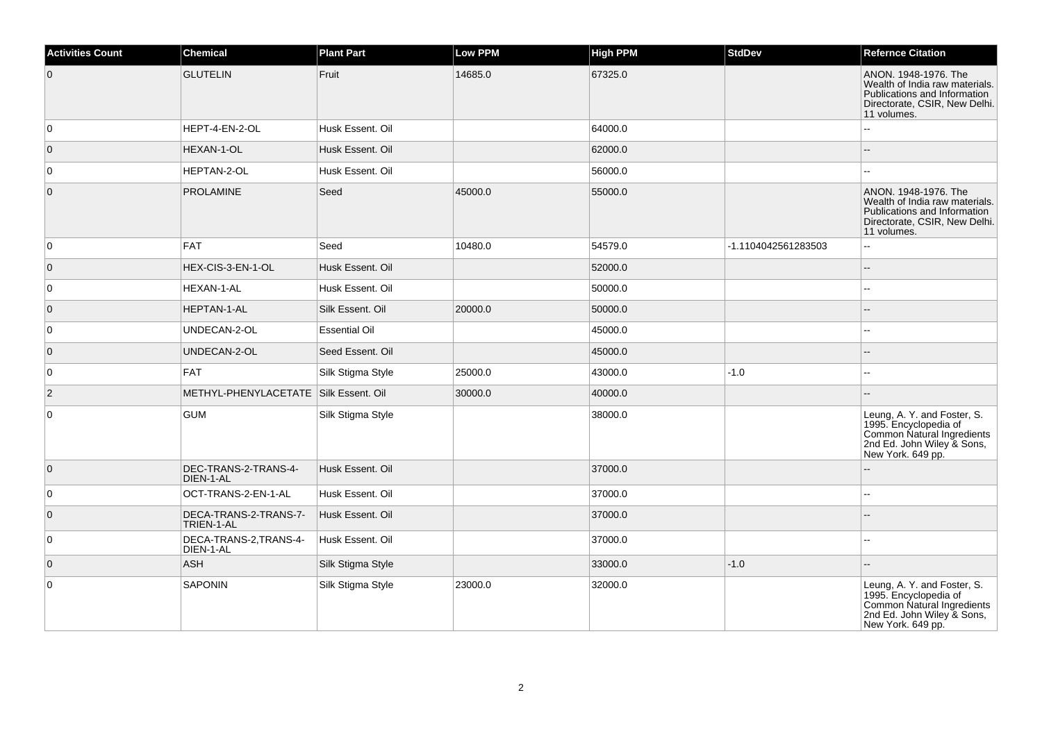| <b>Activities Count</b> | <b>Chemical</b>                       | <b>Plant Part</b>    | <b>Low PPM</b> | <b>High PPM</b> | <b>StdDev</b>       | <b>Refernce Citation</b>                                                                                                               |
|-------------------------|---------------------------------------|----------------------|----------------|-----------------|---------------------|----------------------------------------------------------------------------------------------------------------------------------------|
| $\overline{0}$          | <b>GLUTELIN</b>                       | Fruit                | 14685.0        | 67325.0         |                     | ANON. 1948-1976. The<br>Wealth of India raw materials.<br>Publications and Information<br>Directorate, CSIR, New Delhi.<br>11 volumes. |
| $\overline{0}$          | HEPT-4-EN-2-OL                        | Husk Essent, Oil     |                | 64000.0         |                     | шш.                                                                                                                                    |
| $\overline{0}$          | HEXAN-1-OL                            | Husk Essent. Oil     |                | 62000.0         |                     |                                                                                                                                        |
| 0                       | HEPTAN-2-OL                           | Husk Essent. Oil     |                | 56000.0         |                     |                                                                                                                                        |
| $\overline{0}$          | <b>PROLAMINE</b>                      | Seed                 | 45000.0        | 55000.0         |                     | ANON. 1948-1976. The<br>Wealth of India raw materials.<br>Publications and Information<br>Directorate, CSIR, New Delhi.<br>11 volumes. |
| 0                       | <b>FAT</b>                            | Seed                 | 10480.0        | 54579.0         | -1.1104042561283503 | Ξ.                                                                                                                                     |
| $\overline{0}$          | HEX-CIS-3-EN-1-OL                     | Husk Essent, Oil     |                | 52000.0         |                     | ۵.                                                                                                                                     |
| $\overline{0}$          | HEXAN-1-AL                            | Husk Essent. Oil     |                | 50000.0         |                     |                                                                                                                                        |
| $\overline{0}$          | HEPTAN-1-AL                           | Silk Essent. Oil     | 20000.0        | 50000.0         |                     |                                                                                                                                        |
| $\overline{0}$          | UNDECAN-2-OL                          | <b>Essential Oil</b> |                | 45000.0         |                     |                                                                                                                                        |
| $\overline{0}$          | UNDECAN-2-OL                          | Seed Essent. Oil     |                | 45000.0         |                     |                                                                                                                                        |
| $\overline{0}$          | <b>FAT</b>                            | Silk Stigma Style    | 25000.0        | 43000.0         | $-1.0$              | --                                                                                                                                     |
| $\overline{2}$          | METHYL-PHENYLACETATE Silk Essent. Oil |                      | 30000.0        | 40000.0         |                     |                                                                                                                                        |
| $\overline{0}$          | <b>GUM</b>                            | Silk Stigma Style    |                | 38000.0         |                     | Leung, A. Y. and Foster, S.<br>1995. Encyclopedia of<br>Common Natural Ingredients<br>2nd Ed. John Wiley & Sons,<br>New York. 649 pp.  |
| $\overline{0}$          | DEC-TRANS-2-TRANS-4-<br>DIEN-1-AL     | Husk Essent, Oil     |                | 37000.0         |                     | L.                                                                                                                                     |
| 0                       | OCT-TRANS-2-EN-1-AL                   | Husk Essent, Oil     |                | 37000.0         |                     | --                                                                                                                                     |
| $\overline{0}$          | DECA-TRANS-2-TRANS-7-<br>TRIEN-1-AL   | Husk Essent. Oil     |                | 37000.0         |                     |                                                                                                                                        |
| $\overline{0}$          | DECA-TRANS-2, TRANS-4-<br>DIEN-1-AL   | Husk Essent. Oil     |                | 37000.0         |                     |                                                                                                                                        |
| $\overline{0}$          | <b>ASH</b>                            | Silk Stigma Style    |                | 33000.0         | $-1.0$              |                                                                                                                                        |
| $\overline{0}$          | SAPONIN                               | Silk Stigma Style    | 23000.0        | 32000.0         |                     | Leung, A. Y. and Foster, S.<br>1995. Encyclopedia of<br>Common Natural Ingredients<br>2nd Ed. John Wiley & Sons,<br>New York. 649 pp.  |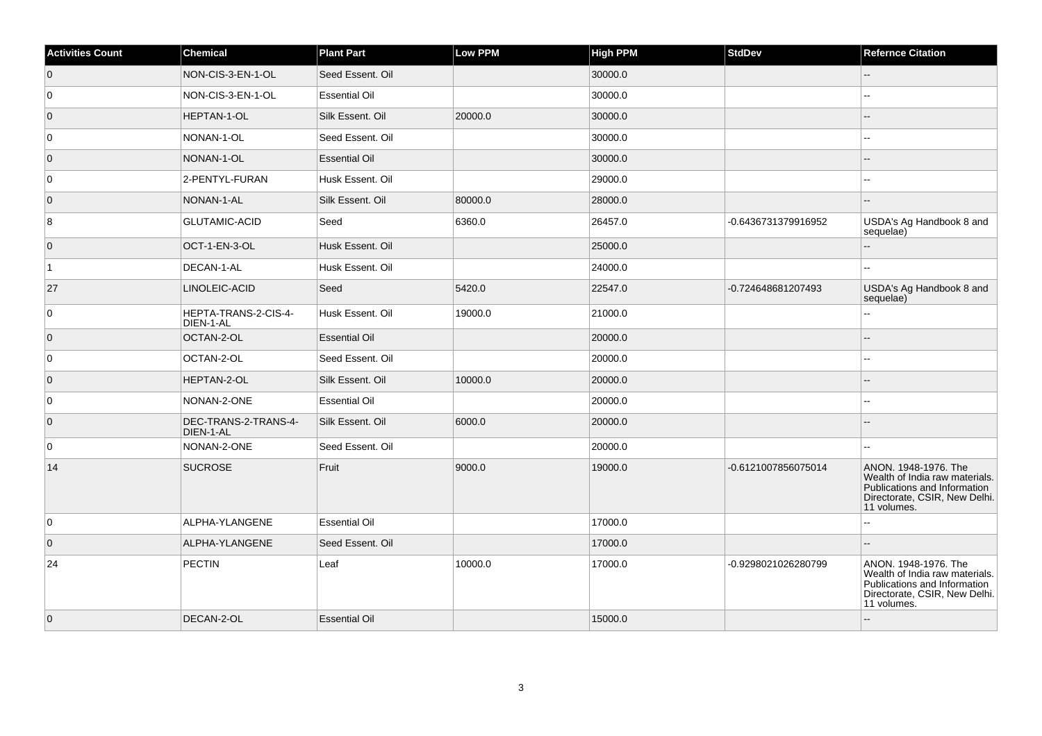| <b>Activities Count</b> | Chemical                          | <b>Plant Part</b>    | Low PPM | <b>High PPM</b> | <b>StdDev</b>       | <b>Refernce Citation</b>                                                                                                               |
|-------------------------|-----------------------------------|----------------------|---------|-----------------|---------------------|----------------------------------------------------------------------------------------------------------------------------------------|
| $\overline{0}$          | NON-CIS-3-EN-1-OL                 | Seed Essent. Oil     |         | 30000.0         |                     | --                                                                                                                                     |
| 0                       | NON-CIS-3-EN-1-OL                 | <b>Essential Oil</b> |         | 30000.0         |                     |                                                                                                                                        |
| $\overline{0}$          | HEPTAN-1-OL                       | Silk Essent. Oil     | 20000.0 | 30000.0         |                     |                                                                                                                                        |
| 0                       | NONAN-1-OL                        | Seed Essent, Oil     |         | 30000.0         |                     | --                                                                                                                                     |
| $\overline{0}$          | NONAN-1-OL                        | <b>Essential Oil</b> |         | 30000.0         |                     |                                                                                                                                        |
| 0                       | 2-PENTYL-FURAN                    | Husk Essent. Oil     |         | 29000.0         |                     |                                                                                                                                        |
| $\overline{0}$          | NONAN-1-AL                        | Silk Essent. Oil     | 80000.0 | 28000.0         |                     |                                                                                                                                        |
| $\bf 8$                 | <b>GLUTAMIC-ACID</b>              | Seed                 | 6360.0  | 26457.0         | -0.6436731379916952 | USDA's Ag Handbook 8 and<br>sequelae)                                                                                                  |
| $\overline{0}$          | OCT-1-EN-3-OL                     | Husk Essent. Oil     |         | 25000.0         |                     | --                                                                                                                                     |
| $\vert$ 1               | DECAN-1-AL                        | Husk Essent. Oil     |         | 24000.0         |                     |                                                                                                                                        |
| 27                      | LINOLEIC-ACID                     | Seed                 | 5420.0  | 22547.0         | -0.724648681207493  | USDA's Ag Handbook 8 and<br>sequelae)                                                                                                  |
| $\overline{0}$          | HEPTA-TRANS-2-CIS-4-<br>DIEN-1-AL | Husk Essent. Oil     | 19000.0 | 21000.0         |                     |                                                                                                                                        |
| $\overline{0}$          | OCTAN-2-OL                        | <b>Essential Oil</b> |         | 20000.0         |                     |                                                                                                                                        |
| 0                       | OCTAN-2-OL                        | Seed Essent. Oil     |         | 20000.0         |                     |                                                                                                                                        |
| $\overline{0}$          | HEPTAN-2-OL                       | Silk Essent, Oil     | 10000.0 | 20000.0         |                     |                                                                                                                                        |
| $\overline{0}$          | NONAN-2-ONE                       | <b>Essential Oil</b> |         | 20000.0         |                     |                                                                                                                                        |
| $\overline{0}$          | DEC-TRANS-2-TRANS-4-<br>DIEN-1-AL | Silk Essent. Oil     | 6000.0  | 20000.0         |                     |                                                                                                                                        |
| $\overline{0}$          | NONAN-2-ONE                       | Seed Essent, Oil     |         | 20000.0         |                     | --                                                                                                                                     |
| 14                      | <b>SUCROSE</b>                    | Fruit                | 9000.0  | 19000.0         | -0.6121007856075014 | ANON. 1948-1976. The<br>Wealth of India raw materials.<br>Publications and Information<br>Directorate, CSIR, New Delhi.<br>11 volumes. |
| $\overline{0}$          | ALPHA-YLANGENE                    | <b>Essential Oil</b> |         | 17000.0         |                     |                                                                                                                                        |
| $\overline{0}$          | ALPHA-YLANGENE                    | Seed Essent. Oil     |         | 17000.0         |                     |                                                                                                                                        |
| 24                      | <b>PECTIN</b>                     | Leaf                 | 10000.0 | 17000.0         | -0.9298021026280799 | ANON. 1948-1976. The<br>Wealth of India raw materials.<br>Publications and Information<br>Directorate, CSIR, New Delhi.<br>11 volumes. |
| $\overline{0}$          | DECAN-2-OL                        | <b>Essential Oil</b> |         | 15000.0         |                     |                                                                                                                                        |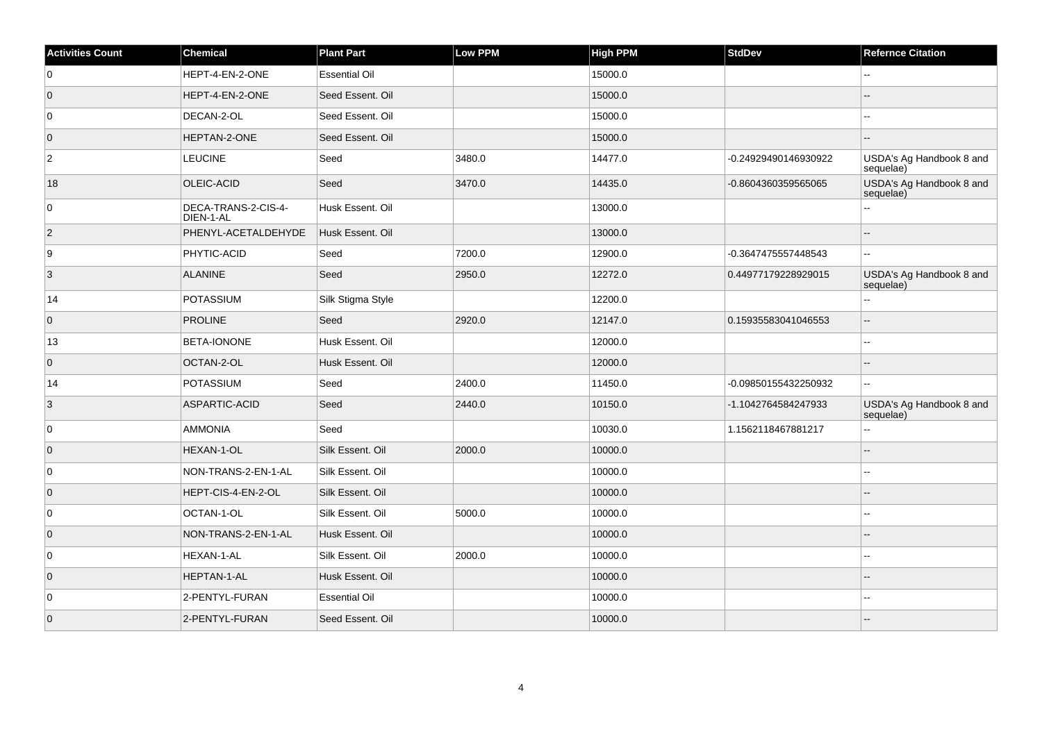| <b>Activities Count</b> | Chemical                         | <b>Plant Part</b>    | Low PPM | <b>High PPM</b> | <b>StdDev</b>        | <b>Refernce Citation</b>              |
|-------------------------|----------------------------------|----------------------|---------|-----------------|----------------------|---------------------------------------|
| $\overline{0}$          | HEPT-4-EN-2-ONE                  | <b>Essential Oil</b> |         | 15000.0         |                      |                                       |
| $\overline{0}$          | HEPT-4-EN-2-ONE                  | Seed Essent. Oil     |         | 15000.0         |                      |                                       |
| $\overline{0}$          | DECAN-2-OL                       | Seed Essent. Oil     |         | 15000.0         |                      | --                                    |
| $\overline{0}$          | HEPTAN-2-ONE                     | Seed Essent. Oil     |         | 15000.0         |                      |                                       |
| $\overline{2}$          | <b>LEUCINE</b>                   | Seed                 | 3480.0  | 14477.0         | -0.24929490146930922 | USDA's Ag Handbook 8 and<br>sequelae) |
| 18                      | <b>OLEIC-ACID</b>                | Seed                 | 3470.0  | 14435.0         | -0.8604360359565065  | USDA's Ag Handbook 8 and<br>sequelae) |
| $\overline{0}$          | DECA-TRANS-2-CIS-4-<br>DIEN-1-AL | Husk Essent. Oil     |         | 13000.0         |                      | 44                                    |
| $ 2\rangle$             | PHENYL-ACETALDEHYDE              | Husk Essent. Oil     |         | 13000.0         |                      | $-$                                   |
| 9                       | <b>PHYTIC-ACID</b>               | Seed                 | 7200.0  | 12900.0         | -0.3647475557448543  | $-1$                                  |
| $\overline{3}$          | <b>ALANINE</b>                   | Seed                 | 2950.0  | 12272.0         | 0.44977179228929015  | USDA's Ag Handbook 8 and<br>sequelae) |
| 14                      | <b>POTASSIUM</b>                 | Silk Stigma Style    |         | 12200.0         |                      |                                       |
| $\overline{0}$          | <b>PROLINE</b>                   | Seed                 | 2920.0  | 12147.0         | 0.15935583041046553  | ш,                                    |
| 13                      | BETA-IONONE                      | Husk Essent. Oil     |         | 12000.0         |                      | ۵.                                    |
| $\overline{0}$          | OCTAN-2-OL                       | Husk Essent. Oil     |         | 12000.0         |                      |                                       |
| 14                      | <b>POTASSIUM</b>                 | Seed                 | 2400.0  | 11450.0         | -0.09850155432250932 | $\overline{\phantom{a}}$              |
| $\vert$ 3               | ASPARTIC-ACID                    | Seed                 | 2440.0  | 10150.0         | -1.1042764584247933  | USDA's Ag Handbook 8 and<br>sequelae) |
| $\overline{0}$          | <b>AMMONIA</b>                   | Seed                 |         | 10030.0         | 1.1562118467881217   | Ц,                                    |
| $\overline{0}$          | HEXAN-1-OL                       | Silk Essent. Oil     | 2000.0  | 10000.0         |                      |                                       |
| 0                       | NON-TRANS-2-EN-1-AL              | Silk Essent, Oil     |         | 10000.0         |                      | --                                    |
| $\overline{0}$          | HEPT-CIS-4-EN-2-OL               | Silk Essent. Oil     |         | 10000.0         |                      |                                       |
| 0                       | OCTAN-1-OL                       | Silk Essent. Oil     | 5000.0  | 10000.0         |                      | --                                    |
| $\overline{0}$          | NON-TRANS-2-EN-1-AL              | Husk Essent. Oil     |         | 10000.0         |                      |                                       |
| $\overline{0}$          | HEXAN-1-AL                       | Silk Essent. Oil     | 2000.0  | 10000.0         |                      |                                       |
| $\overline{0}$          | <b>HEPTAN-1-AL</b>               | Husk Essent. Oil     |         | 10000.0         |                      |                                       |
| $\overline{0}$          | 2-PENTYL-FURAN                   | <b>Essential Oil</b> |         | 10000.0         |                      |                                       |
| $\overline{0}$          | 2-PENTYL-FURAN                   | Seed Essent, Oil     |         | 10000.0         |                      |                                       |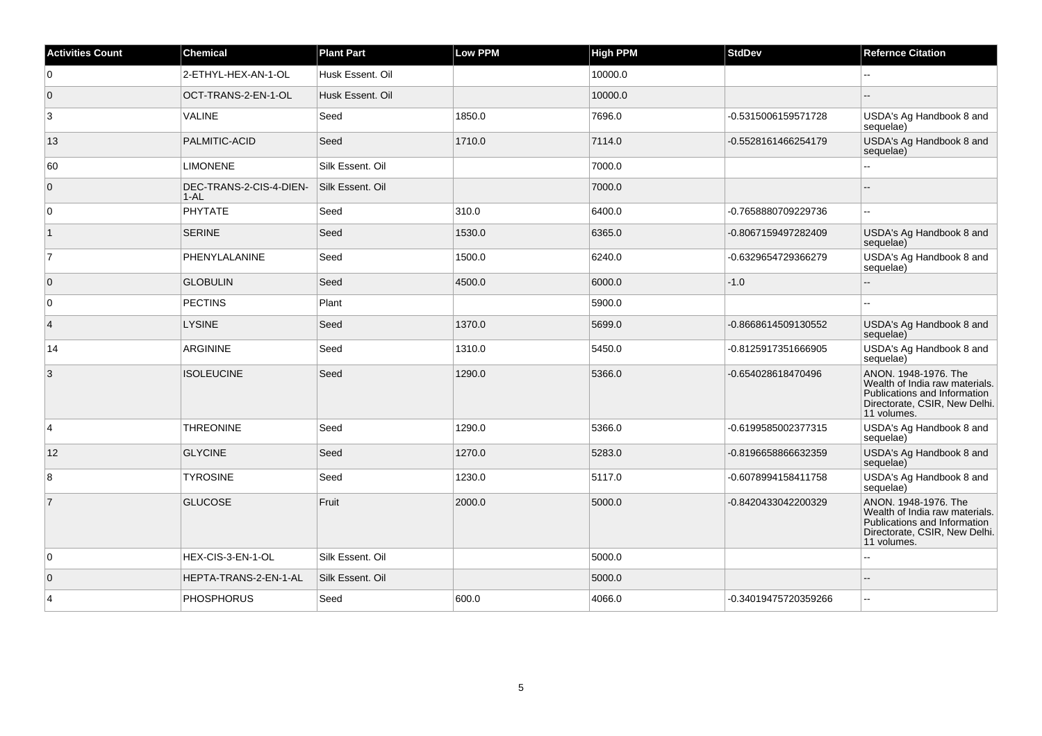| <b>Activities Count</b> | <b>Chemical</b>                     | <b>Plant Part</b> | <b>Low PPM</b> | <b>High PPM</b> | <b>StdDev</b>        | <b>Refernce Citation</b>                                                                                                               |
|-------------------------|-------------------------------------|-------------------|----------------|-----------------|----------------------|----------------------------------------------------------------------------------------------------------------------------------------|
| $\overline{0}$          | 2-ETHYL-HEX-AN-1-OL                 | Husk Essent. Oil  |                | 10000.0         |                      | $\overline{a}$                                                                                                                         |
| $\overline{0}$          | OCT-TRANS-2-EN-1-OL                 | Husk Essent. Oil  |                | 10000.0         |                      | $\overline{a}$                                                                                                                         |
| 3                       | VALINE                              | Seed              | 1850.0         | 7696.0          | -0.5315006159571728  | USDA's Ag Handbook 8 and<br>sequelae)                                                                                                  |
| 13                      | PALMITIC-ACID                       | Seed              | 1710.0         | 7114.0          | -0.5528161466254179  | USDA's Ag Handbook 8 and<br>sequelae)                                                                                                  |
| 60                      | <b>LIMONENE</b>                     | Silk Essent, Oil  |                | 7000.0          |                      | Ξ.                                                                                                                                     |
| $\overline{0}$          | DEC-TRANS-2-CIS-4-DIEN-<br>$1 - AL$ | Silk Essent, Oil  |                | 7000.0          |                      |                                                                                                                                        |
| $\overline{0}$          | <b>PHYTATE</b>                      | Seed              | 310.0          | 6400.0          | -0.7658880709229736  | $\overline{\phantom{a}}$                                                                                                               |
| $\vert$ 1               | <b>SERINE</b>                       | Seed              | 1530.0         | 6365.0          | -0.8067159497282409  | USDA's Ag Handbook 8 and<br>sequelae)                                                                                                  |
| $\overline{7}$          | PHENYLALANINE                       | Seed              | 1500.0         | 6240.0          | -0.6329654729366279  | USDA's Ag Handbook 8 and<br>sequelae)                                                                                                  |
| $\overline{0}$          | <b>GLOBULIN</b>                     | Seed              | 4500.0         | 6000.0          | $-1.0$               | ۵.                                                                                                                                     |
| 0                       | PECTINS                             | Plant             |                | 5900.0          |                      | L.                                                                                                                                     |
| $\overline{4}$          | <b>LYSINE</b>                       | Seed              | 1370.0         | 5699.0          | -0.8668614509130552  | USDA's Ag Handbook 8 and<br>sequelae)                                                                                                  |
| 14                      | ARGININE                            | Seed              | 1310.0         | 5450.0          | -0.8125917351666905  | USDA's Ag Handbook 8 and<br>sequelae)                                                                                                  |
| 3                       | <b>ISOLEUCINE</b>                   | Seed              | 1290.0         | 5366.0          | -0.654028618470496   | ANON. 1948-1976. The<br>Wealth of India raw materials.<br>Publications and Information<br>Directorate, CSIR, New Delhi.<br>11 volumes. |
| $\overline{4}$          | <b>THREONINE</b>                    | Seed              | 1290.0         | 5366.0          | -0.6199585002377315  | USDA's Ag Handbook 8 and<br>sequelae)                                                                                                  |
| 12                      | <b>GLYCINE</b>                      | Seed              | 1270.0         | 5283.0          | -0.8196658866632359  | USDA's Ag Handbook 8 and<br>sequelae)                                                                                                  |
| 8                       | <b>TYROSINE</b>                     | Seed              | 1230.0         | 5117.0          | -0.6078994158411758  | USDA's Ag Handbook 8 and<br>sequelae)                                                                                                  |
| $\overline{7}$          | <b>GLUCOSE</b>                      | Fruit             | 2000.0         | 5000.0          | -0.8420433042200329  | ANON. 1948-1976. The<br>Wealth of India raw materials.<br>Publications and Information<br>Directorate, CSIR, New Delhi.<br>11 volumes. |
| $\overline{0}$          | HEX-CIS-3-EN-1-OL                   | Silk Essent. Oil  |                | 5000.0          |                      | L.                                                                                                                                     |
| $\overline{0}$          | HEPTA-TRANS-2-EN-1-AL               | Silk Essent. Oil  |                | 5000.0          |                      |                                                                                                                                        |
| $\overline{4}$          | <b>PHOSPHORUS</b>                   | Seed              | 600.0          | 4066.0          | -0.34019475720359266 | --                                                                                                                                     |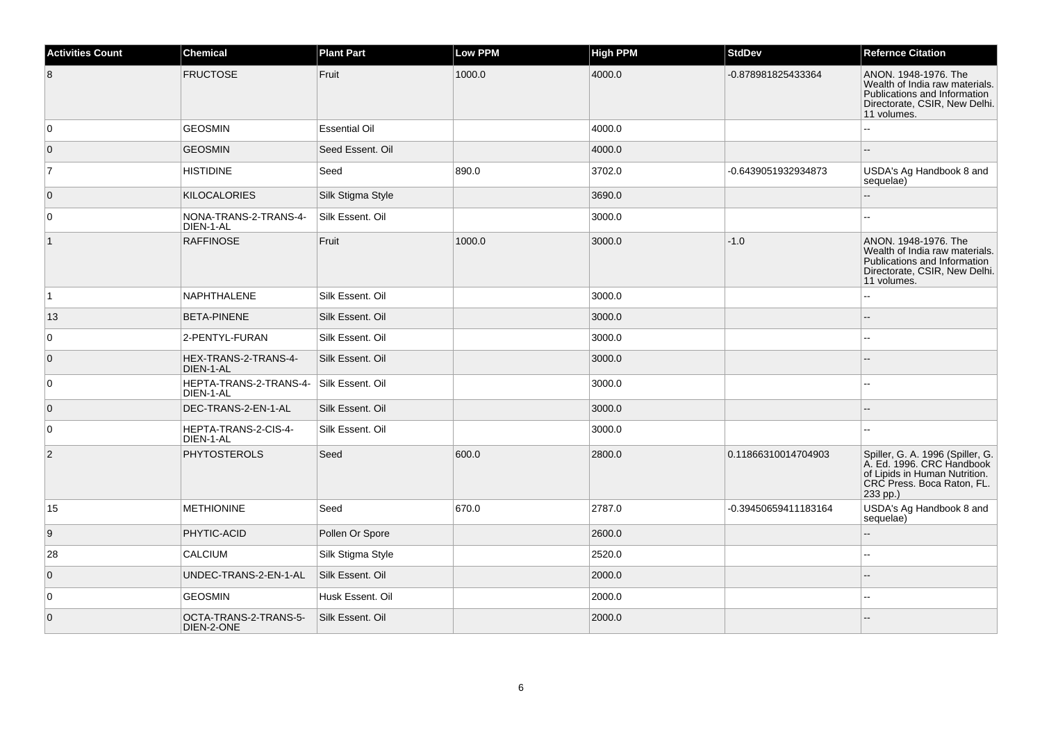| <b>Activities Count</b> | <b>Chemical</b>                     | <b>Plant Part</b>    | <b>Low PPM</b> | <b>High PPM</b> | <b>StdDev</b>        | <b>Refernce Citation</b>                                                                                                                 |
|-------------------------|-------------------------------------|----------------------|----------------|-----------------|----------------------|------------------------------------------------------------------------------------------------------------------------------------------|
| 8                       | <b>FRUCTOSE</b>                     | Fruit                | 1000.0         | 4000.0          | -0.878981825433364   | ANON. 1948-1976. The<br>Wealth of India raw materials.<br>Publications and Information<br>Directorate, CSIR, New Delhi.<br>11 volumes.   |
| $\mathbf 0$             | <b>GEOSMIN</b>                      | <b>Essential Oil</b> |                | 4000.0          |                      | L.                                                                                                                                       |
| $\mathbf 0$             | <b>GEOSMIN</b>                      | Seed Essent. Oil     |                | 4000.0          |                      |                                                                                                                                          |
| $\overline{7}$          | <b>HISTIDINE</b>                    | Seed                 | 890.0          | 3702.0          | -0.6439051932934873  | USDA's Ag Handbook 8 and<br>sequelae)                                                                                                    |
| $\overline{0}$          | <b>KILOCALORIES</b>                 | Silk Stigma Style    |                | 3690.0          |                      |                                                                                                                                          |
| 0                       | NONA-TRANS-2-TRANS-4-<br>DIEN-1-AL  | Silk Essent. Oil     |                | 3000.0          |                      | $\overline{a}$                                                                                                                           |
| $\vert$ 1               | <b>RAFFINOSE</b>                    | Fruit                | 1000.0         | 3000.0          | $-1.0$               | ANON. 1948-1976. The<br>Wealth of India raw materials.<br>Publications and Information<br>Directorate, CSIR, New Delhi.<br>11 volumes.   |
| $\vert$ 1               | NAPHTHALENE                         | Silk Essent. Oil     |                | 3000.0          |                      | L.                                                                                                                                       |
| 13                      | <b>BETA-PINENE</b>                  | Silk Essent. Oil     |                | 3000.0          |                      |                                                                                                                                          |
| 0                       | 2-PENTYL-FURAN                      | Silk Essent. Oil     |                | 3000.0          |                      | --                                                                                                                                       |
| $\overline{0}$          | HEX-TRANS-2-TRANS-4-<br>DIEN-1-AL   | Silk Essent. Oil     |                | 3000.0          |                      |                                                                                                                                          |
| 0                       | HEPTA-TRANS-2-TRANS-4-<br>DIEN-1-AL | Silk Essent. Oil     |                | 3000.0          |                      |                                                                                                                                          |
| $\mathbf{0}$            | DEC-TRANS-2-EN-1-AL                 | Silk Essent, Oil     |                | 3000.0          |                      |                                                                                                                                          |
| 0                       | HEPTA-TRANS-2-CIS-4-<br>DIEN-1-AL   | Silk Essent, Oil     |                | 3000.0          |                      |                                                                                                                                          |
| $\overline{c}$          | <b>PHYTOSTEROLS</b>                 | Seed                 | 600.0          | 2800.0          | 0.11866310014704903  | Spiller, G. A. 1996 (Spiller, G.<br>A. Ed. 1996. CRC Handbook<br>of Lipids in Human Nutrition.<br>CRC Press. Boca Raton, FL.<br>233 pp.) |
| 15                      | <b>METHIONINE</b>                   | Seed                 | 670.0          | 2787.0          | -0.39450659411183164 | USDA's Ag Handbook 8 and<br>sequelae)                                                                                                    |
| 9                       | PHYTIC-ACID                         | Pollen Or Spore      |                | 2600.0          |                      | L.                                                                                                                                       |
| 28                      | CALCIUM                             | Silk Stigma Style    |                | 2520.0          |                      | ۵.                                                                                                                                       |
| $\mathbf 0$             | UNDEC-TRANS-2-EN-1-AL               | Silk Essent. Oil     |                | 2000.0          |                      |                                                                                                                                          |
| 0                       | <b>GEOSMIN</b>                      | Husk Essent. Oil     |                | 2000.0          |                      | шш.                                                                                                                                      |
| $\mathbf 0$             | OCTA-TRANS-2-TRANS-5-<br>DIEN-2-ONE | Silk Essent. Oil     |                | 2000.0          |                      |                                                                                                                                          |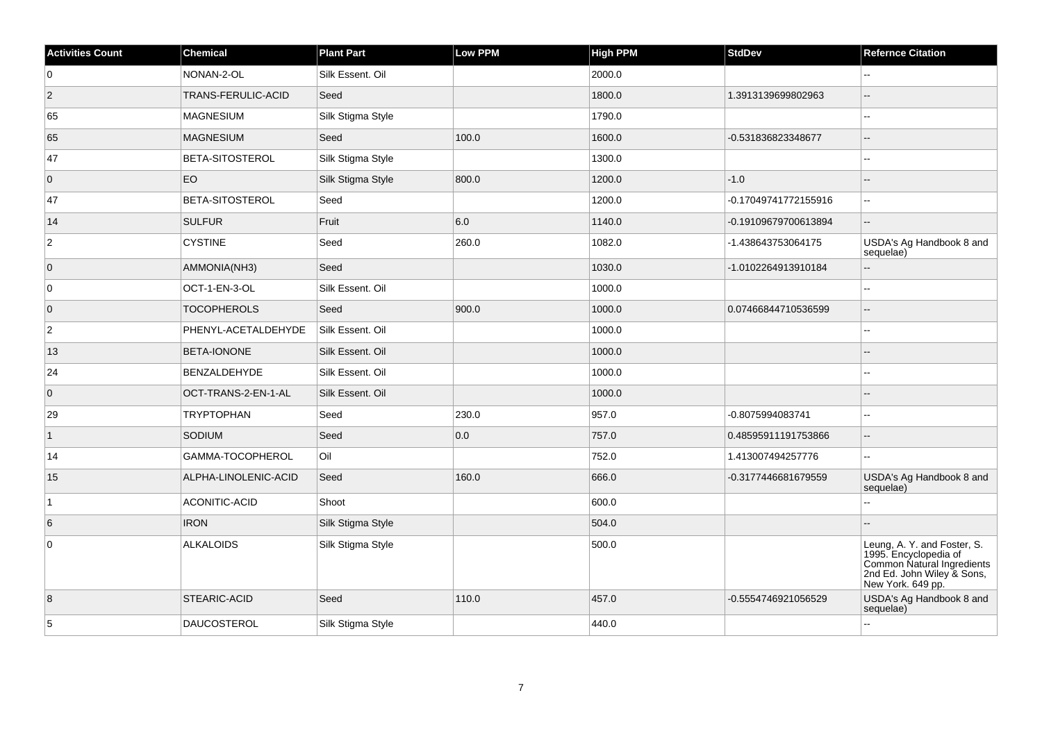| <b>Activities Count</b> | <b>Chemical</b>      | <b>Plant Part</b> | <b>Low PPM</b> | <b>High PPM</b> | <b>StdDev</b>        | <b>Refernce Citation</b>                                                                                                              |
|-------------------------|----------------------|-------------------|----------------|-----------------|----------------------|---------------------------------------------------------------------------------------------------------------------------------------|
| 0                       | NONAN-2-OL           | Silk Essent. Oil  |                | 2000.0          |                      | Щ,                                                                                                                                    |
| $\overline{2}$          | TRANS-FERULIC-ACID   | Seed              |                | 1800.0          | 1.3913139699802963   | --                                                                                                                                    |
| 65                      | MAGNESIUM            | Silk Stigma Style |                | 1790.0          |                      | Щ,                                                                                                                                    |
| 65                      | <b>MAGNESIUM</b>     | Seed              | 100.0          | 1600.0          | -0.531836823348677   | $-$                                                                                                                                   |
| 47                      | BETA-SITOSTEROL      | Silk Stigma Style |                | 1300.0          |                      | ۵.                                                                                                                                    |
| $\overline{0}$          | <b>EO</b>            | Silk Stigma Style | 800.0          | 1200.0          | $-1.0$               |                                                                                                                                       |
| 47                      | BETA-SITOSTEROL      | Seed              |                | 1200.0          | -0.17049741772155916 | --                                                                                                                                    |
| 14                      | <b>SULFUR</b>        | Fruit             | 6.0            | 1140.0          | -0.19109679700613894 | ш,                                                                                                                                    |
| $\overline{2}$          | <b>CYSTINE</b>       | Seed              | 260.0          | 1082.0          | -1.438643753064175   | USDA's Ag Handbook 8 and<br>sequelae)                                                                                                 |
| $\overline{0}$          | AMMONIA(NH3)         | Seed              |                | 1030.0          | -1.0102264913910184  | Ξ.                                                                                                                                    |
| $\overline{0}$          | OCT-1-EN-3-OL        | Silk Essent. Oil  |                | 1000.0          |                      | ۵.                                                                                                                                    |
| $\overline{0}$          | <b>TOCOPHEROLS</b>   | Seed              | 900.0          | 1000.0          | 0.07466844710536599  | L.                                                                                                                                    |
| $\overline{2}$          | PHENYL-ACETALDEHYDE  | Silk Essent, Oil  |                | 1000.0          |                      | ۵.                                                                                                                                    |
| 13                      | <b>BETA-IONONE</b>   | Silk Essent. Oil  |                | 1000.0          |                      |                                                                                                                                       |
| 24                      | BENZALDEHYDE         | Silk Essent. Oil  |                | 1000.0          |                      |                                                                                                                                       |
| $\overline{0}$          | OCT-TRANS-2-EN-1-AL  | Silk Essent, Oil  |                | 1000.0          |                      |                                                                                                                                       |
| 29                      | <b>TRYPTOPHAN</b>    | Seed              | 230.0          | 957.0           | -0.8075994083741     | --                                                                                                                                    |
| $\mathbf{1}$            | SODIUM               | Seed              | 0.0            | 757.0           | 0.48595911191753866  | Ξ.                                                                                                                                    |
| 14                      | GAMMA-TOCOPHEROL     | Oil               |                | 752.0           | 1.413007494257776    | $\mathbf{u}$                                                                                                                          |
| 15                      | ALPHA-LINOLENIC-ACID | Seed              | 160.0          | 666.0           | -0.3177446681679559  | USDA's Ag Handbook 8 and<br>sequelae)                                                                                                 |
| 1                       | ACONITIC-ACID        | Shoot             |                | 600.0           |                      | L.                                                                                                                                    |
| 6                       | <b>IRON</b>          | Silk Stigma Style |                | 504.0           |                      |                                                                                                                                       |
| $\overline{0}$          | <b>ALKALOIDS</b>     | Silk Stigma Style |                | 500.0           |                      | Leung, A. Y. and Foster, S.<br>1995. Encyclopedia of<br>Common Natural Ingredients<br>2nd Ed. John Wiley & Sons,<br>New York. 649 pp. |
| 8                       | STEARIC-ACID         | Seed              | 110.0          | 457.0           | -0.5554746921056529  | USDA's Ag Handbook 8 and<br>sequelae)                                                                                                 |
| 5                       | <b>DAUCOSTEROL</b>   | Silk Stigma Style |                | 440.0           |                      | L.                                                                                                                                    |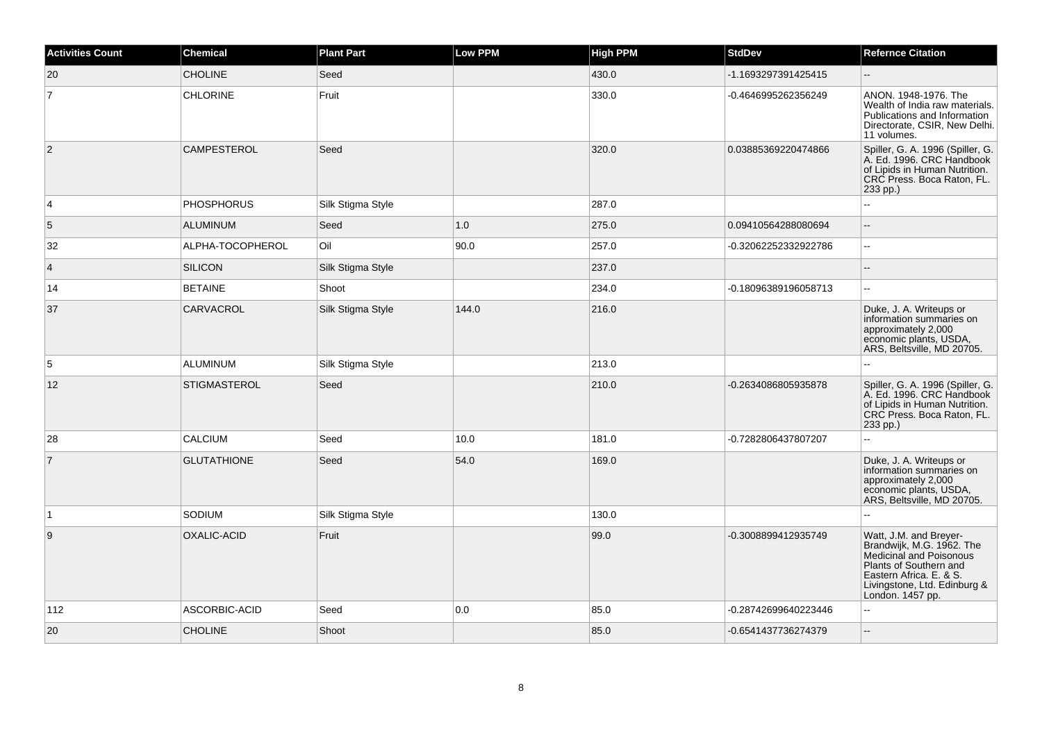| <b>Activities Count</b> | <b>Chemical</b>     | <b>Plant Part</b> | <b>Low PPM</b> | <b>High PPM</b> | <b>StdDev</b>        | <b>Refernce Citation</b>                                                                                                                                                                |
|-------------------------|---------------------|-------------------|----------------|-----------------|----------------------|-----------------------------------------------------------------------------------------------------------------------------------------------------------------------------------------|
| 20                      | <b>CHOLINE</b>      | Seed              |                | 430.0           | -1.1693297391425415  | $\overline{\phantom{a}}$                                                                                                                                                                |
| $\overline{7}$          | <b>CHLORINE</b>     | Fruit             |                | 330.0           | -0.4646995262356249  | ANON. 1948-1976. The<br>Wealth of India raw materials.<br>Publications and Information<br>Directorate, CSIR, New Delhi.<br>11 volumes.                                                  |
| $\overline{2}$          | <b>CAMPESTEROL</b>  | Seed              |                | 320.0           | 0.03885369220474866  | Spiller, G. A. 1996 (Spiller, G.<br>A. Ed. 1996. CRC Handbook<br>of Lipids in Human Nutrition.<br>CRC Press. Boca Raton, FL.<br>233 pp.)                                                |
| $\overline{4}$          | <b>PHOSPHORUS</b>   | Silk Stigma Style |                | 287.0           |                      | $\sim$ $\sim$                                                                                                                                                                           |
| 5                       | <b>ALUMINUM</b>     | Seed              | 1.0            | 275.0           | 0.09410564288080694  | $\overline{\phantom{a}}$                                                                                                                                                                |
| 32                      | ALPHA-TOCOPHEROL    | Oil               | 90.0           | 257.0           | -0.32062252332922786 | $\mathbf{H}$                                                                                                                                                                            |
| $\overline{4}$          | <b>SILICON</b>      | Silk Stigma Style |                | 237.0           |                      | $\overline{a}$                                                                                                                                                                          |
| 14                      | <b>BETAINE</b>      | Shoot             |                | 234.0           | -0.18096389196058713 | $\ddotsc$                                                                                                                                                                               |
| 37                      | <b>CARVACROL</b>    | Silk Stigma Style | 144.0          | 216.0           |                      | Duke, J. A. Writeups or<br>information summaries on<br>approximately 2,000<br>economic plants, USDA,<br>ARS, Beltsville, MD 20705.                                                      |
| 5                       | <b>ALUMINUM</b>     | Silk Stigma Style |                | 213.0           |                      | $\sim$                                                                                                                                                                                  |
| 12                      | <b>STIGMASTEROL</b> | Seed              |                | 210.0           | -0.2634086805935878  | Spiller, G. A. 1996 (Spiller, G.<br>A. Ed. 1996. CRC Handbook<br>of Lipids in Human Nutrition.<br>CRC Press. Boca Raton, FL.<br>233 pp.)                                                |
| 28                      | CALCIUM             | Seed              | 10.0           | 181.0           | -0.7282806437807207  | $\mathbb{Z}^2$                                                                                                                                                                          |
| $\overline{7}$          | <b>GLUTATHIONE</b>  | Seed              | 54.0           | 169.0           |                      | Duke, J. A. Writeups or<br>information summaries on<br>approximately 2,000<br>economic plants, USDA,<br>ARS, Beltsville, MD 20705.                                                      |
| $\overline{1}$          | SODIUM              | Silk Stigma Style |                | 130.0           |                      |                                                                                                                                                                                         |
| $\overline{9}$          | OXALIC-ACID         | Fruit             |                | 99.0            | -0.3008899412935749  | Watt, J.M. and Breyer-<br>Brandwijk, M.G. 1962. The<br>Medicinal and Poisonous<br>Plants of Southern and<br>Eastern Africa. E. & S.<br>Livingstone, Ltd. Edinburg &<br>London. 1457 pp. |
| 112                     | ASCORBIC-ACID       | Seed              | 0.0            | 85.0            | -0.28742699640223446 | $\sim$ $\sim$                                                                                                                                                                           |
| 20                      | <b>CHOLINE</b>      | Shoot             |                | 85.0            | -0.6541437736274379  | $\overline{a}$                                                                                                                                                                          |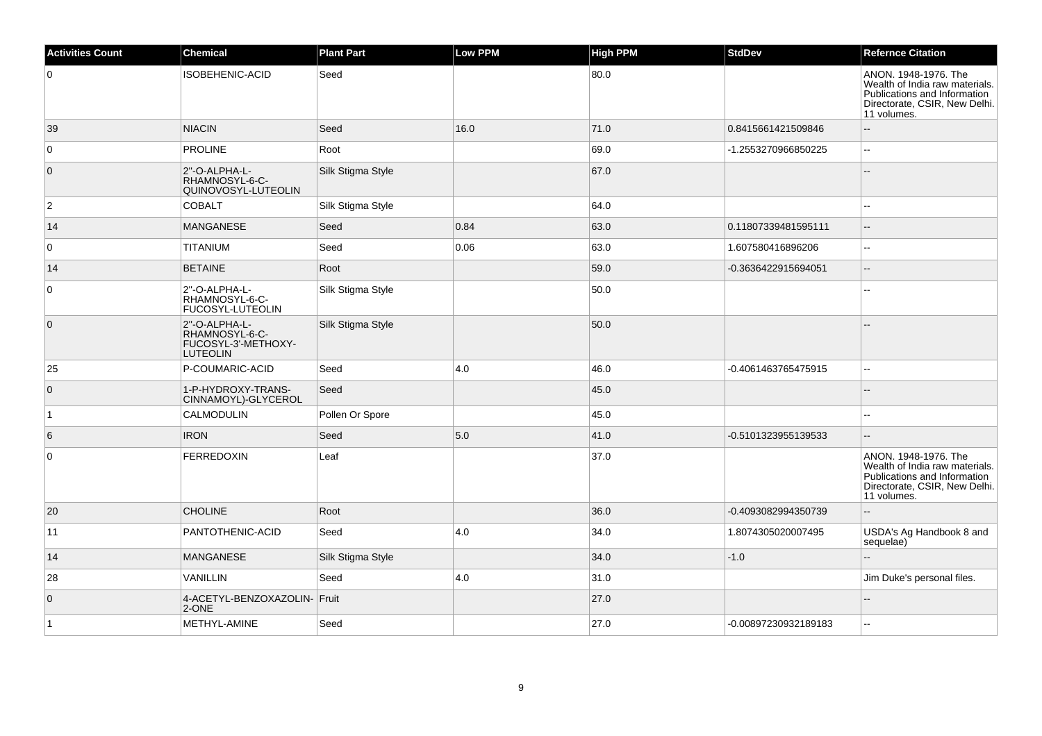| <b>Activities Count</b> | <b>Chemical</b>                                                           | <b>Plant Part</b> | <b>Low PPM</b> | <b>High PPM</b> | <b>StdDev</b>        | <b>Refernce Citation</b>                                                                                                               |
|-------------------------|---------------------------------------------------------------------------|-------------------|----------------|-----------------|----------------------|----------------------------------------------------------------------------------------------------------------------------------------|
| $\overline{0}$          | <b>ISOBEHENIC-ACID</b>                                                    | Seed              |                | 80.0            |                      | ANON. 1948-1976. The<br>Wealth of India raw materials.<br>Publications and Information<br>Directorate, CSIR, New Delhi.<br>11 volumes. |
| 39                      | <b>NIACIN</b>                                                             | Seed              | 16.0           | 71.0            | 0.8415661421509846   |                                                                                                                                        |
| $\overline{0}$          | PROLINE                                                                   | Root              |                | 69.0            | -1.2553270966850225  |                                                                                                                                        |
| $\overline{0}$          | 2"-O-ALPHA-L-<br>RHAMNOSYL-6-C-<br>QUINOVOSYL-LUTEOLIN                    | Silk Stigma Style |                | 67.0            |                      |                                                                                                                                        |
| $\overline{2}$          | <b>COBALT</b>                                                             | Silk Stigma Style |                | 64.0            |                      |                                                                                                                                        |
| 14                      | <b>MANGANESE</b>                                                          | Seed              | 0.84           | 63.0            | 0.11807339481595111  | $\overline{\phantom{a}}$                                                                                                               |
| $\overline{0}$          | TITANIUM                                                                  | Seed              | 0.06           | 63.0            | 1.607580416896206    | $\sim$                                                                                                                                 |
| 14                      | <b>BETAINE</b>                                                            | Root              |                | 59.0            | -0.3636422915694051  | $\overline{\phantom{a}}$                                                                                                               |
| $\overline{0}$          | 2"-O-ALPHA-L-<br>RHAMNOSYL-6-C-<br>FUCOSYL-LUTEOLIN                       | Silk Stigma Style |                | 50.0            |                      |                                                                                                                                        |
| $\overline{0}$          | 2"-O-ALPHA-L-<br>RHAMNOSYL-6-C-<br>FUCOSYL-3'-METHOXY-<br><b>LUTEOLIN</b> | Silk Stigma Style |                | 50.0            |                      |                                                                                                                                        |
| 25                      | P-COUMARIC-ACID                                                           | Seed              | 4.0            | 46.0            | -0.4061463765475915  | $\overline{a}$                                                                                                                         |
| $\overline{0}$          | 1-P-HYDROXY-TRANS-<br>CINNAMOYL)-GLYCEROL                                 | Seed              |                | 45.0            |                      |                                                                                                                                        |
| $\overline{1}$          | <b>CALMODULIN</b>                                                         | Pollen Or Spore   |                | 45.0            |                      |                                                                                                                                        |
| 6                       | <b>IRON</b>                                                               | Seed              | 5.0            | 41.0            | -0.5101323955139533  | $\sim$                                                                                                                                 |
| $\overline{0}$          | <b>FERREDOXIN</b>                                                         | Leaf              |                | 37.0            |                      | ANON. 1948-1976. The<br>Wealth of India raw materials.<br>Publications and Information<br>Directorate, CSIR, New Delhi.<br>11 volumes. |
| 20                      | <b>CHOLINE</b>                                                            | Root              |                | 36.0            | -0.4093082994350739  |                                                                                                                                        |
| 11                      | PANTOTHENIC-ACID                                                          | Seed              | 4.0            | 34.0            | 1.8074305020007495   | USDA's Ag Handbook 8 and<br>sequelae)                                                                                                  |
| 14                      | <b>MANGANESE</b>                                                          | Silk Stigma Style |                | 34.0            | $-1.0$               |                                                                                                                                        |
| 28                      | VANILLIN                                                                  | Seed              | 4.0            | 31.0            |                      | Jim Duke's personal files.                                                                                                             |
| $\overline{0}$          | 4-ACETYL-BENZOXAZOLIN- Fruit<br>2-ONE                                     |                   |                | 27.0            |                      | $\overline{a}$                                                                                                                         |
| $\overline{1}$          | METHYL-AMINE                                                              | Seed              |                | 27.0            | -0.00897230932189183 |                                                                                                                                        |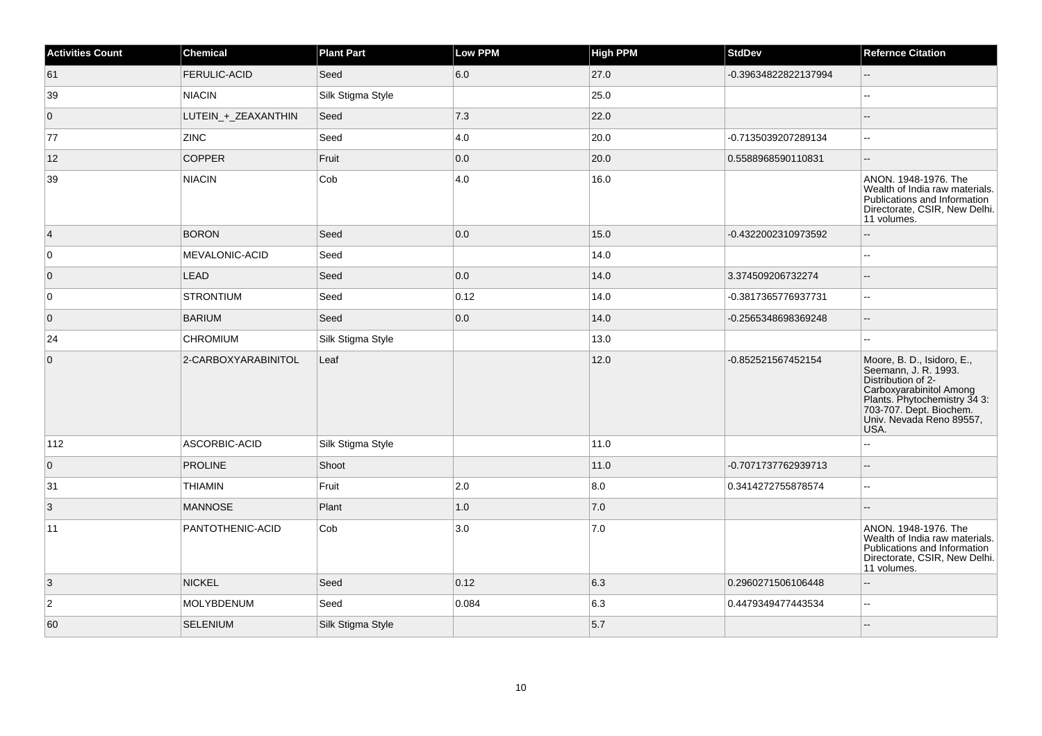| <b>Activities Count</b> | <b>Chemical</b>     | <b>Plant Part</b> | Low PPM        | <b>High PPM</b> | <b>StdDev</b>        | <b>Refernce Citation</b>                                                                                                                                                                           |
|-------------------------|---------------------|-------------------|----------------|-----------------|----------------------|----------------------------------------------------------------------------------------------------------------------------------------------------------------------------------------------------|
| 61                      | <b>FERULIC-ACID</b> | Seed              | 6.0            | 27.0            | -0.39634822822137994 | $-$                                                                                                                                                                                                |
| 39                      | <b>NIACIN</b>       | Silk Stigma Style |                | 25.0            |                      |                                                                                                                                                                                                    |
| $\overline{0}$          | LUTEIN_+_ZEAXANTHIN | Seed              | 7.3            | 22.0            |                      |                                                                                                                                                                                                    |
| 77                      | <b>ZINC</b>         | Seed              | 4.0            | 20.0            | -0.7135039207289134  |                                                                                                                                                                                                    |
| 12                      | <b>COPPER</b>       | Fruit             | 0.0            | 20.0            | 0.5588968590110831   |                                                                                                                                                                                                    |
| 39                      | <b>NIACIN</b>       | Cob               | 4.0            | 16.0            |                      | ANON. 1948-1976. The<br>Wealth of India raw materials.<br>Publications and Information<br>Directorate, CSIR, New Delhi.<br>11 volumes.                                                             |
| $\vert$ 4               | <b>BORON</b>        | Seed              | 0.0            | 15.0            | -0.4322002310973592  | --                                                                                                                                                                                                 |
| 0                       | MEVALONIC-ACID      | Seed              |                | 14.0            |                      |                                                                                                                                                                                                    |
| $\overline{0}$          | <b>LEAD</b>         | Seed              | 0.0            | 14.0            | 3.374509206732274    | --                                                                                                                                                                                                 |
| 0                       | <b>STRONTIUM</b>    | Seed              | $ 0.12\rangle$ | 14.0            | -0.3817365776937731  | Ξ.                                                                                                                                                                                                 |
| $\overline{0}$          | <b>BARIUM</b>       | Seed              | 0.0            | 14.0            | -0.2565348698369248  |                                                                                                                                                                                                    |
| 24                      | <b>CHROMIUM</b>     | Silk Stigma Style |                | 13.0            |                      |                                                                                                                                                                                                    |
| $\overline{0}$          | 2-CARBOXYARABINITOL | Leaf              |                | 12.0            | -0.852521567452154   | Moore, B. D., Isidoro, E.,<br>Seemann, J. R. 1993.<br>Distribution of 2-<br>Carboxyarabinitol Among<br>Plants. Phytochemistry 34 3:<br>703-707. Dept. Biochem.<br>Univ. Nevada Reno 89557,<br>USA. |
| 112                     | ASCORBIC-ACID       | Silk Stigma Style |                | 11.0            |                      |                                                                                                                                                                                                    |
| $\overline{0}$          | <b>PROLINE</b>      | Shoot             |                | 11.0            | -0.7071737762939713  |                                                                                                                                                                                                    |
| 31                      | <b>THIAMIN</b>      | Fruit             | 2.0            | 8.0             | 0.3414272755878574   |                                                                                                                                                                                                    |
| 3                       | <b>MANNOSE</b>      | Plant             | 1.0            | 7.0             |                      |                                                                                                                                                                                                    |
| 11                      | PANTOTHENIC-ACID    | Cob               | 3.0            | 7.0             |                      | ANON. 1948-1976. The<br>Wealth of India raw materials.<br>Publications and Information<br>Directorate, CSIR, New Delhi.<br>11 volumes.                                                             |
| 3                       | <b>NICKEL</b>       | Seed              | 0.12           | 6.3             | 0.2960271506106448   |                                                                                                                                                                                                    |
| $\overline{2}$          | MOLYBDENUM          | Seed              | 0.084          | 6.3             | 0.4479349477443534   | 44                                                                                                                                                                                                 |
| 60                      | <b>SELENIUM</b>     | Silk Stigma Style |                | 5.7             |                      |                                                                                                                                                                                                    |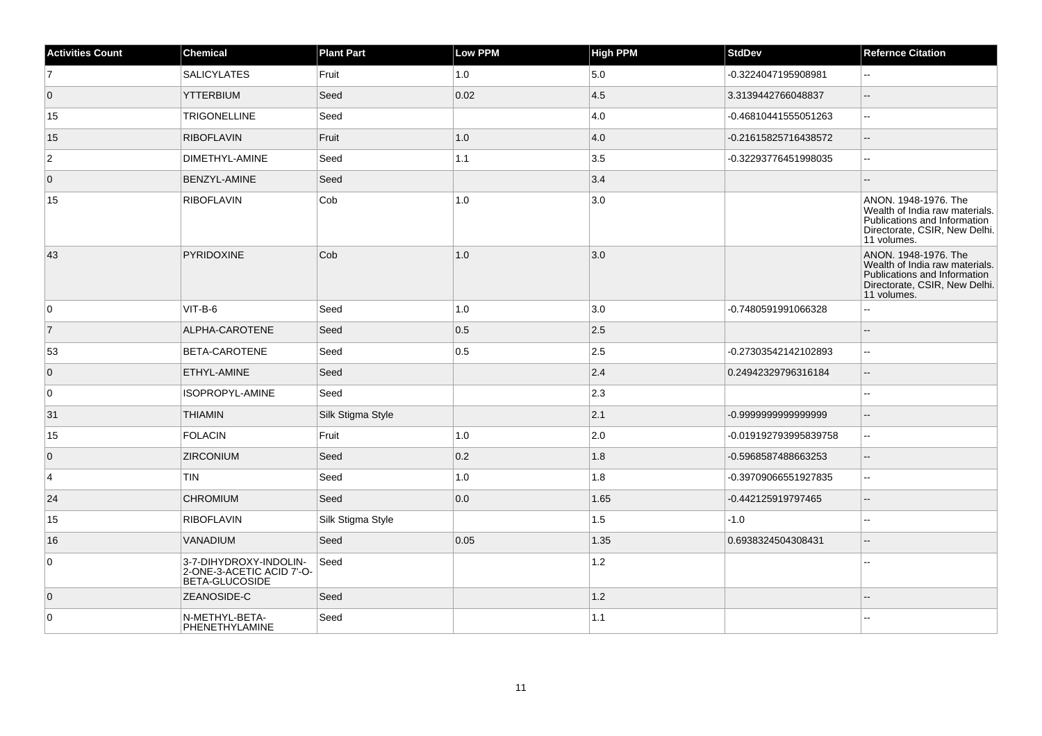| <b>Activities Count</b> | <b>Chemical</b>                                                       | <b>Plant Part</b> | <b>Low PPM</b> | <b>High PPM</b> | <b>StdDev</b>         | <b>Refernce Citation</b>                                                                                                               |
|-------------------------|-----------------------------------------------------------------------|-------------------|----------------|-----------------|-----------------------|----------------------------------------------------------------------------------------------------------------------------------------|
| $\overline{7}$          | <b>SALICYLATES</b>                                                    | Fruit             | 1.0            | 5.0             | -0.3224047195908981   |                                                                                                                                        |
| $\overline{0}$          | <b>YTTERBIUM</b>                                                      | Seed              | 0.02           | 4.5             | 3.3139442766048837    | $\overline{a}$                                                                                                                         |
| 15                      | <b>TRIGONELLINE</b>                                                   | Seed              |                | 4.0             | -0.46810441555051263  | $\overline{a}$                                                                                                                         |
| 15                      | <b>RIBOFLAVIN</b>                                                     | Fruit             | 1.0            | 4.0             | -0.21615825716438572  | Ξ.                                                                                                                                     |
| $\overline{2}$          | DIMETHYL-AMINE                                                        | Seed              | 1.1            | 3.5             | -0.32293776451998035  | L.                                                                                                                                     |
| $\overline{0}$          | BENZYL-AMINE                                                          | Seed              |                | 3.4             |                       |                                                                                                                                        |
| 15                      | <b>RIBOFLAVIN</b>                                                     | Cob               | 1.0            | 3.0             |                       | ANON. 1948-1976. The<br>Wealth of India raw materials.<br>Publications and Information<br>Directorate, CSIR, New Delhi.<br>11 volumes. |
| 43                      | PYRIDOXINE                                                            | Cob               | 1.0            | 3.0             |                       | ANON. 1948-1976. The<br>Wealth of India raw materials.<br>Publications and Information<br>Directorate, CSIR, New Delhi.<br>11 volumes. |
| 0                       | VIT-B-6                                                               | Seed              | 1.0            | 3.0             | -0.7480591991066328   | $\overline{a}$                                                                                                                         |
| $\overline{7}$          | ALPHA-CAROTENE                                                        | Seed              | 0.5            | 2.5             |                       | $\sim$                                                                                                                                 |
| 53                      | BETA-CAROTENE                                                         | Seed              | 0.5            | 2.5             | -0.27303542142102893  |                                                                                                                                        |
| $\overline{0}$          | ETHYL-AMINE                                                           | Seed              |                | 2.4             | 0.24942329796316184   | Ξ.                                                                                                                                     |
| 0                       | ISOPROPYL-AMINE                                                       | Seed              |                | 2.3             |                       | ۵.                                                                                                                                     |
| 31                      | <b>THIAMIN</b>                                                        | Silk Stigma Style |                | 2.1             | -0.999999999999999    |                                                                                                                                        |
| 15                      | <b>FOLACIN</b>                                                        | Fruit             | 1.0            | 2.0             | -0.019192793995839758 | 44                                                                                                                                     |
| $\overline{0}$          | <b>ZIRCONIUM</b>                                                      | Seed              | 0.2            | 1.8             | -0.5968587488663253   |                                                                                                                                        |
| 4                       | <b>TIN</b>                                                            | Seed              | 1.0            | 1.8             | -0.39709066551927835  | $\sim$                                                                                                                                 |
| 24                      | <b>CHROMIUM</b>                                                       | Seed              | 0.0            | 1.65            | -0.442125919797465    | $-$                                                                                                                                    |
| 15                      | <b>RIBOFLAVIN</b>                                                     | Silk Stigma Style |                | 1.5             | $-1.0$                |                                                                                                                                        |
| 16                      | <b>VANADIUM</b>                                                       | Seed              | 0.05           | 1.35            | 0.6938324504308431    |                                                                                                                                        |
| $\overline{0}$          | 3-7-DIHYDROXY-INDOLIN-<br>2-ONE-3-ACETIC ACID 7'-O-<br>BETA-GLUCOSIDE | Seed              |                | 1.2             |                       |                                                                                                                                        |
| $\overline{0}$          | ZEANOSIDE-C                                                           | Seed              |                | 1.2             |                       |                                                                                                                                        |
| $\overline{0}$          | N-METHYL-BETA-<br>PHENETHYLAMINE                                      | Seed              |                | 1.1             |                       |                                                                                                                                        |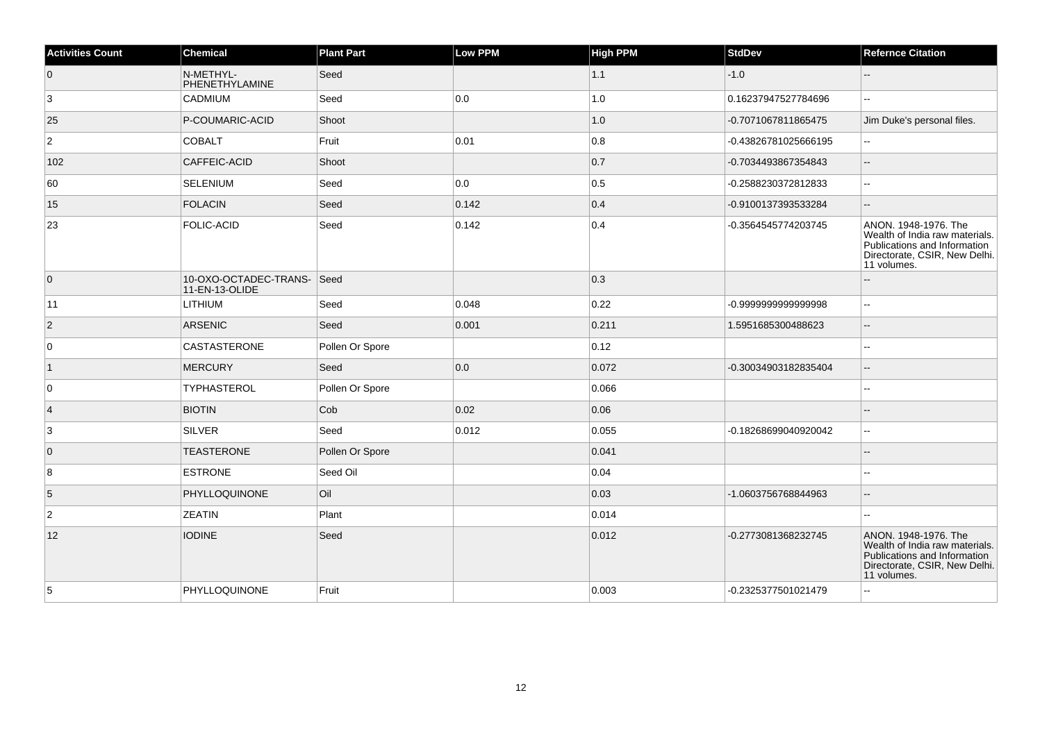| <b>Activities Count</b> | <b>Chemical</b>                             | <b>Plant Part</b> | <b>Low PPM</b> | <b>High PPM</b> | <b>StdDev</b>        | <b>Refernce Citation</b>                                                                                                               |
|-------------------------|---------------------------------------------|-------------------|----------------|-----------------|----------------------|----------------------------------------------------------------------------------------------------------------------------------------|
| 0                       | N-METHYL-<br>PHENETHYLAMINE                 | Seed              |                | 1.1             | $-1.0$               | $-$                                                                                                                                    |
| 3                       | CADMIUM                                     | Seed              | 0.0            | 1.0             | 0.16237947527784696  | L.                                                                                                                                     |
| 25                      | P-COUMARIC-ACID                             | Shoot             |                | 1.0             | -0.7071067811865475  | Jim Duke's personal files.                                                                                                             |
| $\overline{2}$          | <b>COBALT</b>                               | Fruit             | 0.01           | 0.8             | -0.43826781025666195 | --                                                                                                                                     |
| 102                     | CAFFEIC-ACID                                | Shoot             |                | 0.7             | -0.7034493867354843  | L.                                                                                                                                     |
| 60                      | SELENIUM                                    | Seed              | 0.0            | 0.5             | -0.2588230372812833  |                                                                                                                                        |
| 15                      | FOLACIN                                     | Seed              | 0.142          | 0.4             | -0.9100137393533284  |                                                                                                                                        |
| 23                      | <b>FOLIC-ACID</b>                           | Seed              | 0.142          | 0.4             | -0.3564545774203745  | ANON. 1948-1976. The<br>Wealth of India raw materials.<br>Publications and Information<br>Directorate, CSIR, New Delhi.<br>11 volumes. |
| $\overline{0}$          | 10-OXO-OCTADEC-TRANS-Seed<br>11-EN-13-OLIDE |                   |                | 0.3             |                      |                                                                                                                                        |
| 11                      | LITHIUM                                     | Seed              | 0.048          | 0.22            | -0.999999999999998   | --                                                                                                                                     |
| $\vert$ 2               | ARSENIC                                     | Seed              | 0.001          | 0.211           | 1.5951685300488623   | --                                                                                                                                     |
| $\mathbf 0$             | CASTASTERONE                                | Pollen Or Spore   |                | 0.12            |                      |                                                                                                                                        |
| $\vert$ 1               | MERCURY                                     | Seed              | 0.0            | 0.072           | -0.30034903182835404 | Ξ.                                                                                                                                     |
| 0                       | <b>TYPHASTEROL</b>                          | Pollen Or Spore   |                | 0.066           |                      | --                                                                                                                                     |
| $\vert$ 4               | <b>BIOTIN</b>                               | Cob               | 0.02           | 0.06            |                      |                                                                                                                                        |
| 3                       | SILVER                                      | Seed              | 0.012          | 0.055           | -0.18268699040920042 | ۵۵                                                                                                                                     |
| $\overline{0}$          | <b>TEASTERONE</b>                           | Pollen Or Spore   |                | 0.041           |                      |                                                                                                                                        |
| 8                       | <b>ESTRONE</b>                              | Seed Oil          |                | 0.04            |                      |                                                                                                                                        |
| 5                       | PHYLLOQUINONE                               | Oil               |                | 0.03            | -1.0603756768844963  | $-$                                                                                                                                    |
| $ 2\rangle$             | <b>ZEATIN</b>                               | Plant             |                | 0.014           |                      | ۵۵                                                                                                                                     |
| 12                      | <b>IODINE</b>                               | Seed              |                | 0.012           | -0.2773081368232745  | ANON. 1948-1976. The<br>Wealth of India raw materials.<br>Publications and Information<br>Directorate, CSIR, New Delhi.<br>11 volumes. |
| 5                       | PHYLLOQUINONE                               | Fruit             |                | 0.003           | -0.2325377501021479  |                                                                                                                                        |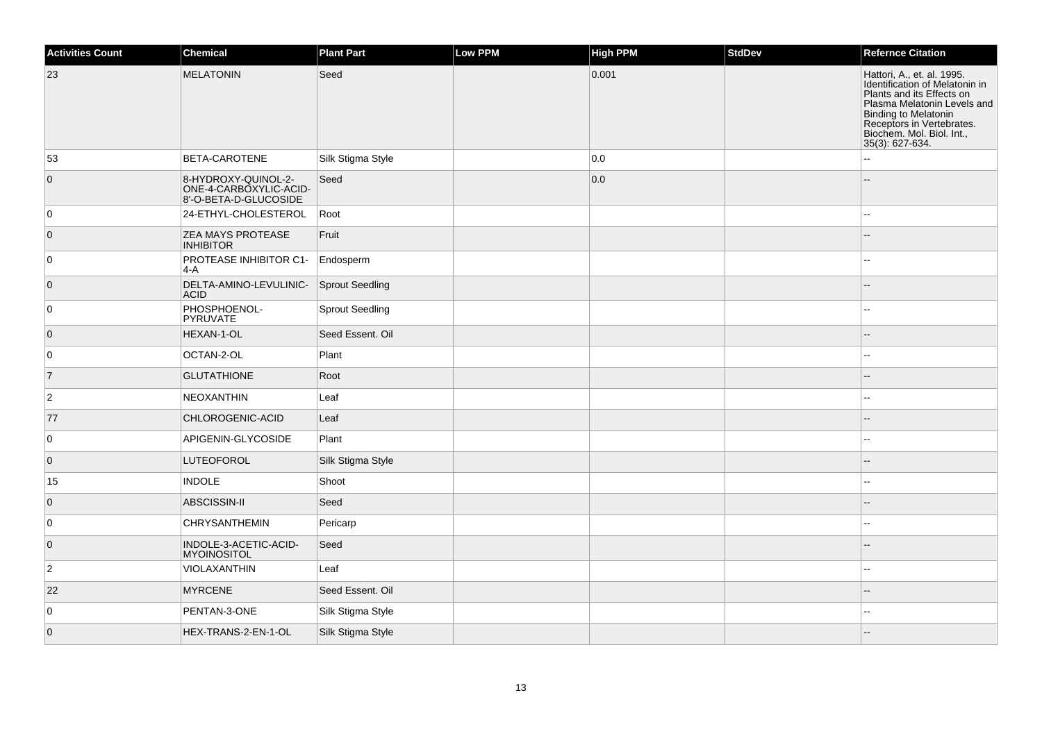| <b>Activities Count</b> | Chemical                                                               | <b>Plant Part</b>      | <b>Low PPM</b> | High PPM | StdDev | <b>Refernce Citation</b>                                                                                                                                                                                                      |
|-------------------------|------------------------------------------------------------------------|------------------------|----------------|----------|--------|-------------------------------------------------------------------------------------------------------------------------------------------------------------------------------------------------------------------------------|
| 23                      | <b>MELATONIN</b>                                                       | Seed                   |                | 0.001    |        | Hattori, A., et. al. 1995.<br>Identification of Melatonin in<br>Plants and its Effects on<br>Plasma Melatonin Levels and<br>Binding to Melatonin<br>Receptors in Vertebrates.<br>Biochem. Mol. Biol. Int.,<br>35(3): 627-634. |
| 53                      | <b>BETA-CAROTENE</b>                                                   | Silk Stigma Style      |                | 0.0      |        |                                                                                                                                                                                                                               |
| $\overline{0}$          | 8-HYDROXY-QUINOL-2-<br>ONE-4-CARBOXYLIC-ACID-<br>8'-O-BETA-D-GLUCOSIDE | Seed                   |                | 0.0      |        |                                                                                                                                                                                                                               |
| 0                       | 24-ETHYL-CHOLESTEROL                                                   | Root                   |                |          |        |                                                                                                                                                                                                                               |
| $\overline{0}$          | <b>ZEA MAYS PROTEASE</b><br><b>INHIBITOR</b>                           | Fruit                  |                |          |        |                                                                                                                                                                                                                               |
| 0                       | PROTEASE INHIBITOR C1-<br> 4-A                                         | Endosperm              |                |          |        |                                                                                                                                                                                                                               |
| $\overline{0}$          | DELTA-AMINO-LEVULINIC-<br><b>ACID</b>                                  | Sprout Seedling        |                |          |        |                                                                                                                                                                                                                               |
| 0                       | PHOSPHOENOL-<br>PYRUVATE                                               | <b>Sprout Seedling</b> |                |          |        |                                                                                                                                                                                                                               |
| $\overline{0}$          | HEXAN-1-OL                                                             | Seed Essent. Oil       |                |          |        | н.                                                                                                                                                                                                                            |
| 0                       | OCTAN-2-OL                                                             | Plant                  |                |          |        |                                                                                                                                                                                                                               |
| $\overline{7}$          | <b>GLUTATHIONE</b>                                                     | Root                   |                |          |        |                                                                                                                                                                                                                               |
| $\overline{2}$          | NEOXANTHIN                                                             | Leaf                   |                |          |        |                                                                                                                                                                                                                               |
| 77                      | CHLOROGENIC-ACID                                                       | Leaf                   |                |          |        |                                                                                                                                                                                                                               |
| 0                       | APIGENIN-GLYCOSIDE                                                     | Plant                  |                |          |        |                                                                                                                                                                                                                               |
| $\overline{0}$          | LUTEOFOROL                                                             | Silk Stigma Style      |                |          |        | $\sim$ $\sim$                                                                                                                                                                                                                 |
| 15                      | <b>INDOLE</b>                                                          | Shoot                  |                |          |        | $\sim$                                                                                                                                                                                                                        |
| $\overline{0}$          | ABSCISSIN-II                                                           | Seed                   |                |          |        |                                                                                                                                                                                                                               |
| 0                       | <b>CHRYSANTHEMIN</b>                                                   | Pericarp               |                |          |        | ۵.                                                                                                                                                                                                                            |
| $\overline{0}$          | INDOLE-3-ACETIC-ACID-<br>MYOINOSITOL                                   | Seed                   |                |          |        |                                                                                                                                                                                                                               |
| $\overline{2}$          | VIOLAXANTHIN                                                           | Leaf                   |                |          |        | $-$                                                                                                                                                                                                                           |
| 22                      | <b>MYRCENE</b>                                                         | Seed Essent. Oil       |                |          |        | $\sim$                                                                                                                                                                                                                        |
| 0                       | PENTAN-3-ONE                                                           | Silk Stigma Style      |                |          |        |                                                                                                                                                                                                                               |
| $\overline{0}$          | HEX-TRANS-2-EN-1-OL                                                    | Silk Stigma Style      |                |          |        |                                                                                                                                                                                                                               |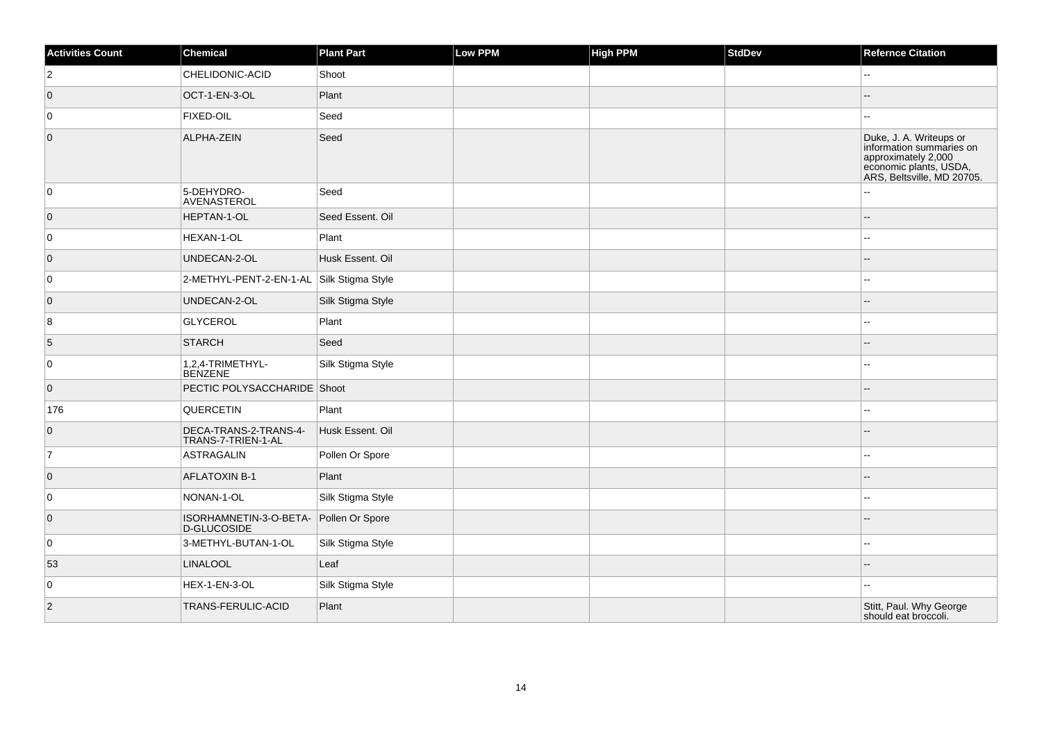| <b>Activities Count</b> | Chemical                                     | <b>Plant Part</b> | Low PPM | <b>High PPM</b> | <b>StdDev</b> | <b>Refernce Citation</b>                                                                                                           |
|-------------------------|----------------------------------------------|-------------------|---------|-----------------|---------------|------------------------------------------------------------------------------------------------------------------------------------|
| $\overline{2}$          | CHELIDONIC-ACID                              | Shoot             |         |                 |               | ۵.                                                                                                                                 |
| $\overline{0}$          | OCT-1-EN-3-OL                                | Plant             |         |                 |               |                                                                                                                                    |
| 0                       | <b>FIXED-OIL</b>                             | Seed              |         |                 |               |                                                                                                                                    |
| $\overline{0}$          | ALPHA-ZEIN                                   | Seed              |         |                 |               | Duke, J. A. Writeups or<br>information summaries on<br>approximately 2,000<br>economic plants, USDA,<br>ARS, Beltsville, MD 20705. |
| 0                       | 5-DEHYDRO-<br>AVENASTEROL                    | Seed              |         |                 |               |                                                                                                                                    |
| $\overline{0}$          | HEPTAN-1-OL                                  | Seed Essent. Oil  |         |                 |               |                                                                                                                                    |
| 0                       | HEXAN-1-OL                                   | Plant             |         |                 |               |                                                                                                                                    |
| $\overline{0}$          | UNDECAN-2-OL                                 | Husk Essent. Oil  |         |                 |               |                                                                                                                                    |
| $\overline{0}$          | 2-METHYL-PENT-2-EN-1-AL                      | Silk Stigma Style |         |                 |               |                                                                                                                                    |
| $\overline{0}$          | UNDECAN-2-OL                                 | Silk Stigma Style |         |                 |               |                                                                                                                                    |
| 8                       | <b>GLYCEROL</b>                              | Plant             |         |                 |               |                                                                                                                                    |
| $\sqrt{5}$              | <b>STARCH</b>                                | Seed              |         |                 |               |                                                                                                                                    |
| $\overline{0}$          | 1,2,4-TRIMETHYL-<br><b>BENZENE</b>           | Silk Stigma Style |         |                 |               |                                                                                                                                    |
| $\overline{0}$          | PECTIC POLYSACCHARIDE Shoot                  |                   |         |                 |               |                                                                                                                                    |
| 176                     | <b>QUERCETIN</b>                             | Plant             |         |                 |               |                                                                                                                                    |
| $\overline{0}$          | DECA-TRANS-2-TRANS-4-<br>TRANS-7-TRIEN-1-AL  | Husk Essent. Oil  |         |                 |               |                                                                                                                                    |
| 7                       | <b>ASTRAGALIN</b>                            | Pollen Or Spore   |         |                 |               |                                                                                                                                    |
| $\overline{0}$          | <b>AFLATOXIN B-1</b>                         | Plant             |         |                 |               |                                                                                                                                    |
| 0                       | NONAN-1-OL                                   | Silk Stigma Style |         |                 |               |                                                                                                                                    |
| $\overline{0}$          | ISORHAMNETIN-3-O-BETA-<br><b>D-GLUCOSIDE</b> | Pollen Or Spore   |         |                 |               |                                                                                                                                    |
| $\overline{0}$          | 3-METHYL-BUTAN-1-OL                          | Silk Stigma Style |         |                 |               |                                                                                                                                    |
| 53                      | <b>LINALOOL</b>                              | Leaf              |         |                 |               |                                                                                                                                    |
| $\overline{0}$          | HEX-1-EN-3-OL                                | Silk Stigma Style |         |                 |               |                                                                                                                                    |
| 2                       | TRANS-FERULIC-ACID                           | Plant             |         |                 |               | Stitt, Paul. Why George<br>should eat broccoli.                                                                                    |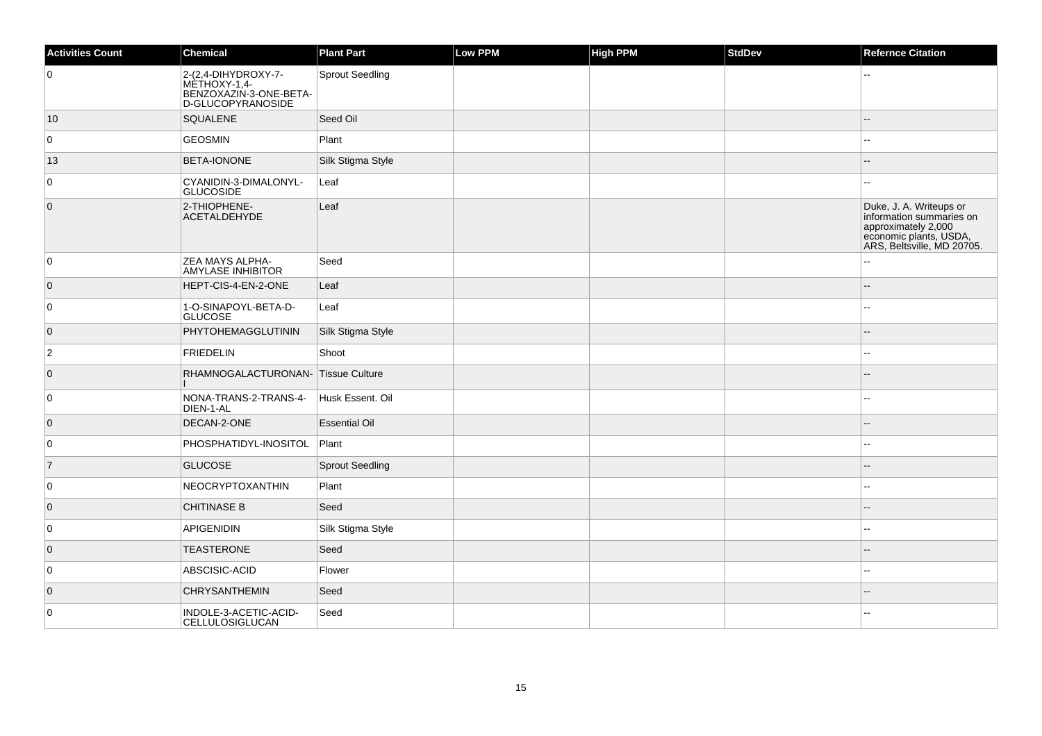| <b>Activities Count</b> | Chemical                                                                                  | <b>Plant Part</b>      | Low PPM | High PPM | <b>StdDev</b> | <b>Refernce Citation</b>                                                                                                           |
|-------------------------|-------------------------------------------------------------------------------------------|------------------------|---------|----------|---------------|------------------------------------------------------------------------------------------------------------------------------------|
| 0                       | 2-(2,4-DIHYDROXY-7-<br>MÈTHOXY-1,4-<br>BENZOXAZIN-3-ONE-BETA-<br><b>D-GLUCOPYRANOSIDE</b> | <b>Sprout Seedling</b> |         |          |               |                                                                                                                                    |
| 10                      | SQUALENE                                                                                  | Seed Oil               |         |          |               |                                                                                                                                    |
| 0                       | GEOSMIN                                                                                   | Plant                  |         |          |               |                                                                                                                                    |
| 13                      | <b>BETA-IONONE</b>                                                                        | Silk Stigma Style      |         |          |               | $\sim$                                                                                                                             |
| 0                       | CYANIDIN-3-DIMALONYL-<br><b>GLUCOSIDE</b>                                                 | Leaf                   |         |          |               |                                                                                                                                    |
| $\overline{0}$          | 2-THIOPHENE-<br><b>ACETALDEHYDE</b>                                                       | Leaf                   |         |          |               | Duke, J. A. Writeups or<br>information summaries on<br>approximately 2,000<br>economic plants, USDA,<br>ARS, Beltsville, MD 20705. |
| 0                       | <b>ZEA MAYS ALPHA-</b><br><b>AMYLASE INHIBITOR</b>                                        | Seed                   |         |          |               |                                                                                                                                    |
| $\overline{0}$          | HEPT-CIS-4-EN-2-ONE                                                                       | Leaf                   |         |          |               | $-$                                                                                                                                |
| 0                       | 1-O-SINAPOYL-BETA-D-<br><b>GLUCOSE</b>                                                    | Leaf                   |         |          |               | $-$                                                                                                                                |
| $\overline{0}$          | PHYTOHEMAGGLUTININ                                                                        | Silk Stigma Style      |         |          |               |                                                                                                                                    |
| $\overline{2}$          | <b>FRIEDELIN</b>                                                                          | Shoot                  |         |          |               |                                                                                                                                    |
| $\overline{0}$          | RHAMNOGALACTURONAN- Tissue Culture                                                        |                        |         |          |               | $\sim$                                                                                                                             |
| 0                       | NONA-TRANS-2-TRANS-4-<br>DIEN-1-AL                                                        | Husk Essent. Oil       |         |          |               |                                                                                                                                    |
| $\overline{0}$          | DECAN-2-ONE                                                                               | <b>Essential Oil</b>   |         |          |               |                                                                                                                                    |
| 0                       | PHOSPHATIDYL-INOSITOL Plant                                                               |                        |         |          |               |                                                                                                                                    |
| $\overline{7}$          | <b>GLUCOSE</b>                                                                            | <b>Sprout Seedling</b> |         |          |               |                                                                                                                                    |
| 0                       | NEOCRYPTOXANTHIN                                                                          | Plant                  |         |          |               |                                                                                                                                    |
| $\overline{0}$          | <b>CHITINASE B</b>                                                                        | Seed                   |         |          |               |                                                                                                                                    |
| 0                       | <b>APIGENIDIN</b>                                                                         | Silk Stigma Style      |         |          |               |                                                                                                                                    |
| $\overline{0}$          | <b>TEASTERONE</b>                                                                         | Seed                   |         |          |               |                                                                                                                                    |
| 0                       | ABSCISIC-ACID                                                                             | Flower                 |         |          |               |                                                                                                                                    |
| $\overline{0}$          | <b>CHRYSANTHEMIN</b>                                                                      | Seed                   |         |          |               |                                                                                                                                    |
| $\mathbf 0$             | INDOLE-3-ACETIC-ACID-<br>CELLULOSIGLUCAN                                                  | Seed                   |         |          |               |                                                                                                                                    |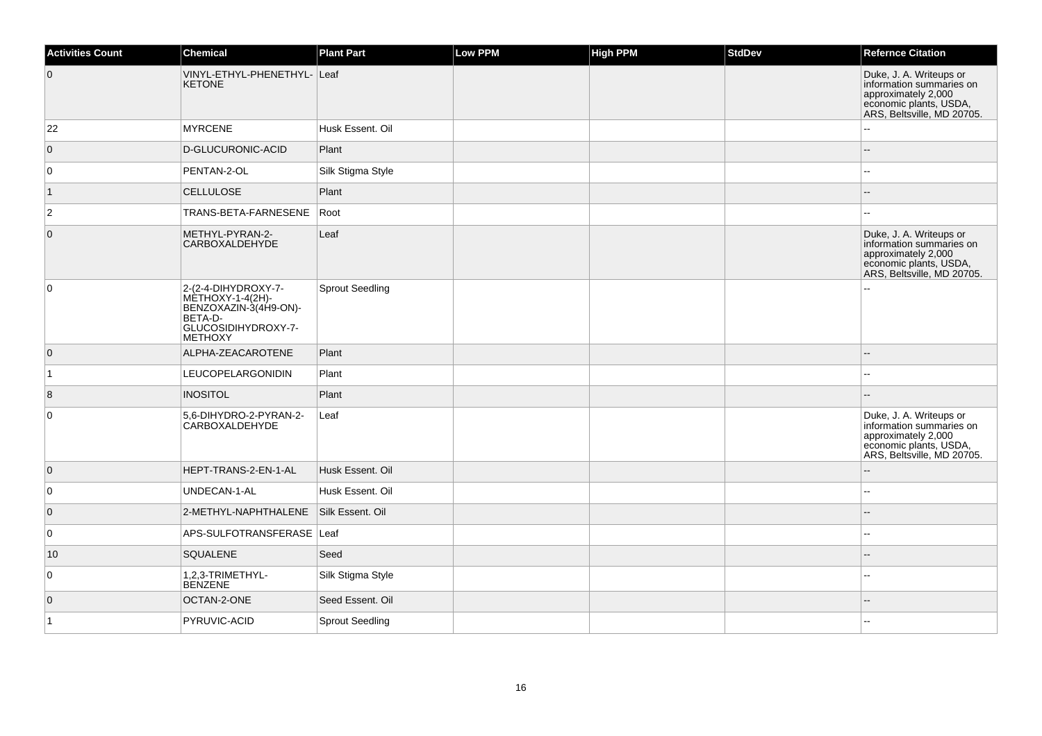| <b>Activities Count</b> | <b>Chemical</b>                                                                                                         | <b>Plant Part</b>      | <b>Low PPM</b> | <b>High PPM</b> | <b>StdDev</b> | <b>Refernce Citation</b>                                                                                                           |
|-------------------------|-------------------------------------------------------------------------------------------------------------------------|------------------------|----------------|-----------------|---------------|------------------------------------------------------------------------------------------------------------------------------------|
| $\overline{0}$          | VINYL-ETHYL-PHENETHYL- Leaf<br><b>KETONE</b>                                                                            |                        |                |                 |               | Duke, J. A. Writeups or<br>information summaries on<br>approximately 2,000<br>economic plants, USDA,<br>ARS, Beltsville, MD 20705. |
| 22                      | <b>MYRCENE</b>                                                                                                          | Husk Essent, Oil       |                |                 |               |                                                                                                                                    |
| $\overline{0}$          | D-GLUCURONIC-ACID                                                                                                       | Plant                  |                |                 |               |                                                                                                                                    |
| $\overline{0}$          | PENTAN-2-OL                                                                                                             | Silk Stigma Style      |                |                 |               |                                                                                                                                    |
| $\vert$ 1               | <b>CELLULOSE</b>                                                                                                        | Plant                  |                |                 |               |                                                                                                                                    |
| $\overline{2}$          | TRANS-BETA-FARNESENE                                                                                                    | Root                   |                |                 |               |                                                                                                                                    |
| $\overline{0}$          | METHYL-PYRAN-2-<br>CARBOXALDEHYDE                                                                                       | Leaf                   |                |                 |               | Duke, J. A. Writeups or<br>information summaries on<br>approximately 2,000<br>economic plants, USDA,<br>ARS, Beltsville, MD 20705. |
| $\overline{0}$          | 2-(2-4-DIHYDROXY-7-<br>$METHOXY-1-4(2H)$ -<br>BENZOXAZIN-3(4H9-ON)-<br>BETA-D-<br>GLUCOSIDIHYDROXY-7-<br><b>METHOXY</b> | <b>Sprout Seedling</b> |                |                 |               |                                                                                                                                    |
| $\overline{0}$          | ALPHA-ZEACAROTENE                                                                                                       | Plant                  |                |                 |               |                                                                                                                                    |
| $\vert$ 1               | LEUCOPELARGONIDIN                                                                                                       | Plant                  |                |                 |               |                                                                                                                                    |
| 8                       | <b>INOSITOL</b>                                                                                                         | Plant                  |                |                 |               |                                                                                                                                    |
| $\overline{0}$          | 5,6-DIHYDRO-2-PYRAN-2-<br>CARBOXALDEHYDE                                                                                | Leaf                   |                |                 |               | Duke, J. A. Writeups or<br>information summaries on<br>approximately 2,000<br>economic plants, USDA,<br>ARS, Beltsville, MD 20705. |
| $\overline{0}$          | HEPT-TRANS-2-EN-1-AL                                                                                                    | Husk Essent, Oil       |                |                 |               | $-$                                                                                                                                |
| 0                       | UNDECAN-1-AL                                                                                                            | Husk Essent. Oil       |                |                 |               | $\overline{a}$                                                                                                                     |
| $\overline{0}$          | 2-METHYL-NAPHTHALENE                                                                                                    | Silk Essent, Oil       |                |                 |               | $-$                                                                                                                                |
| $\overline{0}$          | APS-SULFOTRANSFERASE Leaf                                                                                               |                        |                |                 |               |                                                                                                                                    |
| 10                      | <b>SQUALENE</b>                                                                                                         | Seed                   |                |                 |               | $-$                                                                                                                                |
| $\overline{0}$          | 1,2,3-TRIMETHYL-<br><b>BENZENE</b>                                                                                      | Silk Stigma Style      |                |                 |               | $\sim$                                                                                                                             |
| $\overline{0}$          | OCTAN-2-ONE                                                                                                             | Seed Essent. Oil       |                |                 |               |                                                                                                                                    |
| $\overline{1}$          | PYRUVIC-ACID                                                                                                            | <b>Sprout Seedling</b> |                |                 |               |                                                                                                                                    |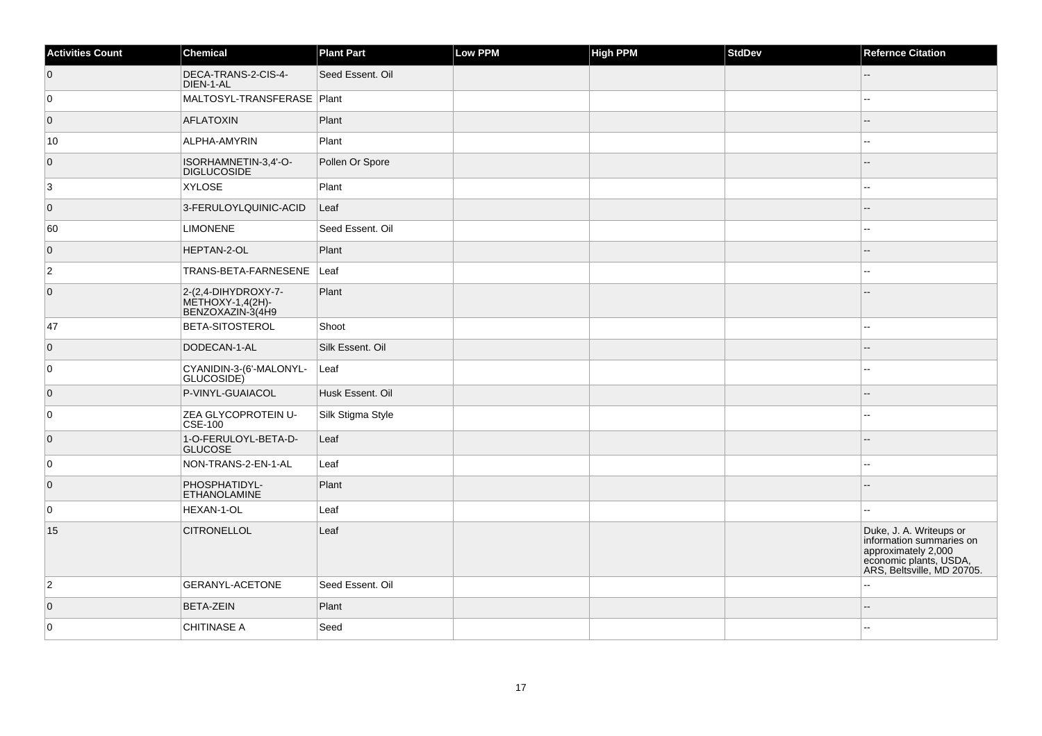| <b>Activities Count</b> | Chemical                                                    | <b>Plant Part</b> | Low PPM | <b>High PPM</b> | StdDev | <b>Refernce Citation</b>                                                                                                           |
|-------------------------|-------------------------------------------------------------|-------------------|---------|-----------------|--------|------------------------------------------------------------------------------------------------------------------------------------|
| $\overline{0}$          | DECA-TRANS-2-CIS-4-<br>DIEN-1-AL                            | Seed Essent. Oil  |         |                 |        |                                                                                                                                    |
| 0                       | MALTOSYL-TRANSFERASE   Plant                                |                   |         |                 |        |                                                                                                                                    |
| $\overline{0}$          | AFLATOXIN                                                   | Plant             |         |                 |        |                                                                                                                                    |
| 10                      | ALPHA-AMYRIN                                                | Plant             |         |                 |        |                                                                                                                                    |
| $\overline{0}$          | ISORHAMNETIN-3,4'-O-<br><b>DIGLUCOSIDE</b>                  | Pollen Or Spore   |         |                 |        |                                                                                                                                    |
| $\overline{3}$          | <b>XYLOSE</b>                                               | Plant             |         |                 |        |                                                                                                                                    |
| $\overline{0}$          | 3-FERULOYLQUINIC-ACID                                       | Leaf              |         |                 |        |                                                                                                                                    |
| 60                      | <b>LIMONENE</b>                                             | Seed Essent. Oil  |         |                 |        |                                                                                                                                    |
| $\overline{0}$          | HEPTAN-2-OL                                                 | Plant             |         |                 |        | --                                                                                                                                 |
| $\overline{2}$          | TRANS-BETA-FARNESENE                                        | Leaf              |         |                 |        |                                                                                                                                    |
| $\overline{0}$          | 2-(2,4-DIHYDROXY-7-<br>METHOXY-1,4(2H)-<br>BENZOXAZIN-3(4H9 | Plant             |         |                 |        |                                                                                                                                    |
| 47                      | <b>BETA-SITOSTEROL</b>                                      | Shoot             |         |                 |        |                                                                                                                                    |
| $\overline{0}$          | DODECAN-1-AL                                                | Silk Essent. Oil  |         |                 |        |                                                                                                                                    |
| 0                       | CYANIDIN-3-(6'-MALONYL-<br>GLUCOSIDE)                       | Leaf              |         |                 |        |                                                                                                                                    |
| $\overline{0}$          | P-VINYL-GUAIACOL                                            | Husk Essent, Oil  |         |                 |        |                                                                                                                                    |
| 0                       | ZEA GLYCOPROTEIN U-<br>$\mathsf{CSE}\text{-}100$            | Silk Stigma Style |         |                 |        | --                                                                                                                                 |
| $\overline{0}$          | 1-O-FERULOYL-BETA-D-<br><b>GLUCOSE</b>                      | Leaf              |         |                 |        |                                                                                                                                    |
| 0                       | NON-TRANS-2-EN-1-AL                                         | Leaf              |         |                 |        |                                                                                                                                    |
| $\overline{0}$          | PHOSPHATIDYL-<br><b>ETHANOLAMINE</b>                        | Plant             |         |                 |        |                                                                                                                                    |
| 0                       | HEXAN-1-OL                                                  | Leaf              |         |                 |        |                                                                                                                                    |
| 15                      | <b>CITRONELLOL</b>                                          | Leaf              |         |                 |        | Duke, J. A. Writeups or<br>information summaries on<br>approximately 2,000<br>economic plants, USDA,<br>ARS, Beltsville, MD 20705. |
| $\overline{2}$          | <b>GERANYL-ACETONE</b>                                      | Seed Essent. Oil  |         |                 |        | Ξ.                                                                                                                                 |
| $\overline{0}$          | <b>BETA-ZEIN</b>                                            | Plant             |         |                 |        | --                                                                                                                                 |
| $\mathbf 0$             | <b>CHITINASE A</b>                                          | Seed              |         |                 |        |                                                                                                                                    |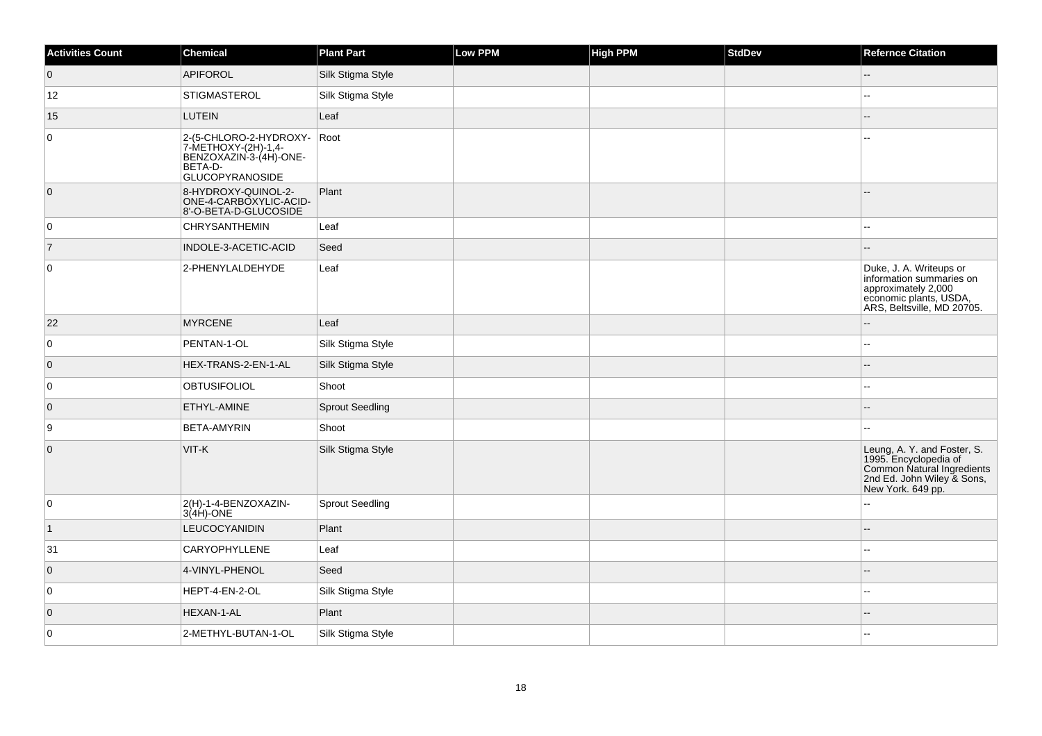| <b>Activities Count</b> | <b>Chemical</b>                                                                                              | <b>Plant Part</b>      | Low PPM | <b>High PPM</b> | <b>StdDev</b> | <b>Refernce Citation</b>                                                                                                              |
|-------------------------|--------------------------------------------------------------------------------------------------------------|------------------------|---------|-----------------|---------------|---------------------------------------------------------------------------------------------------------------------------------------|
| $\overline{0}$          | APIFOROL                                                                                                     | Silk Stigma Style      |         |                 |               | --                                                                                                                                    |
| 12                      | <b>STIGMASTEROL</b>                                                                                          | Silk Stigma Style      |         |                 |               | --                                                                                                                                    |
| 15                      | <b>LUTEIN</b>                                                                                                | Leaf                   |         |                 |               | --                                                                                                                                    |
| $\overline{0}$          | 2-(5-CHLORO-2-HYDROXY-<br>7-METHOXY-(2H)-1,4-<br>BENZOXAZIN-3-(4H)-ONE-<br>BETA-D-<br><b>GLUCOPYRANOSIDE</b> | Root                   |         |                 |               |                                                                                                                                       |
| $\overline{0}$          | 8-HYDROXY-QUINOL-2-<br>ONE-4-CARBOXYLIC-ACID-<br>8'-O-BETA-D-GLUCOSIDE                                       | Plant                  |         |                 |               | --                                                                                                                                    |
| 0                       | <b>CHRYSANTHEMIN</b>                                                                                         | Leaf                   |         |                 |               |                                                                                                                                       |
| $\vert$ 7               | INDOLE-3-ACETIC-ACID                                                                                         | Seed                   |         |                 |               |                                                                                                                                       |
| $\overline{0}$          | 2-PHENYLALDEHYDE                                                                                             | Leaf                   |         |                 |               | Duke, J. A. Writeups or<br>information summaries on<br>approximately 2,000<br>economic plants, USDA,<br>ARS, Beltsville, MD 20705.    |
| 22                      | <b>MYRCENE</b>                                                                                               | Leaf                   |         |                 |               |                                                                                                                                       |
| $\overline{0}$          | PENTAN-1-OL                                                                                                  | Silk Stigma Style      |         |                 |               | ۵.                                                                                                                                    |
| $\overline{0}$          | HEX-TRANS-2-EN-1-AL                                                                                          | Silk Stigma Style      |         |                 |               | $\overline{a}$                                                                                                                        |
| 0                       | <b>OBTUSIFOLIOL</b>                                                                                          | Shoot                  |         |                 |               | Щ,                                                                                                                                    |
| $\overline{0}$          | ETHYL-AMINE                                                                                                  | <b>Sprout Seedling</b> |         |                 |               | --                                                                                                                                    |
| 9                       | <b>BETA-AMYRIN</b>                                                                                           | Shoot                  |         |                 |               | ۵.                                                                                                                                    |
| $\overline{0}$          | VIT-K                                                                                                        | Silk Stigma Style      |         |                 |               | Leung, A. Y. and Foster, S.<br>1995. Encyclopedia of<br>Common Natural Ingredients<br>2nd Ed. John Wiley & Sons,<br>New York. 649 pp. |
| 0                       | 2(H)-1-4-BENZOXAZIN-<br>$3(4H)$ -ONE                                                                         | <b>Sprout Seedling</b> |         |                 |               | L.                                                                                                                                    |
| $\overline{1}$          | <b>LEUCOCYANIDIN</b>                                                                                         | Plant                  |         |                 |               |                                                                                                                                       |
| 31                      | CARYOPHYLLENE                                                                                                | Leaf                   |         |                 |               | ۵.                                                                                                                                    |
| $\overline{0}$          | 4-VINYL-PHENOL                                                                                               | Seed                   |         |                 |               |                                                                                                                                       |
| 0                       | HEPT-4-EN-2-OL                                                                                               | Silk Stigma Style      |         |                 |               | --                                                                                                                                    |
| $\overline{0}$          | HEXAN-1-AL                                                                                                   | Plant                  |         |                 |               |                                                                                                                                       |
| $\overline{0}$          | 2-METHYL-BUTAN-1-OL                                                                                          | Silk Stigma Style      |         |                 |               | $-1$                                                                                                                                  |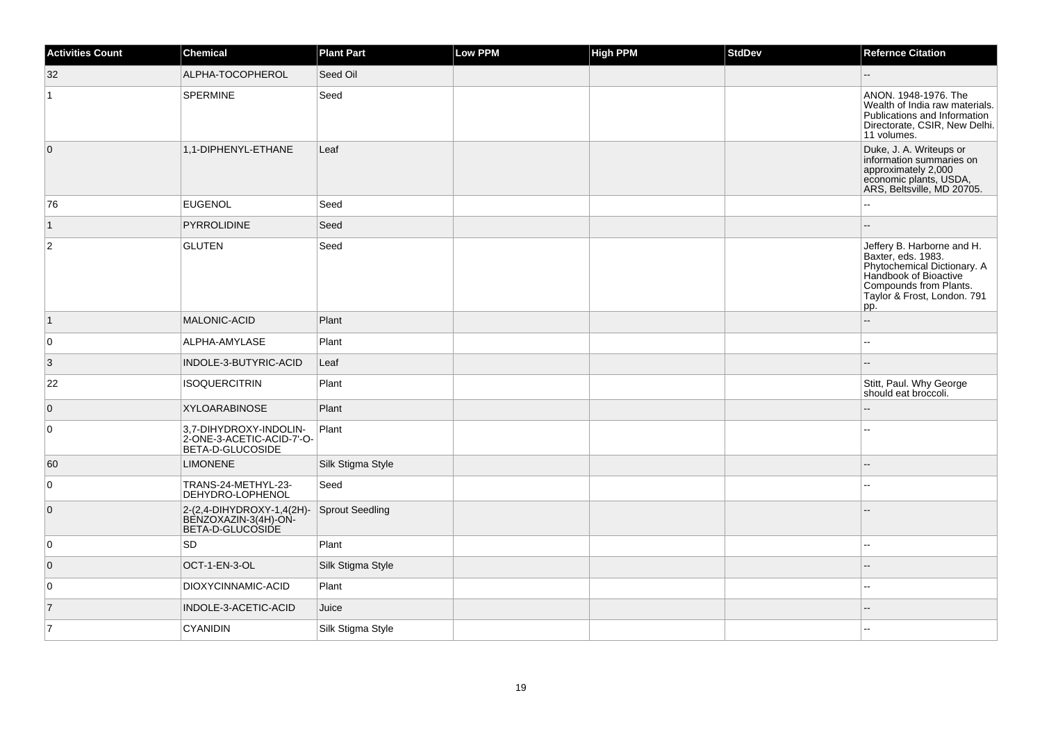| Activities Count | <b>Chemical</b>                                                         | <b>Plant Part</b>      | Low PPM | <b>High PPM</b> | <b>StdDev</b> | <b>Refernce Citation</b>                                                                                                                                                 |
|------------------|-------------------------------------------------------------------------|------------------------|---------|-----------------|---------------|--------------------------------------------------------------------------------------------------------------------------------------------------------------------------|
| 32               | ALPHA-TOCOPHEROL                                                        | Seed Oil               |         |                 |               |                                                                                                                                                                          |
| 1                | <b>SPERMINE</b>                                                         | Seed                   |         |                 |               | ANON. 1948-1976. The<br>Wealth of India raw materials.<br>Publications and Information<br>Directorate, CSIR, New Delhi.<br>11 volumes.                                   |
| $\overline{0}$   | 1,1-DIPHENYL-ETHANE                                                     | Leaf                   |         |                 |               | Duke, J. A. Writeups or<br>information summaries on<br>approximately 2,000<br>economic plants, USDA,<br>ARS, Beltsville, MD 20705.                                       |
| 76               | <b>EUGENOL</b>                                                          | Seed                   |         |                 |               |                                                                                                                                                                          |
| $\mathbf{1}$     | PYRROLIDINE                                                             | Seed                   |         |                 |               |                                                                                                                                                                          |
| 2                | <b>GLUTEN</b>                                                           | Seed                   |         |                 |               | Jeffery B. Harborne and H.<br>Baxter, eds. 1983.<br>Phytochemical Dictionary. A<br>Handbook of Bioactive<br>Compounds from Plants.<br>Taylor & Frost, London. 791<br>pp. |
| $\vert$ 1        | <b>MALONIC-ACID</b>                                                     | Plant                  |         |                 |               | $\overline{a}$                                                                                                                                                           |
| $\overline{0}$   | ALPHA-AMYLASE                                                           | Plant                  |         |                 |               |                                                                                                                                                                          |
| 3                | INDOLE-3-BUTYRIC-ACID                                                   | Leaf                   |         |                 |               | $\sim$                                                                                                                                                                   |
| 22               | <b>ISOQUERCITRIN</b>                                                    | Plant                  |         |                 |               | Stitt, Paul. Why George<br>should eat broccoli.                                                                                                                          |
| $\overline{0}$   | <b>XYLOARABINOSE</b>                                                    | Plant                  |         |                 |               |                                                                                                                                                                          |
| $\overline{0}$   | 3,7-DIHYDROXY-INDOLIN-<br>2-ONE-3-ACETIC-ACID-7'-O-<br>BETA-D-GLUCOSIDE | Plant                  |         |                 |               |                                                                                                                                                                          |
| 60               | <b>LIMONENE</b>                                                         | Silk Stigma Style      |         |                 |               |                                                                                                                                                                          |
| $\overline{0}$   | TRANS-24-METHYL-23-<br>DEHYDRO-LOPHENOL                                 | Seed                   |         |                 |               |                                                                                                                                                                          |
| $\overline{0}$   | 2-(2,4-DIHYDROXY-1,4(2H)-<br>BENZOXAZIN-3(4H)-ON-<br>BETA-D-GLUCOSIDE   | <b>Sprout Seedling</b> |         |                 |               |                                                                                                                                                                          |
| $\overline{0}$   | SD                                                                      | Plant                  |         |                 |               |                                                                                                                                                                          |
| $\overline{0}$   | OCT-1-EN-3-OL                                                           | Silk Stigma Style      |         |                 |               |                                                                                                                                                                          |
| $\overline{0}$   | DIOXYCINNAMIC-ACID                                                      | Plant                  |         |                 |               |                                                                                                                                                                          |
| $\overline{7}$   | INDOLE-3-ACETIC-ACID                                                    | Juice                  |         |                 |               |                                                                                                                                                                          |
| $\overline{7}$   | <b>CYANIDIN</b>                                                         | Silk Stigma Style      |         |                 |               |                                                                                                                                                                          |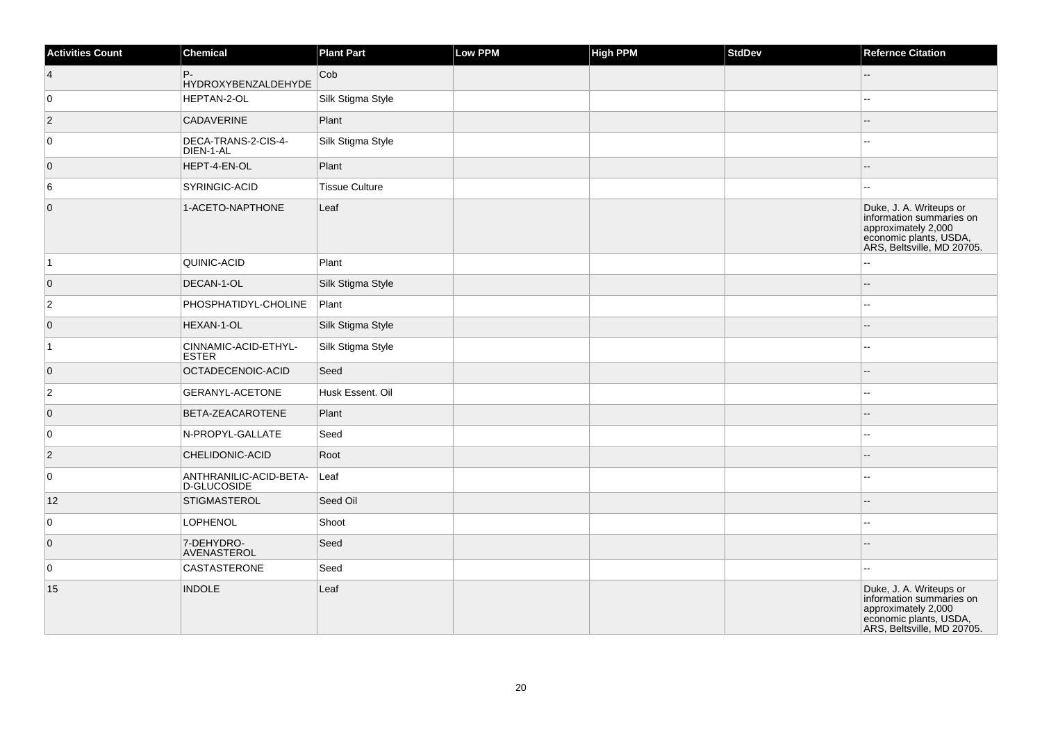| <b>Activities Count</b> | Chemical                              | <b>Plant Part</b>     | Low PPM | <b>High PPM</b> | StdDev | <b>Refernce Citation</b>                                                                                                           |
|-------------------------|---------------------------------------|-----------------------|---------|-----------------|--------|------------------------------------------------------------------------------------------------------------------------------------|
| $\overline{4}$          | P-<br><b>HYDROXYBENZALDEHYDE</b>      | Cob                   |         |                 |        |                                                                                                                                    |
| 0                       | HEPTAN-2-OL                           | Silk Stigma Style     |         |                 |        |                                                                                                                                    |
| $\vert$ 2               | <b>CADAVERINE</b>                     | Plant                 |         |                 |        |                                                                                                                                    |
| $\overline{0}$          | DECA-TRANS-2-CIS-4-<br>DIEN-1-AL      | Silk Stigma Style     |         |                 |        | --                                                                                                                                 |
| $\overline{0}$          | HEPT-4-EN-OL                          | Plant                 |         |                 |        | --                                                                                                                                 |
| 6                       | SYRINGIC-ACID                         | <b>Tissue Culture</b> |         |                 |        | $\sim$                                                                                                                             |
| $\overline{0}$          | 1-ACETO-NAPTHONE                      | Leaf                  |         |                 |        | Duke, J. A. Writeups or<br>information summaries on<br>approximately 2,000<br>economic plants, USDA,<br>ARS, Beltsville, MD 20705. |
| $\vert$ 1               | QUINIC-ACID                           | Plant                 |         |                 |        |                                                                                                                                    |
| $\overline{0}$          | DECAN-1-OL                            | Silk Stigma Style     |         |                 |        |                                                                                                                                    |
| $ 2\rangle$             | PHOSPHATIDYL-CHOLINE                  | $ $ Plant             |         |                 |        | --                                                                                                                                 |
| $\overline{0}$          | HEXAN-1-OL                            | Silk Stigma Style     |         |                 |        | --                                                                                                                                 |
| $\vert$ 1               | CINNAMIC-ACID-ETHYL-<br><b>ESTER</b>  | Silk Stigma Style     |         |                 |        |                                                                                                                                    |
| $\overline{0}$          | OCTADECENOIC-ACID                     | Seed                  |         |                 |        |                                                                                                                                    |
| $ 2\rangle$             | GERANYL-ACETONE                       | Husk Essent. Oil      |         |                 |        | $\overline{a}$                                                                                                                     |
| $\overline{0}$          | BETA-ZEACAROTENE                      | Plant                 |         |                 |        |                                                                                                                                    |
| $\overline{0}$          | N-PROPYL-GALLATE                      | Seed                  |         |                 |        | $\overline{a}$                                                                                                                     |
| $\vert$ 2               | CHELIDONIC-ACID                       | Root                  |         |                 |        | $-$                                                                                                                                |
| $\overline{0}$          | ANTHRANILIC-ACID-BETA-<br>D-GLUCOSIDE | Leaf                  |         |                 |        |                                                                                                                                    |
| 12                      | <b>STIGMASTEROL</b>                   | Seed Oil              |         |                 |        | $-$                                                                                                                                |
| 0                       | <b>LOPHENOL</b>                       | Shoot                 |         |                 |        | $-1$                                                                                                                               |
| $\overline{0}$          | 7-DEHYDRO-<br>AVENASTEROL             | Seed                  |         |                 |        |                                                                                                                                    |
| 0                       | <b>CASTASTERONE</b>                   | Seed                  |         |                 |        | Щ,                                                                                                                                 |
| 15                      | <b>INDOLE</b>                         | Leaf                  |         |                 |        | Duke, J. A. Writeups or<br>information summaries on<br>approximately 2,000<br>economic plants, USDA,<br>ARS, Beltsville, MD 20705. |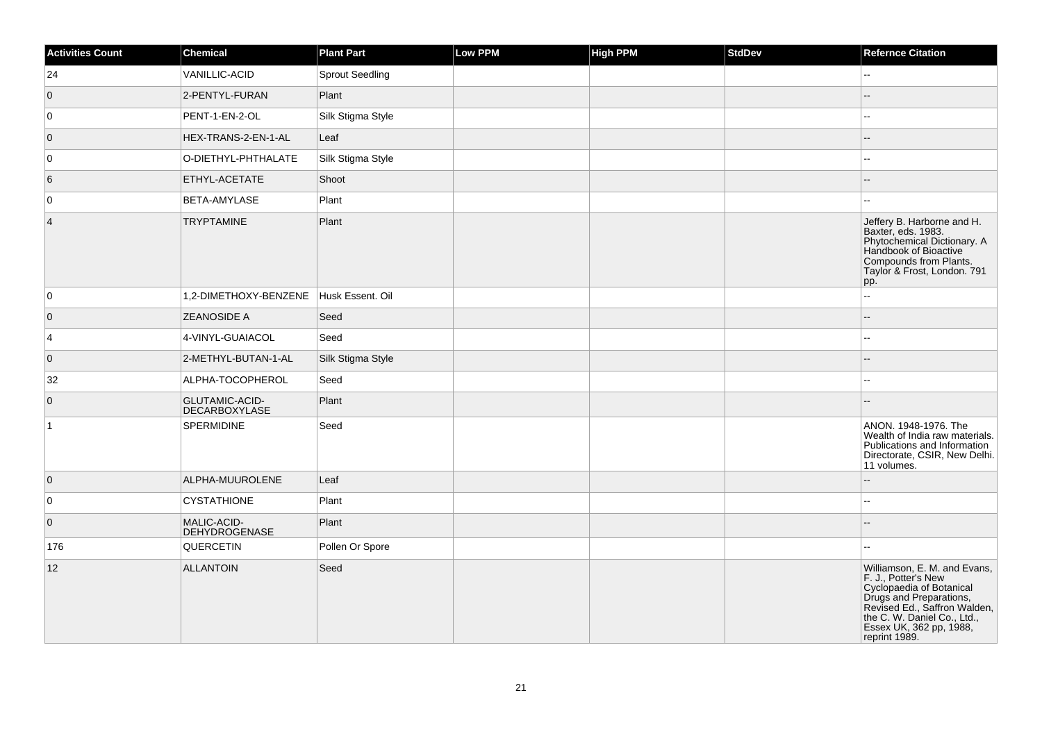| <b>Activities Count</b> | <b>Chemical</b>                               | <b>Plant Part</b>      | <b>Low PPM</b> | <b>High PPM</b> | StdDev | <b>Refernce Citation</b>                                                                                                                                                                                              |
|-------------------------|-----------------------------------------------|------------------------|----------------|-----------------|--------|-----------------------------------------------------------------------------------------------------------------------------------------------------------------------------------------------------------------------|
| 24                      | VANILLIC-ACID                                 | <b>Sprout Seedling</b> |                |                 |        | 44                                                                                                                                                                                                                    |
| $\overline{0}$          | 2-PENTYL-FURAN                                | Plant                  |                |                 |        |                                                                                                                                                                                                                       |
| 0                       | PENT-1-EN-2-OL                                | Silk Stigma Style      |                |                 |        | --                                                                                                                                                                                                                    |
| $\overline{0}$          | HEX-TRANS-2-EN-1-AL                           | Leaf                   |                |                 |        |                                                                                                                                                                                                                       |
| $\mathbf 0$             | O-DIETHYL-PHTHALATE                           | Silk Stigma Style      |                |                 |        | --                                                                                                                                                                                                                    |
| 6                       | ETHYL-ACETATE                                 | Shoot                  |                |                 |        |                                                                                                                                                                                                                       |
| 0                       | BETA-AMYLASE                                  | Plant                  |                |                 |        |                                                                                                                                                                                                                       |
| $\overline{4}$          | <b>TRYPTAMINE</b>                             | Plant                  |                |                 |        | Jeffery B. Harborne and H.<br>Baxter, eds. 1983.<br>Phytochemical Dictionary. A<br>Handbook of Bioactive<br>Compounds from Plants.<br>Taylor & Frost, London. 791<br>pp.                                              |
| 0                       | 1,2-DIMETHOXY-BENZENE                         | Husk Essent. Oil       |                |                 |        | u.                                                                                                                                                                                                                    |
| $\overline{0}$          | <b>ZEANOSIDE A</b>                            | Seed                   |                |                 |        | $-$                                                                                                                                                                                                                   |
| 4                       | 4-VINYL-GUAIACOL                              | Seed                   |                |                 |        | $=$                                                                                                                                                                                                                   |
| $\overline{0}$          | 2-METHYL-BUTAN-1-AL                           | Silk Stigma Style      |                |                 |        |                                                                                                                                                                                                                       |
| 32                      | ALPHA-TOCOPHEROL                              | Seed                   |                |                 |        | ÷÷.                                                                                                                                                                                                                   |
| $\overline{0}$          | <b>GLUTAMIC-ACID-</b><br><b>DECARBOXYLASE</b> | Plant                  |                |                 |        |                                                                                                                                                                                                                       |
| $\vert$ 1               | <b>SPERMIDINE</b>                             | Seed                   |                |                 |        | ANON, 1948-1976, The<br>Wealth of India raw materials.<br>Publications and Information<br>Directorate, CSIR, New Delhi.<br>11 volumes.                                                                                |
| $\overline{0}$          | ALPHA-MUUROLENE                               | Leaf                   |                |                 |        |                                                                                                                                                                                                                       |
| 0                       | <b>CYSTATHIONE</b>                            | Plant                  |                |                 |        | ц,                                                                                                                                                                                                                    |
| $\overline{0}$          | MALIC-ACID-<br><b>DEHYDROGENASE</b>           | Plant                  |                |                 |        |                                                                                                                                                                                                                       |
| 176                     | QUERCETIN                                     | Pollen Or Spore        |                |                 |        |                                                                                                                                                                                                                       |
| 12                      | <b>ALLANTOIN</b>                              | Seed                   |                |                 |        | Williamson, E. M. and Evans,<br>F. J., Potter's New<br>Cyclopaedia of Botanical<br>Drugs and Preparations,<br>Revised Ed., Saffron Walden,<br>the C. W. Daniel Co., Ltd.,<br>Essex UK, 362 pp, 1988,<br>reprint 1989. |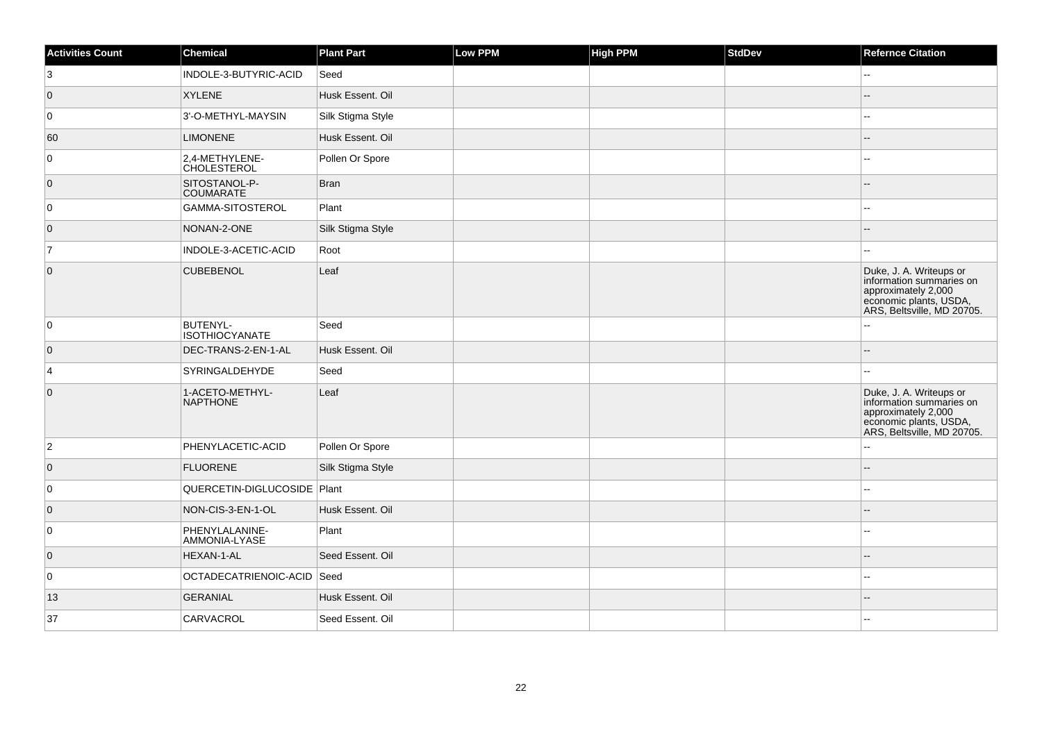| <b>Activities Count</b> | Chemical                                 | <b>Plant Part</b> | Low PPM | <b>High PPM</b> | <b>StdDev</b> | <b>Refernce Citation</b>                                                                                                           |
|-------------------------|------------------------------------------|-------------------|---------|-----------------|---------------|------------------------------------------------------------------------------------------------------------------------------------|
| 3                       | INDOLE-3-BUTYRIC-ACID                    | Seed              |         |                 |               | --                                                                                                                                 |
| $\overline{0}$          | <b>XYLENE</b>                            | Husk Essent. Oil  |         |                 |               |                                                                                                                                    |
| 0                       | 3'-O-METHYL-MAYSIN                       | Silk Stigma Style |         |                 |               |                                                                                                                                    |
| 60                      | <b>LIMONENE</b>                          | Husk Essent. Oil  |         |                 |               | --                                                                                                                                 |
| $\overline{0}$          | 2,4-METHYLENE-<br><b>CHOLESTEROL</b>     | Pollen Or Spore   |         |                 |               |                                                                                                                                    |
| $\overline{0}$          | SITOSTANOL-P-<br><b>COUMARATE</b>        | <b>Bran</b>       |         |                 |               |                                                                                                                                    |
| $\overline{0}$          | GAMMA-SITOSTEROL                         | Plant             |         |                 |               |                                                                                                                                    |
| $\overline{0}$          | NONAN-2-ONE                              | Silk Stigma Style |         |                 |               |                                                                                                                                    |
| $\overline{7}$          | INDOLE-3-ACETIC-ACID                     | Root              |         |                 |               |                                                                                                                                    |
| $\overline{0}$          | <b>CUBEBENOL</b>                         | Leaf              |         |                 |               | Duke, J. A. Writeups or<br>information summaries on<br>approximately 2,000<br>economic plants, USDA,<br>ARS, Beltsville, MD 20705. |
| $\overline{0}$          | <b>BUTENYL-</b><br><b>ISOTHIOCYANATE</b> | Seed              |         |                 |               |                                                                                                                                    |
| $\overline{0}$          | DEC-TRANS-2-EN-1-AL                      | Husk Essent. Oil  |         |                 |               |                                                                                                                                    |
| $\overline{4}$          | SYRINGALDEHYDE                           | Seed              |         |                 |               |                                                                                                                                    |
| $\overline{0}$          | 1-ACETO-METHYL-<br><b>NAPTHONE</b>       | Leaf              |         |                 |               | Duke, J. A. Writeups or<br>information summaries on<br>approximately 2,000<br>economic plants, USDA,<br>ARS, Beltsville, MD 20705. |
| $ 2\rangle$             | PHENYLACETIC-ACID                        | Pollen Or Spore   |         |                 |               |                                                                                                                                    |
| $\overline{0}$          | <b>FLUORENE</b>                          | Silk Stigma Style |         |                 |               |                                                                                                                                    |
| $\overline{0}$          | QUERCETIN-DIGLUCOSIDE   Plant            |                   |         |                 |               |                                                                                                                                    |
| $\overline{0}$          | NON-CIS-3-EN-1-OL                        | Husk Essent. Oil  |         |                 |               |                                                                                                                                    |
| $\overline{0}$          | PHENYLALANINE-<br>AMMONIA-LYASE          | Plant             |         |                 |               |                                                                                                                                    |
| $\overline{0}$          | HEXAN-1-AL                               | Seed Essent, Oil  |         |                 |               |                                                                                                                                    |
| $\overline{0}$          | OCTADECATRIENOIC-ACID Seed               |                   |         |                 |               |                                                                                                                                    |
| 13                      | <b>GERANIAL</b>                          | Husk Essent. Oil  |         |                 |               |                                                                                                                                    |
| 37                      | CARVACROL                                | Seed Essent, Oil  |         |                 |               |                                                                                                                                    |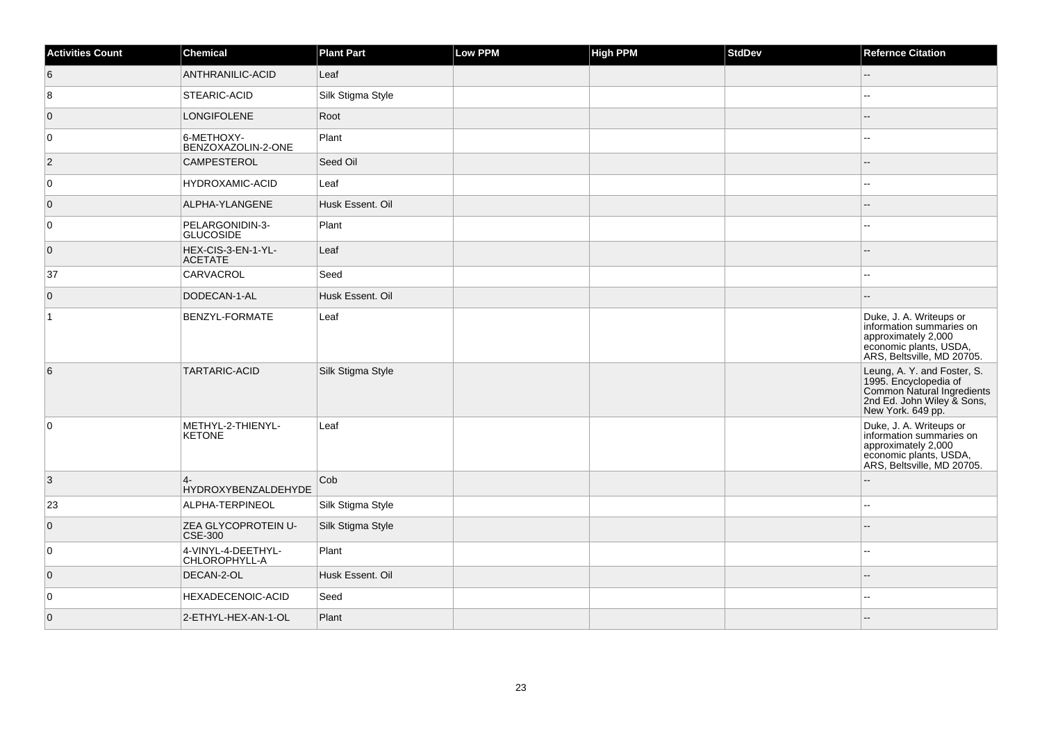| <b>Activities Count</b> | <b>Chemical</b>                       | <b>Plant Part</b> | <b>Low PPM</b> | High PPM | <b>StdDev</b> | <b>Refernce Citation</b>                                                                                                              |
|-------------------------|---------------------------------------|-------------------|----------------|----------|---------------|---------------------------------------------------------------------------------------------------------------------------------------|
| 6                       | ANTHRANILIC-ACID                      | Leaf              |                |          |               | $\overline{\phantom{a}}$                                                                                                              |
| 8                       | STEARIC-ACID                          | Silk Stigma Style |                |          |               | $\sim$                                                                                                                                |
| $\overline{0}$          | <b>LONGIFOLENE</b>                    | Root              |                |          |               | ٠.                                                                                                                                    |
| 0                       | 6-METHOXY-<br>BENZOXAZOLIN-2-ONE      | Plant             |                |          |               | $\sim$                                                                                                                                |
| $ 2\rangle$             | <b>CAMPESTEROL</b>                    | Seed Oil          |                |          |               |                                                                                                                                       |
| 0                       | <b>HYDROXAMIC-ACID</b>                | Leaf              |                |          |               | $\sim$                                                                                                                                |
| $\overline{0}$          | ALPHA-YLANGENE                        | Husk Essent, Oil  |                |          |               |                                                                                                                                       |
| $\overline{0}$          | PELARGONIDIN-3-<br><b>GLUCOSIDE</b>   | Plant             |                |          |               |                                                                                                                                       |
| $\overline{0}$          | HEX-CIS-3-EN-1-YL-<br><b>ACETATE</b>  | Leaf              |                |          |               | $-$                                                                                                                                   |
| 37                      | CARVACROL                             | Seed              |                |          |               | $\overline{\phantom{a}}$                                                                                                              |
| $\overline{0}$          | DODECAN-1-AL                          | Husk Essent. Oil  |                |          |               | $\sim$                                                                                                                                |
| $\overline{1}$          | <b>BENZYL-FORMATE</b>                 | Leaf              |                |          |               | Duke, J. A. Writeups or<br>information summaries on<br>approximately 2,000<br>economic plants, USDA,<br>ARS, Beltsville, MD 20705.    |
| 6                       | <b>TARTARIC-ACID</b>                  | Silk Stigma Style |                |          |               | Leung, A. Y. and Foster, S.<br>1995. Encyclopedia of<br>Common Natural Ingredients<br>2nd Ed. John Wiley & Sons,<br>New York. 649 pp. |
| $\overline{0}$          | METHYL-2-THIENYL-<br><b>KETONE</b>    | Leaf              |                |          |               | Duke, J. A. Writeups or<br>information summaries on<br>approximately 2,000<br>economic plants, USDA,<br>ARS, Beltsville, MD 20705.    |
| 3                       | $4-$<br>HYDROXYBENZALDEHYDE           | Cob               |                |          |               |                                                                                                                                       |
| 23                      | ALPHA-TERPINEOL                       | Silk Stigma Style |                |          |               | ä.                                                                                                                                    |
| $\overline{0}$          | ZEA GLYCOPROTEIN U-<br><b>CSE-300</b> | Silk Stigma Style |                |          |               |                                                                                                                                       |
| 0                       | 4-VINYL-4-DEETHYL-<br>CHLOROPHYLL-A   | Plant             |                |          |               |                                                                                                                                       |
| $\overline{0}$          | DECAN-2-OL                            | Husk Essent. Oil  |                |          |               |                                                                                                                                       |
| $\overline{0}$          | <b>HEXADECENOIC-ACID</b>              | Seed              |                |          |               |                                                                                                                                       |
| $\overline{0}$          | 2-ETHYL-HEX-AN-1-OL                   | Plant             |                |          |               |                                                                                                                                       |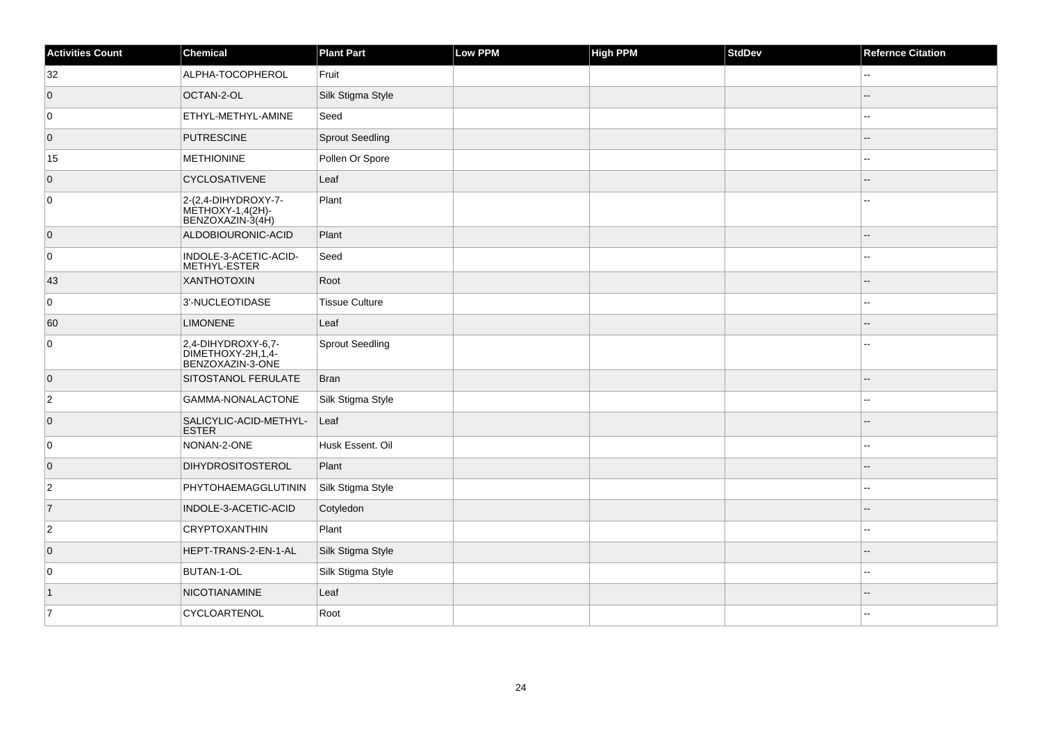| <b>Activities Count</b> | <b>Chemical</b>                                             | <b>Plant Part</b>      | Low PPM | <b>High PPM</b> | <b>StdDev</b> | <b>Refernce Citation</b> |
|-------------------------|-------------------------------------------------------------|------------------------|---------|-----------------|---------------|--------------------------|
| 32                      | ALPHA-TOCOPHEROL                                            | Fruit                  |         |                 |               | 44                       |
| $\overline{0}$          | OCTAN-2-OL                                                  | Silk Stigma Style      |         |                 |               |                          |
| 0                       | ETHYL-METHYL-AMINE                                          | Seed                   |         |                 |               | $\overline{\phantom{a}}$ |
| $\overline{0}$          | <b>PUTRESCINE</b>                                           | <b>Sprout Seedling</b> |         |                 |               | $\sim$                   |
| 15                      | <b>METHIONINE</b>                                           | Pollen Or Spore        |         |                 |               |                          |
| $\overline{0}$          | CYCLOSATIVENE                                               | Leaf                   |         |                 |               |                          |
| 0                       | 2-(2,4-DIHYDROXY-7-<br>MÈTHOXY-1,4(2H)-<br>BENZOXAZIN-3(4H) | Plant                  |         |                 |               |                          |
| $\overline{0}$          | ALDOBIOURONIC-ACID                                          | Plant                  |         |                 |               |                          |
| $\mathbf 0$             | INDOLE-3-ACETIC-ACID-<br>METHYL-ESTER                       | Seed                   |         |                 |               | --                       |
| 43                      | <b>XANTHOTOXIN</b>                                          | Root                   |         |                 |               |                          |
| 0                       | 3'-NUCLEOTIDASE                                             | <b>Tissue Culture</b>  |         |                 |               | $-1$                     |
| 60                      | <b>LIMONENE</b>                                             | Leaf                   |         |                 |               | --                       |
| 0                       | 2,4-DIHYDROXY-6,7-<br>DIMETHOXY-2H,1,4-<br>BENZOXAZIN-3-ONE | <b>Sprout Seedling</b> |         |                 |               |                          |
| $\overline{0}$          | SITOSTANOL FERULATE                                         | <b>Bran</b>            |         |                 |               | --                       |
| $\overline{2}$          | GAMMA-NONALACTONE                                           | Silk Stigma Style      |         |                 |               | $-$                      |
| $\overline{0}$          | SALICYLIC-ACID-METHYL-<br><b>ESTER</b>                      | Leaf                   |         |                 |               |                          |
| 0                       | NONAN-2-ONE                                                 | Husk Essent. Oil       |         |                 |               | $\overline{\phantom{a}}$ |
| $\overline{0}$          | <b>DIHYDROSITOSTEROL</b>                                    | Plant                  |         |                 |               |                          |
| $\overline{2}$          | PHYTOHAEMAGGLUTININ                                         | Silk Stigma Style      |         |                 |               | $\overline{a}$           |
| $\overline{7}$          | INDOLE-3-ACETIC-ACID                                        | Cotyledon              |         |                 |               |                          |
| $\overline{2}$          | <b>CRYPTOXANTHIN</b>                                        | Plant                  |         |                 |               | --                       |
| $\overline{0}$          | HEPT-TRANS-2-EN-1-AL                                        | Silk Stigma Style      |         |                 |               |                          |
| 0                       | BUTAN-1-OL                                                  | Silk Stigma Style      |         |                 |               |                          |
| $\vert$ 1               | <b>NICOTIANAMINE</b>                                        | Leaf                   |         |                 |               |                          |
| 7                       | CYCLOARTENOL                                                | Root                   |         |                 |               |                          |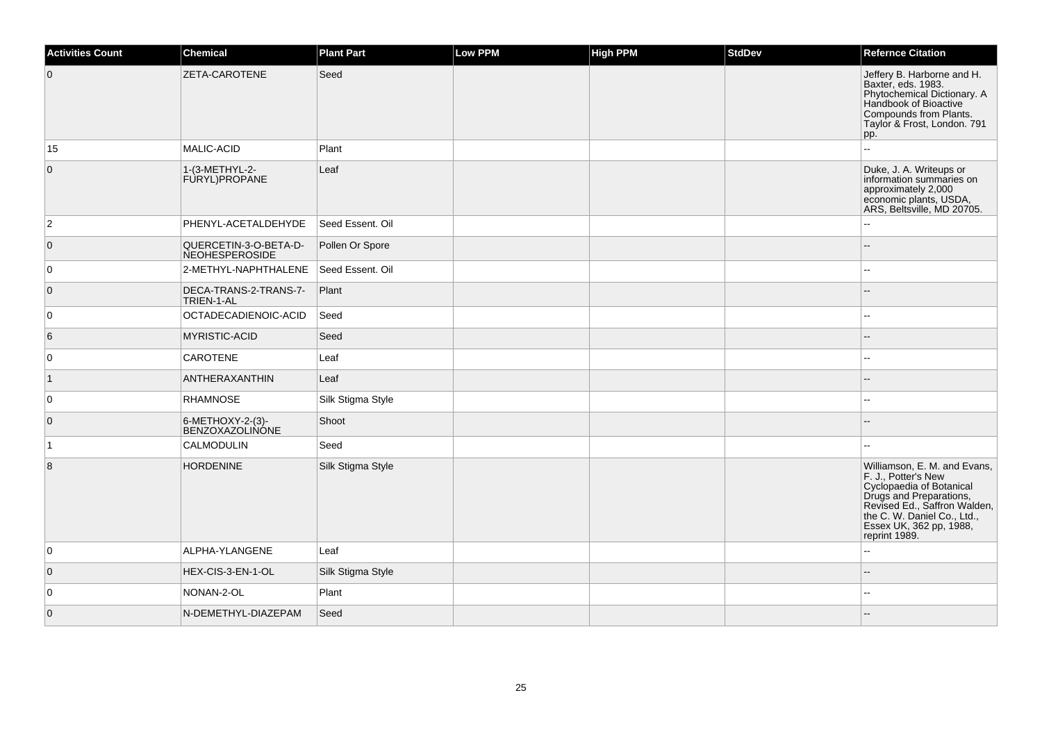| <b>Activities Count</b> | <b>Chemical</b>                                | <b>Plant Part</b> | <b>Low PPM</b> | High PPM | <b>StdDev</b> | <b>Refernce Citation</b>                                                                                                                                                                                              |
|-------------------------|------------------------------------------------|-------------------|----------------|----------|---------------|-----------------------------------------------------------------------------------------------------------------------------------------------------------------------------------------------------------------------|
| $\overline{0}$          | ZETA-CAROTENE                                  | Seed              |                |          |               | Jeffery B. Harborne and H.<br>Baxter, eds. 1983.<br>Phytochemical Dictionary. A<br>Handbook of Bioactive<br>Compounds from Plants.<br>Taylor & Frost, London. 791<br>pp.                                              |
| 15                      | MALIC-ACID                                     | Plant             |                |          |               | $\sim$                                                                                                                                                                                                                |
| $\overline{0}$          | 1-(3-METHYL-2-<br>FURYL)PROPANE                | Leaf              |                |          |               | Duke, J. A. Writeups or<br>information summaries on<br>approximately 2,000<br>economic plants, USDA,<br>ARS, Beltsville, MD 20705.                                                                                    |
| $ 2\rangle$             | PHENYL-ACETALDEHYDE                            | Seed Essent. Oil  |                |          |               |                                                                                                                                                                                                                       |
| $\overline{0}$          | QUERCETIN-3-O-BETA-D-<br><b>NEOHESPEROSIDE</b> | Pollen Or Spore   |                |          |               |                                                                                                                                                                                                                       |
| 0                       | 2-METHYL-NAPHTHALENE                           | Seed Essent. Oil  |                |          |               |                                                                                                                                                                                                                       |
| $\overline{0}$          | DECA-TRANS-2-TRANS-7-<br>TRIEN-1-AL            | Plant             |                |          |               | $\overline{a}$                                                                                                                                                                                                        |
| $\overline{0}$          | OCTADECADIENOIC-ACID                           | Seed              |                |          |               |                                                                                                                                                                                                                       |
| 6                       | <b>MYRISTIC-ACID</b>                           | Seed              |                |          |               |                                                                                                                                                                                                                       |
| $\overline{0}$          | <b>CAROTENE</b>                                | Leaf              |                |          |               | $\sim$                                                                                                                                                                                                                |
| $\vert$ 1               | ANTHERAXANTHIN                                 | Leaf              |                |          |               |                                                                                                                                                                                                                       |
| $\overline{0}$          | RHAMNOSE                                       | Silk Stigma Style |                |          |               | $\overline{a}$                                                                                                                                                                                                        |
| $\overline{0}$          | 6-METHOXY-2-(3)-<br><b>BENZOXAZOLINÓNE</b>     | Shoot             |                |          |               |                                                                                                                                                                                                                       |
| $\overline{1}$          | CALMODULIN                                     | Seed              |                |          |               |                                                                                                                                                                                                                       |
| 8                       | <b>HORDENINE</b>                               | Silk Stigma Style |                |          |               | Williamson, E. M. and Evans,<br>F. J., Potter's New<br>Cyclopaedia of Botanical<br>Drugs and Preparations,<br>Revised Ed., Saffron Walden,<br>the C. W. Daniel Co., Ltd.,<br>Essex UK, 362 pp, 1988,<br>reprint 1989. |
| 0                       | ALPHA-YLANGENE                                 | Leaf              |                |          |               | $\sim$                                                                                                                                                                                                                |
| $\overline{0}$          | HEX-CIS-3-EN-1-OL                              | Silk Stigma Style |                |          |               | $-$                                                                                                                                                                                                                   |
| $\overline{0}$          | NONAN-2-OL                                     | Plant             |                |          |               |                                                                                                                                                                                                                       |
| $\overline{0}$          | N-DEMETHYL-DIAZEPAM                            | Seed              |                |          |               |                                                                                                                                                                                                                       |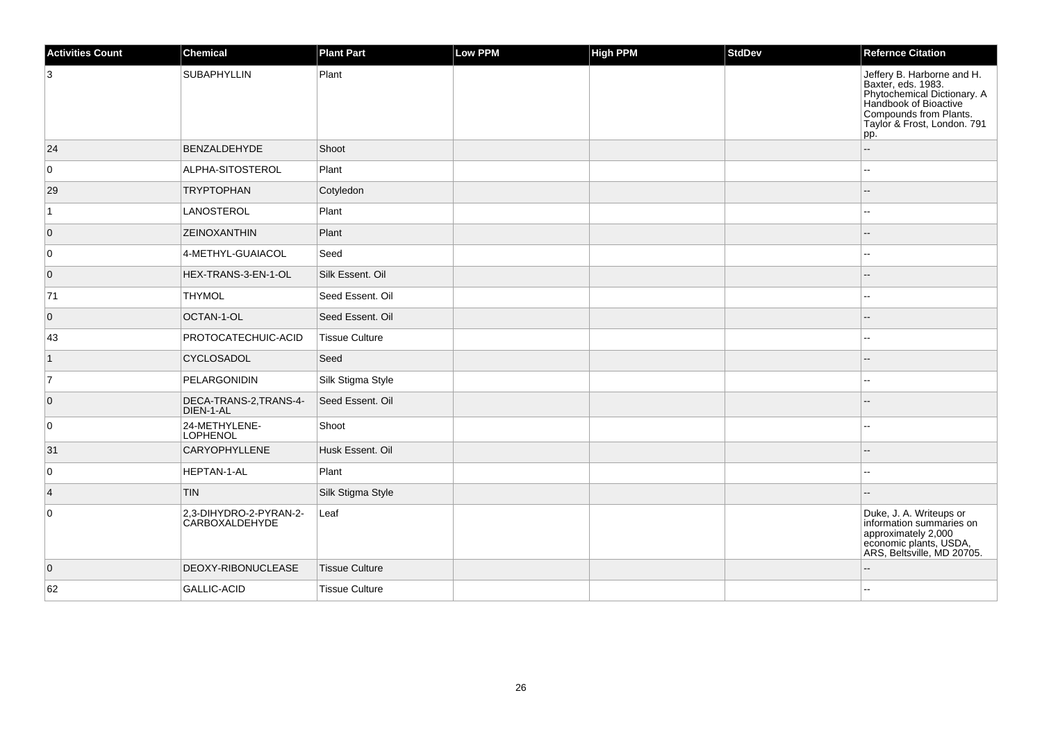| <b>Activities Count</b> | <b>Chemical</b>                          | <b>Plant Part</b>     | <b>Low PPM</b> | High PPM | <b>StdDev</b> | <b>Refernce Citation</b>                                                                                                                                                 |
|-------------------------|------------------------------------------|-----------------------|----------------|----------|---------------|--------------------------------------------------------------------------------------------------------------------------------------------------------------------------|
| 3                       | SUBAPHYLLIN                              | Plant                 |                |          |               | Jeffery B. Harborne and H.<br>Baxter, eds. 1983.<br>Phytochemical Dictionary. A<br>Handbook of Bioactive<br>Compounds from Plants.<br>Taylor & Frost, London. 791<br>pp. |
| 24                      | BENZALDEHYDE                             | Shoot                 |                |          |               | $\overline{\phantom{a}}$                                                                                                                                                 |
| $\overline{0}$          | ALPHA-SITOSTEROL                         | Plant                 |                |          |               | $\overline{\phantom{a}}$                                                                                                                                                 |
| 29                      | <b>TRYPTOPHAN</b>                        | Cotyledon             |                |          |               |                                                                                                                                                                          |
| 1                       | LANOSTEROL                               | Plant                 |                |          |               | $\sim$                                                                                                                                                                   |
| $\overline{0}$          | ZEINOXANTHIN                             | Plant                 |                |          |               |                                                                                                                                                                          |
| 0                       | 4-METHYL-GUAIACOL                        | Seed                  |                |          |               | $-$                                                                                                                                                                      |
| $\overline{0}$          | HEX-TRANS-3-EN-1-OL                      | Silk Essent. Oil      |                |          |               |                                                                                                                                                                          |
| 71                      | <b>THYMOL</b>                            | Seed Essent. Oil      |                |          |               |                                                                                                                                                                          |
| $\overline{0}$          | OCTAN-1-OL                               | Seed Essent, Oil      |                |          |               |                                                                                                                                                                          |
| 43                      | PROTOCATECHUIC-ACID                      | <b>Tissue Culture</b> |                |          |               |                                                                                                                                                                          |
| $\mathbf 1$             | CYCLOSADOL                               | Seed                  |                |          |               | $-$                                                                                                                                                                      |
| $\overline{7}$          | PELARGONIDIN                             | Silk Stigma Style     |                |          |               |                                                                                                                                                                          |
| $\overline{0}$          | DECA-TRANS-2, TRANS-4-<br>DIEN-1-AL      | Seed Essent. Oil      |                |          |               |                                                                                                                                                                          |
| 0                       | 24-METHYLENE-<br><b>LOPHENOL</b>         | Shoot                 |                |          |               |                                                                                                                                                                          |
| 31                      | <b>CARYOPHYLLENE</b>                     | Husk Essent. Oil      |                |          |               |                                                                                                                                                                          |
| $\overline{0}$          | HEPTAN-1-AL                              | Plant                 |                |          |               | $\sim$                                                                                                                                                                   |
| $\vert 4 \vert$         | TIN.                                     | Silk Stigma Style     |                |          |               |                                                                                                                                                                          |
| $\overline{0}$          | 2,3-DIHYDRO-2-PYRAN-2-<br>CARBOXALDEHYDE | Leaf                  |                |          |               | Duke, J. A. Writeups or<br>information summaries on<br>approximately 2,000<br>economic plants, USDA,<br>ARS, Beltsville, MD 20705.                                       |
| $\overline{0}$          | DEOXY-RIBONUCLEASE                       | Tissue Culture        |                |          |               |                                                                                                                                                                          |
| 62                      | GALLIC-ACID                              | <b>Tissue Culture</b> |                |          |               |                                                                                                                                                                          |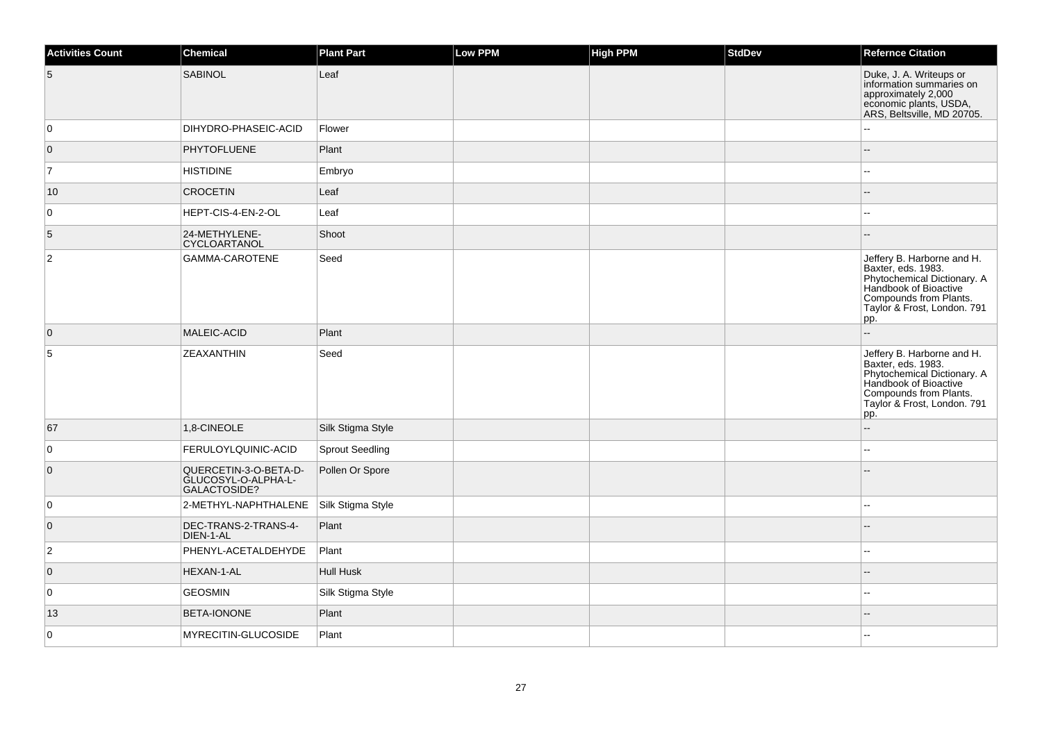| <b>Activities Count</b> | <b>Chemical</b>                                              | <b>Plant Part</b>      | Low PPM | <b>High PPM</b> | <b>StdDev</b> | <b>Refernce Citation</b>                                                                                                                                                  |
|-------------------------|--------------------------------------------------------------|------------------------|---------|-----------------|---------------|---------------------------------------------------------------------------------------------------------------------------------------------------------------------------|
| 5                       | <b>SABINOL</b>                                               | Leaf                   |         |                 |               | Duke, J. A. Writeups or<br>information summaries on<br>approximately 2,000<br>economic plants, USDA,<br>ARS, Beltsville, MD 20705.                                        |
| 0                       | DIHYDRO-PHASEIC-ACID                                         | Flower                 |         |                 |               |                                                                                                                                                                           |
| $\overline{0}$          | <b>PHYTOFLUENE</b>                                           | Plant                  |         |                 |               |                                                                                                                                                                           |
| $\overline{7}$          | <b>HISTIDINE</b>                                             | Embryo                 |         |                 |               |                                                                                                                                                                           |
| 10                      | <b>CROCETIN</b>                                              | Leaf                   |         |                 |               |                                                                                                                                                                           |
| $\mathbf 0$             | HEPT-CIS-4-EN-2-OL                                           | Leaf                   |         |                 |               |                                                                                                                                                                           |
| 5                       | 24-METHYLENE-<br>CYCLOARTANOL                                | Shoot                  |         |                 |               |                                                                                                                                                                           |
| 2                       | GAMMA-CAROTENE                                               | Seed                   |         |                 |               | Jeffery B. Harborne and H.<br>Baxter, eds. 1983.<br>Phytochemical Dictionary. A<br>Handbook of Bioactive<br>Compounds from Plants.<br>Taylor & Frost, London. 791<br> pp. |
| $\overline{0}$          | MALEIC-ACID                                                  | Plant                  |         |                 |               | Ξ.                                                                                                                                                                        |
| 5                       | ZEAXANTHIN                                                   | Seed                   |         |                 |               | Jeffery B. Harborne and H.<br>Baxter, eds. 1983.<br>Phytochemical Dictionary. A<br>Handbook of Bioactive<br>Compounds from Plants.<br>Taylor & Frost, London. 791<br>pp.  |
| 67                      | 1,8-CINEOLE                                                  | Silk Stigma Style      |         |                 |               |                                                                                                                                                                           |
| $\mathbf 0$             | FERULOYLQUINIC-ACID                                          | <b>Sprout Seedling</b> |         |                 |               |                                                                                                                                                                           |
| $\overline{0}$          | QUERCETIN-3-O-BETA-D-<br>GLUCOSYL-O-ALPHA-L-<br>GALACTOSIDE? | Pollen Or Spore        |         |                 |               |                                                                                                                                                                           |
| 0                       | 2-METHYL-NAPHTHALENE                                         | Silk Stigma Style      |         |                 |               |                                                                                                                                                                           |
| $\overline{0}$          | DEC-TRANS-2-TRANS-4-<br>DIEN-1-AL                            | Plant                  |         |                 |               |                                                                                                                                                                           |
| $\overline{2}$          | PHENYL-ACETALDEHYDE                                          | Plant                  |         |                 |               |                                                                                                                                                                           |
| $\overline{0}$          | HEXAN-1-AL                                                   | <b>Hull Husk</b>       |         |                 |               |                                                                                                                                                                           |
| 0                       | <b>GEOSMIN</b>                                               | Silk Stigma Style      |         |                 |               |                                                                                                                                                                           |
| 13                      | BETA-IONONE                                                  | Plant                  |         |                 |               |                                                                                                                                                                           |
| $\mathbf 0$             | MYRECITIN-GLUCOSIDE                                          | Plant                  |         |                 |               |                                                                                                                                                                           |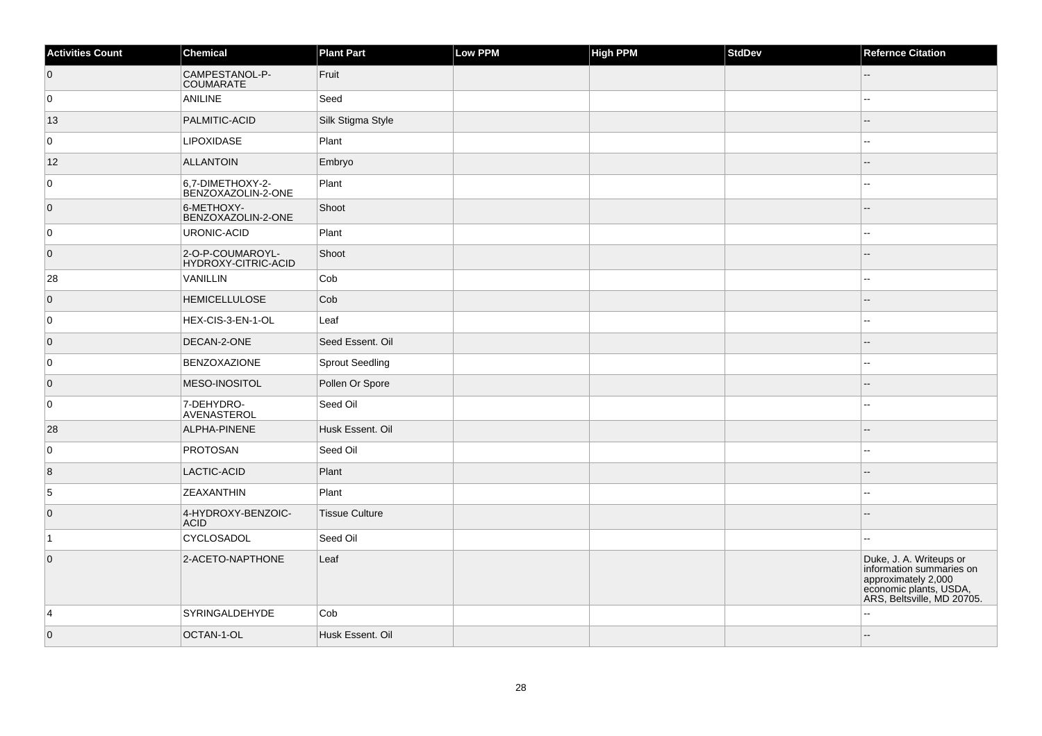| <b>Activities Count</b> | Chemical                                | <b>Plant Part</b>     | Low PPM | <b>High PPM</b> | <b>StdDev</b> | <b>Refernce Citation</b>                                                                                                           |
|-------------------------|-----------------------------------------|-----------------------|---------|-----------------|---------------|------------------------------------------------------------------------------------------------------------------------------------|
| $\overline{0}$          | CAMPESTANOL-P-<br><b>COUMARATE</b>      | Fruit                 |         |                 |               |                                                                                                                                    |
| 0                       | <b>ANILINE</b>                          | Seed                  |         |                 |               |                                                                                                                                    |
| 13                      | PALMITIC-ACID                           | Silk Stigma Style     |         |                 |               | --                                                                                                                                 |
| 0                       | <b>LIPOXIDASE</b>                       | Plant                 |         |                 |               | $\sim$                                                                                                                             |
| 12                      | <b>ALLANTOIN</b>                        | Embryo                |         |                 |               |                                                                                                                                    |
| 0                       | 6,7-DIMETHOXY-2-<br>BENZOXAZOLIN-2-ONE  | Plant                 |         |                 |               | --                                                                                                                                 |
| $\overline{0}$          | 6-METHOXY-<br>BENZOXAZOLIN-2-ONE        | Shoot                 |         |                 |               | $-$                                                                                                                                |
| 0                       | URONIC-ACID                             | Plant                 |         |                 |               | --                                                                                                                                 |
| $\overline{0}$          | 2-O-P-COUMAROYL-<br>HYDROXY-CITRIC-ACID | Shoot                 |         |                 |               |                                                                                                                                    |
| 28                      | VANILLIN                                | Cob                   |         |                 |               |                                                                                                                                    |
| $\overline{0}$          | <b>HEMICELLULOSE</b>                    | Cob                   |         |                 |               |                                                                                                                                    |
| 0                       | HEX-CIS-3-EN-1-OL                       | Leaf                  |         |                 |               | --                                                                                                                                 |
| $\overline{0}$          | DECAN-2-ONE                             | Seed Essent, Oil      |         |                 |               | --                                                                                                                                 |
| 0                       | <b>BENZOXAZIONE</b>                     | Sprout Seedling       |         |                 |               | ۵.                                                                                                                                 |
| $\overline{0}$          | MESO-INOSITOL                           | Pollen Or Spore       |         |                 |               | ۵.                                                                                                                                 |
| 0                       | 7-DEHYDRO-<br>AVENASTEROL               | Seed Oil              |         |                 |               |                                                                                                                                    |
| 28                      | ALPHA-PINENE                            | Husk Essent. Oil      |         |                 |               | --                                                                                                                                 |
| 0                       | <b>PROTOSAN</b>                         | Seed Oil              |         |                 |               | Ξ.                                                                                                                                 |
| $\overline{8}$          | LACTIC-ACID                             | Plant                 |         |                 |               | --                                                                                                                                 |
| 5                       | ZEAXANTHIN                              | Plant                 |         |                 |               | Ξ.                                                                                                                                 |
| $\overline{0}$          | 4-HYDROXY-BENZOIC-<br><b>ACID</b>       | <b>Tissue Culture</b> |         |                 |               |                                                                                                                                    |
| $\mathbf{1}$            | CYCLOSADOL                              | Seed Oil              |         |                 |               | $\sim$                                                                                                                             |
| $\overline{0}$          | 2-ACETO-NAPTHONE                        | Leaf                  |         |                 |               | Duke, J. A. Writeups or<br>information summaries on<br>approximately 2,000<br>economic plants, USDA,<br>ARS, Beltsville, MD 20705. |
| $\overline{4}$          | SYRINGALDEHYDE                          | Cob                   |         |                 |               |                                                                                                                                    |
| $\overline{0}$          | OCTAN-1-OL                              | Husk Essent. Oil      |         |                 |               | $-$                                                                                                                                |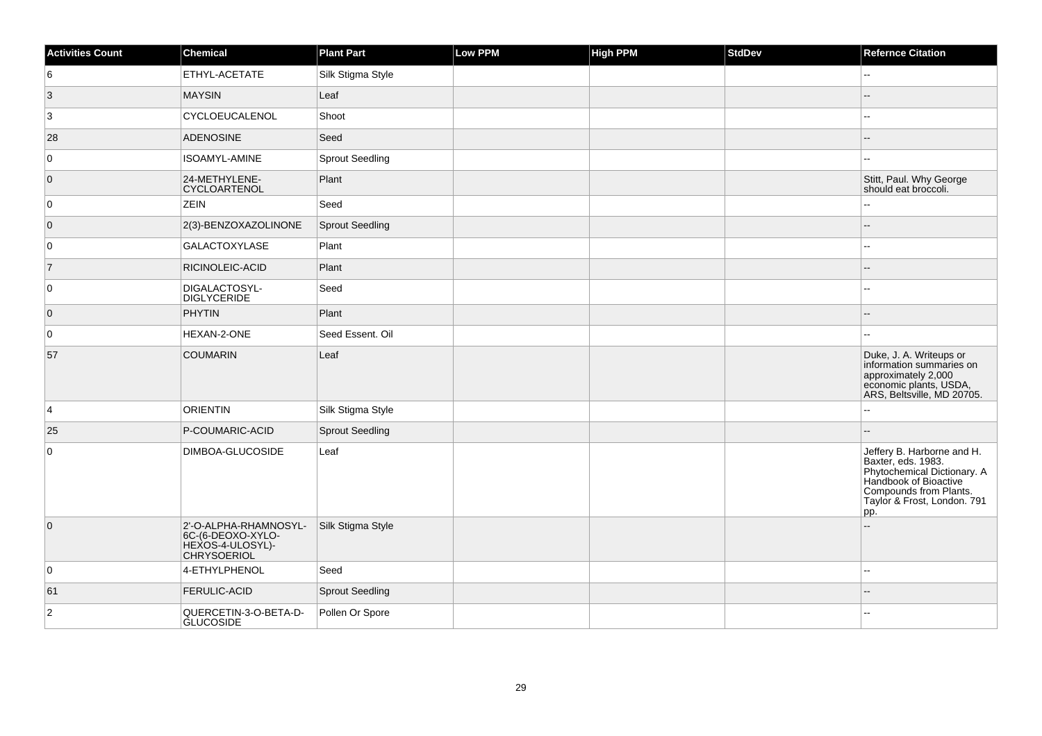| <b>Activities Count</b> | <b>Chemical</b>                                                                      | <b>Plant Part</b>      | <b>Low PPM</b> | <b>High PPM</b> | <b>StdDev</b> | <b>Refernce Citation</b>                                                                                                                                                 |
|-------------------------|--------------------------------------------------------------------------------------|------------------------|----------------|-----------------|---------------|--------------------------------------------------------------------------------------------------------------------------------------------------------------------------|
| 6                       | ETHYL-ACETATE                                                                        | Silk Stigma Style      |                |                 |               | $\overline{a}$                                                                                                                                                           |
| 3                       | <b>MAYSIN</b>                                                                        | Leaf                   |                |                 |               |                                                                                                                                                                          |
| $\mathbf{3}$            | CYCLOEUCALENOL                                                                       | Shoot                  |                |                 |               | ц,                                                                                                                                                                       |
| 28                      | <b>ADENOSINE</b>                                                                     | Seed                   |                |                 |               |                                                                                                                                                                          |
| 0                       | <b>ISOAMYL-AMINE</b>                                                                 | <b>Sprout Seedling</b> |                |                 |               |                                                                                                                                                                          |
| $\overline{0}$          | 24-METHYLENE-<br>CYCLOARTENOL                                                        | Plant                  |                |                 |               | Stitt, Paul. Why George<br>should eat broccoli.                                                                                                                          |
| 0                       | <b>ZEIN</b>                                                                          | Seed                   |                |                 |               |                                                                                                                                                                          |
| $\overline{0}$          | 2(3)-BENZOXAZOLINONE                                                                 | <b>Sprout Seedling</b> |                |                 |               |                                                                                                                                                                          |
| 0                       | <b>GALACTOXYLASE</b>                                                                 | Plant                  |                |                 |               | ц.                                                                                                                                                                       |
| $\overline{7}$          | RICINOLEIC-ACID                                                                      | Plant                  |                |                 |               |                                                                                                                                                                          |
| 0                       | DIGALACTOSYL-<br><b>DIGLYCERIDE</b>                                                  | Seed                   |                |                 |               | --                                                                                                                                                                       |
| 0                       | <b>PHYTIN</b>                                                                        | Plant                  |                |                 |               |                                                                                                                                                                          |
| $\mathbf 0$             | HEXAN-2-ONE                                                                          | Seed Essent. Oil       |                |                 |               | н.                                                                                                                                                                       |
| 57                      | <b>COUMARIN</b>                                                                      | Leaf                   |                |                 |               | Duke, J. A. Writeups or<br>information summaries on<br>approximately 2,000<br>economic plants, USDA,<br>ARS, Beltsville, MD 20705.                                       |
| 4                       | <b>ORIENTIN</b>                                                                      | Silk Stigma Style      |                |                 |               |                                                                                                                                                                          |
| 25                      | P-COUMARIC-ACID                                                                      | <b>Sprout Seedling</b> |                |                 |               |                                                                                                                                                                          |
| 0                       | DIMBOA-GLUCOSIDE                                                                     | Leaf                   |                |                 |               | Jeffery B. Harborne and H.<br>Baxter, eds. 1983.<br>Phytochemical Dictionary. A<br>Handbook of Bioactive<br>Compounds from Plants.<br>Taylor & Frost, London. 791<br>pp. |
| $\overline{0}$          | 2'-O-ALPHA-RHAMNOSYL-<br>6C-(6-DEOXO-XYLO-<br>HEXOS-4-ULOSYL)-<br><b>CHRYSOERIOL</b> | Silk Stigma Style      |                |                 |               |                                                                                                                                                                          |
| $\mathbf 0$             | 4-ETHYLPHENOL                                                                        | Seed                   |                |                 |               | н.                                                                                                                                                                       |
| 61                      | FERULIC-ACID                                                                         | Sprout Seedling        |                |                 |               |                                                                                                                                                                          |
| $\overline{c}$          | QUERCETIN-3-O-BETA-D-<br><b>GLUCOSIDE</b>                                            | Pollen Or Spore        |                |                 |               |                                                                                                                                                                          |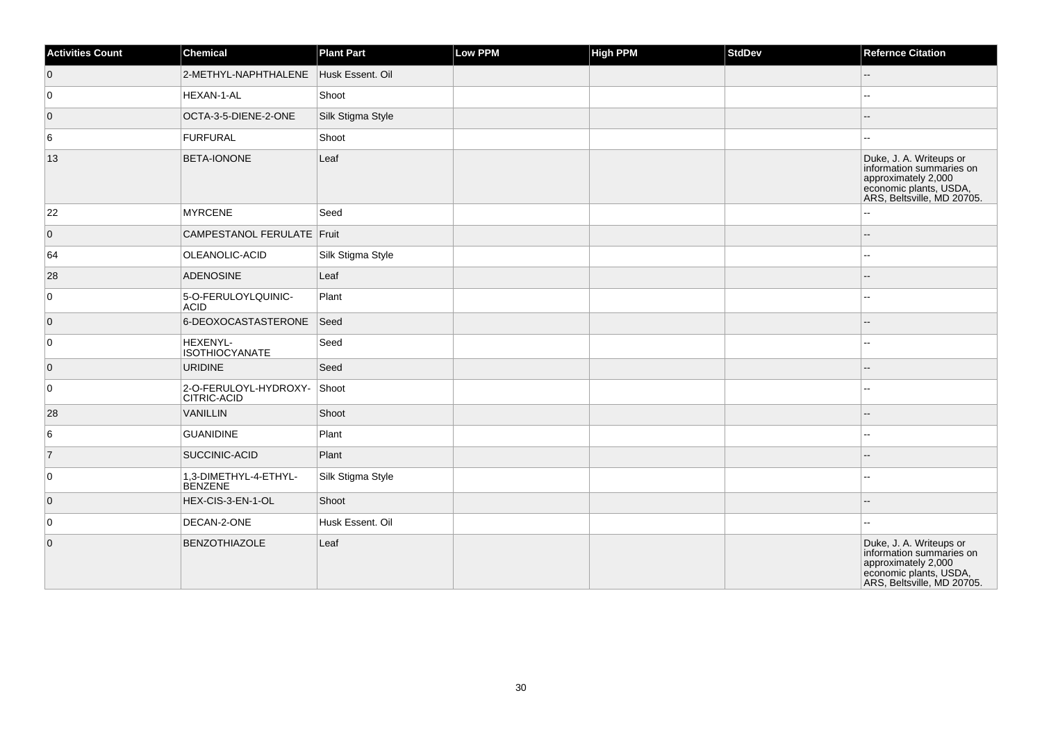| <b>Activities Count</b> | Chemical                                    | <b>Plant Part</b> | Low PPM | <b>High PPM</b> | StdDev | <b>Refernce Citation</b>                                                                                                           |
|-------------------------|---------------------------------------------|-------------------|---------|-----------------|--------|------------------------------------------------------------------------------------------------------------------------------------|
| $\overline{0}$          | 2-METHYL-NAPHTHALENE                        | Husk Essent. Oil  |         |                 |        | $\overline{\phantom{a}}$                                                                                                           |
| 0                       | HEXAN-1-AL                                  | Shoot             |         |                 |        | $\overline{a}$                                                                                                                     |
| $\overline{0}$          | OCTA-3-5-DIENE-2-ONE                        | Silk Stigma Style |         |                 |        | $- -$                                                                                                                              |
| 6                       | FURFURAL                                    | Shoot             |         |                 |        | $\overline{a}$                                                                                                                     |
| 13                      | <b>BETA-IONONE</b>                          | Leaf              |         |                 |        | Duke, J. A. Writeups or<br>information summaries on<br>approximately 2,000<br>economic plants, USDA,<br>ARS, Beltsville, MD 20705. |
| 22                      | <b>MYRCENE</b>                              | Seed              |         |                 |        | ۵.                                                                                                                                 |
| $\overline{0}$          | CAMPESTANOL FERULATE   Fruit                |                   |         |                 |        | $\overline{a}$                                                                                                                     |
| 64                      | OLEANOLIC-ACID                              | Silk Stigma Style |         |                 |        | ۵.                                                                                                                                 |
| 28                      | <b>ADENOSINE</b>                            | Leaf              |         |                 |        | $- -$                                                                                                                              |
| 0                       | 5-O-FERULOYLQUINIC-<br><b>ACID</b>          | Plant             |         |                 |        |                                                                                                                                    |
| $\overline{0}$          | 6-DEOXOCASTASTERONE                         | Seed              |         |                 |        | --                                                                                                                                 |
| 0                       | HEXENYL-<br><b>ISOTHIOCYANATE</b>           | Seed              |         |                 |        |                                                                                                                                    |
| $\overline{0}$          | <b>URIDINE</b>                              | Seed              |         |                 |        | $-$                                                                                                                                |
| $\overline{0}$          | 2-O-FERULOYL-HYDROXY-<br><b>CITRIC-ACID</b> | Shoot             |         |                 |        |                                                                                                                                    |
| 28                      | VANILLIN                                    | Shoot             |         |                 |        |                                                                                                                                    |
| 6                       | <b>GUANIDINE</b>                            | Plant             |         |                 |        | $\overline{a}$                                                                                                                     |
| $\overline{7}$          | <b>SUCCINIC-ACID</b>                        | Plant             |         |                 |        |                                                                                                                                    |
| $\overline{0}$          | 1,3-DIMETHYL-4-ETHYL-<br><b>BENZENE</b>     | Silk Stigma Style |         |                 |        | --                                                                                                                                 |
| $\overline{0}$          | HEX-CIS-3-EN-1-OL                           | Shoot             |         |                 |        |                                                                                                                                    |
| $\overline{0}$          | DECAN-2-ONE                                 | Husk Essent. Oil  |         |                 |        | --                                                                                                                                 |
| $\overline{0}$          | <b>BENZOTHIAZOLE</b>                        | Leaf              |         |                 |        | Duke, J. A. Writeups or<br>information summaries on<br>approximately 2,000<br>economic plants, USDA,<br>ARS, Beltsville, MD 20705. |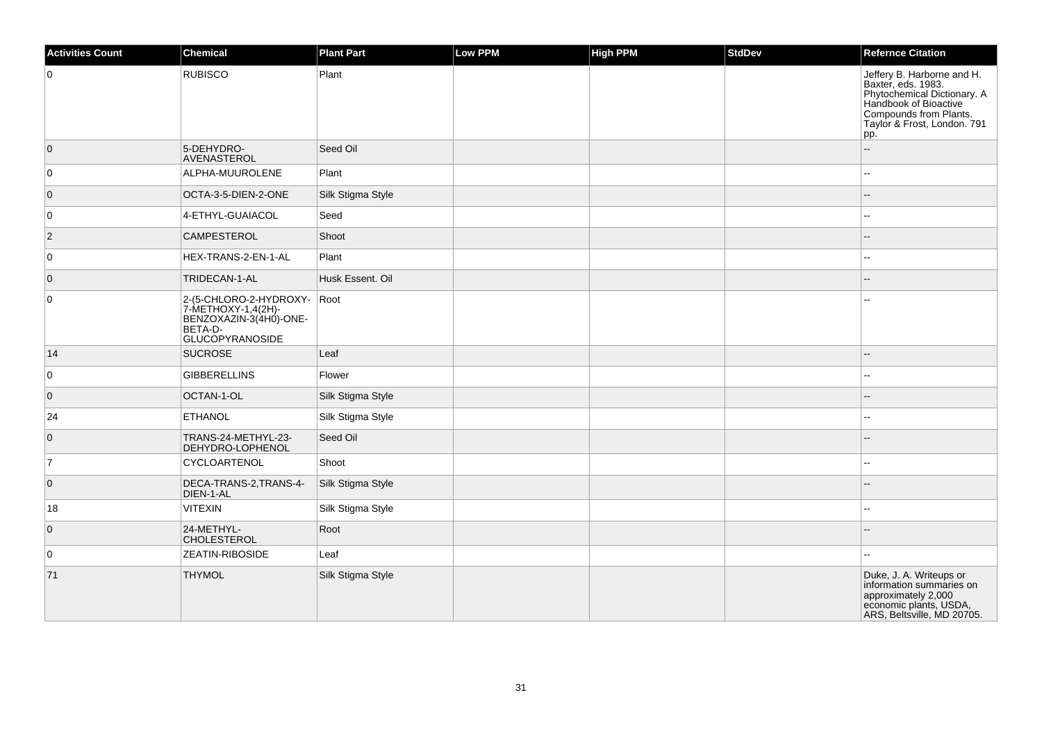| <b>Activities Count</b> | Chemical                                                                                                         | <b>Plant Part</b> | <b>Low PPM</b> | High PPM | <b>StdDev</b> | <b>Refernce Citation</b>                                                                                                                                                 |
|-------------------------|------------------------------------------------------------------------------------------------------------------|-------------------|----------------|----------|---------------|--------------------------------------------------------------------------------------------------------------------------------------------------------------------------|
| $\overline{0}$          | <b>RUBISCO</b>                                                                                                   | Plant             |                |          |               | Jeffery B. Harborne and H.<br>Baxter, eds. 1983.<br>Phytochemical Dictionary. A<br>Handbook of Bioactive<br>Compounds from Plants.<br>Taylor & Frost, London. 791<br>pp. |
| $\overline{0}$          | 5-DEHYDRO-<br>AVENASTEROL                                                                                        | Seed Oil          |                |          |               | ц.                                                                                                                                                                       |
| 0                       | ALPHA-MUUROLENE                                                                                                  | Plant             |                |          |               |                                                                                                                                                                          |
| $\overline{0}$          | OCTA-3-5-DIEN-2-ONE                                                                                              | Silk Stigma Style |                |          |               |                                                                                                                                                                          |
| 0                       | 4-ETHYL-GUAIACOL                                                                                                 | Seed              |                |          |               | $\overline{\phantom{a}}$                                                                                                                                                 |
| $\overline{2}$          | <b>CAMPESTEROL</b>                                                                                               | Shoot             |                |          |               |                                                                                                                                                                          |
| $\overline{0}$          | HEX-TRANS-2-EN-1-AL                                                                                              | Plant             |                |          |               |                                                                                                                                                                          |
| $\overline{0}$          | TRIDECAN-1-AL                                                                                                    | Husk Essent, Oil  |                |          |               |                                                                                                                                                                          |
| $\overline{0}$          | 2-(5-CHLORO-2-HYDROXY- Root<br>7-METHOXY-1,4(2H)-<br>BENZOXAZIN-3(4HÓ)-ONE-<br>BETA-D-<br><b>GLUCOPYRANOSIDE</b> |                   |                |          |               |                                                                                                                                                                          |
| 14                      | <b>SUCROSE</b>                                                                                                   | Leaf              |                |          |               |                                                                                                                                                                          |
| $\overline{0}$          | <b>GIBBERELLINS</b>                                                                                              | Flower            |                |          |               |                                                                                                                                                                          |
| $\overline{0}$          | OCTAN-1-OL                                                                                                       | Silk Stigma Style |                |          |               |                                                                                                                                                                          |
| 24                      | <b>ETHANOL</b>                                                                                                   | Silk Stigma Style |                |          |               | $\sim$                                                                                                                                                                   |
| $\overline{0}$          | TRANS-24-METHYL-23-<br>DEHYDRO-LOPHENOL                                                                          | Seed Oil          |                |          |               |                                                                                                                                                                          |
| 7                       | CYCLOARTENOL                                                                                                     | Shoot             |                |          |               | $\overline{\phantom{a}}$                                                                                                                                                 |
| $\overline{0}$          | DECA-TRANS-2, TRANS-4-<br>DIEN-1-AL                                                                              | Silk Stigma Style |                |          |               |                                                                                                                                                                          |
| 18                      | VITEXIN                                                                                                          | Silk Stigma Style |                |          |               | $\overline{\phantom{a}}$                                                                                                                                                 |
| $\overline{0}$          | 24-METHYL-<br><b>CHOLESTEROL</b>                                                                                 | Root              |                |          |               |                                                                                                                                                                          |
| 0                       | <b>ZEATIN-RIBOSIDE</b>                                                                                           | Leaf              |                |          |               |                                                                                                                                                                          |
| 71                      | <b>THYMOL</b>                                                                                                    | Silk Stigma Style |                |          |               | Duke, J. A. Writeups or<br>information summaries on<br>approximately 2,000<br>economic plants, USDA,<br>ARS, Beltsville, MD 20705.                                       |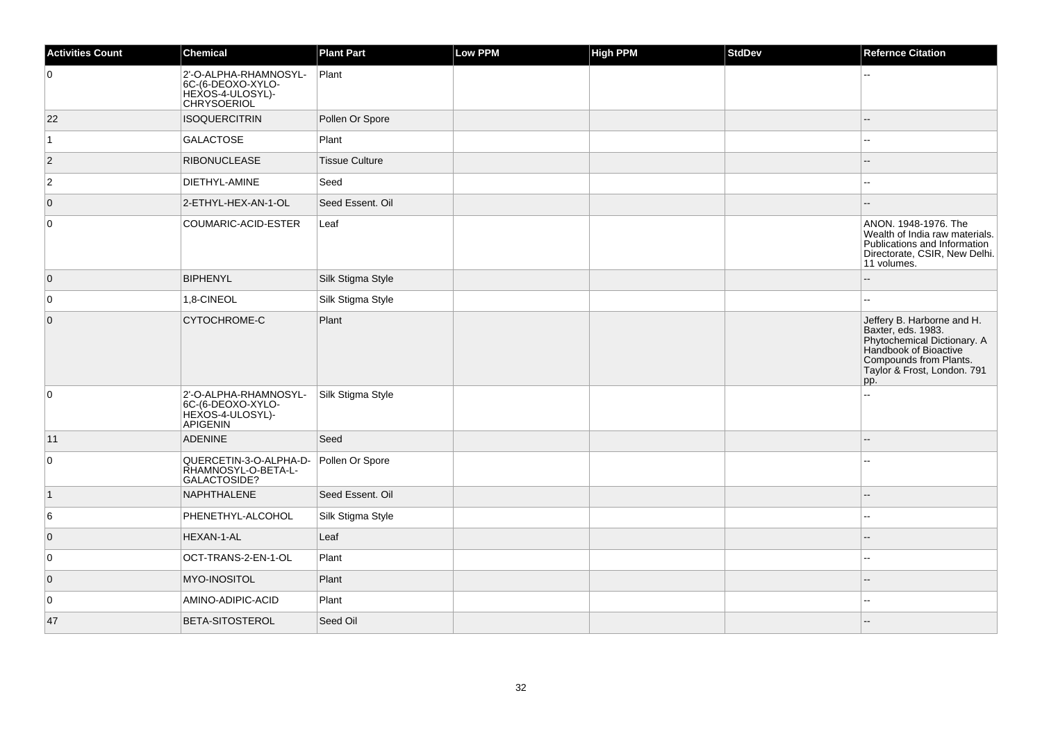| <b>Activities Count</b> | <b>Chemical</b>                                                                      | <b>Plant Part</b>     | <b>Low PPM</b> | High PPM | <b>StdDev</b> | <b>Refernce Citation</b>                                                                                                                                                 |
|-------------------------|--------------------------------------------------------------------------------------|-----------------------|----------------|----------|---------------|--------------------------------------------------------------------------------------------------------------------------------------------------------------------------|
| 0                       | 2'-O-ALPHA-RHAMNOSYL-<br>6C-(6-DEOXO-XYLO-<br>HEXOS-4-ULOSYL)-<br><b>CHRYSOERIOL</b> | Plant                 |                |          |               |                                                                                                                                                                          |
| 22                      | <b>ISOQUERCITRIN</b>                                                                 | Pollen Or Spore       |                |          |               |                                                                                                                                                                          |
| 1                       | <b>GALACTOSE</b>                                                                     | Plant                 |                |          |               |                                                                                                                                                                          |
| $\vert$ 2               | <b>RIBONUCLEASE</b>                                                                  | <b>Tissue Culture</b> |                |          |               |                                                                                                                                                                          |
| $\overline{2}$          | DIETHYL-AMINE                                                                        | Seed                  |                |          |               |                                                                                                                                                                          |
| $\overline{0}$          | 2-ETHYL-HEX-AN-1-OL                                                                  | Seed Essent. Oil      |                |          |               |                                                                                                                                                                          |
| $\overline{0}$          | COUMARIC-ACID-ESTER                                                                  | Leaf                  |                |          |               | ANON. 1948-1976. The<br>Wealth of India raw materials.<br>Publications and Information<br>Directorate, CSIR, New Delhi.<br>11 volumes.                                   |
| $\overline{0}$          | <b>BIPHENYL</b>                                                                      | Silk Stigma Style     |                |          |               | $\overline{a}$                                                                                                                                                           |
| 0                       | 1,8-CINEOL                                                                           | Silk Stigma Style     |                |          |               | $\sim$                                                                                                                                                                   |
| $\overline{0}$          | CYTOCHROME-C                                                                         | Plant                 |                |          |               | Jeffery B. Harborne and H.<br>Baxter, eds. 1983.<br>Phytochemical Dictionary. A<br>Handbook of Bioactive<br>Compounds from Plants.<br>Taylor & Frost, London. 791<br>pp. |
| $\overline{0}$          | 2'-O-ALPHA-RHAMNOSYL-<br>6C-(6-DEOXO-XYLO-<br>HEXOS-4-ULOSYL)-<br><b>APIGENIN</b>    | Silk Stigma Style     |                |          |               |                                                                                                                                                                          |
| 11                      | <b>ADENINE</b>                                                                       | Seed                  |                |          |               |                                                                                                                                                                          |
| $\overline{0}$          | QUERCETIN-3-O-ALPHA-D-<br>RHAMNOSYL-O-BETA-L-<br>GALACTOSIDE?                        | Pollen Or Spore       |                |          |               |                                                                                                                                                                          |
| $\vert$ 1               | NAPHTHALENE                                                                          | Seed Essent. Oil      |                |          |               |                                                                                                                                                                          |
| 6                       | PHENETHYL-ALCOHOL                                                                    | Silk Stigma Style     |                |          |               |                                                                                                                                                                          |
| $\overline{0}$          | HEXAN-1-AL                                                                           | Leaf                  |                |          |               |                                                                                                                                                                          |
| 0                       | OCT-TRANS-2-EN-1-OL                                                                  | Plant                 |                |          |               | $\overline{\phantom{a}}$                                                                                                                                                 |
| $\overline{0}$          | MYO-INOSITOL                                                                         | Plant                 |                |          |               |                                                                                                                                                                          |
| $\overline{0}$          | AMINO-ADIPIC-ACID                                                                    | Plant                 |                |          |               |                                                                                                                                                                          |
| 47                      | <b>BETA-SITOSTEROL</b>                                                               | Seed Oil              |                |          |               |                                                                                                                                                                          |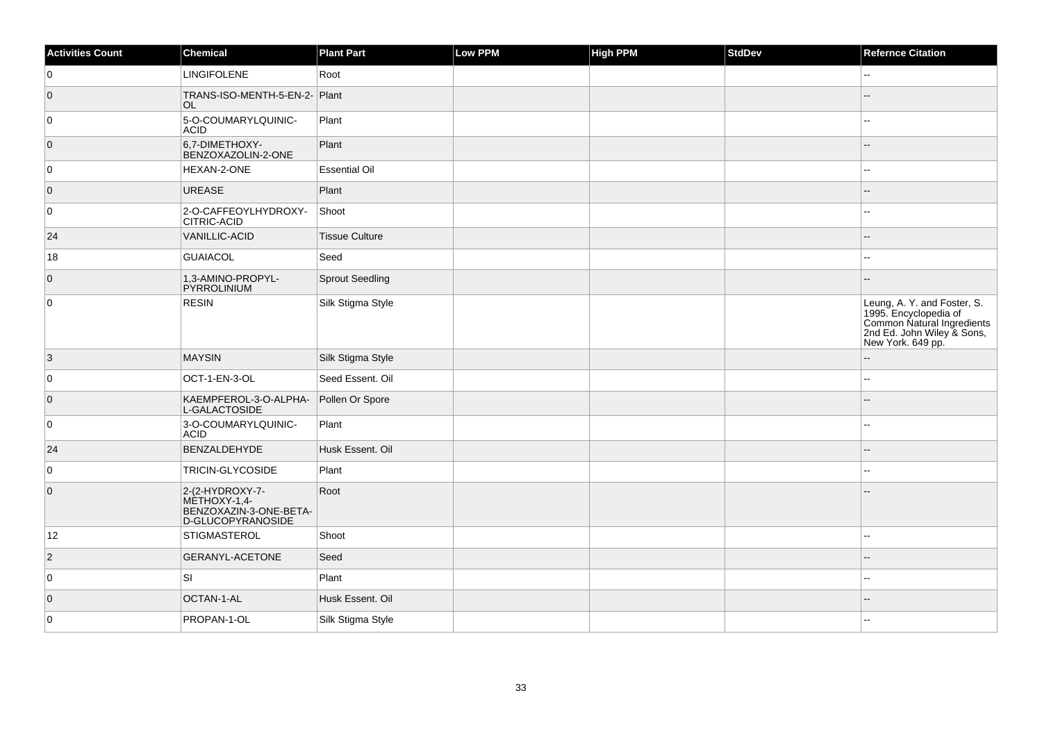| <b>Activities Count</b> | Chemical                                                                       | <b>Plant Part</b>     | Low PPM | <b>High PPM</b> | StdDev | <b>Refernce Citation</b>                                                                                                              |
|-------------------------|--------------------------------------------------------------------------------|-----------------------|---------|-----------------|--------|---------------------------------------------------------------------------------------------------------------------------------------|
| 0                       | <b>LINGIFOLENE</b>                                                             | Root                  |         |                 |        | Щ,                                                                                                                                    |
| $\overline{0}$          | TRANS-ISO-MENTH-5-EN-2- Plant<br>OL.                                           |                       |         |                 |        | $\overline{a}$                                                                                                                        |
| 0                       | 5-O-COUMARYLQUINIC-<br><b>ACID</b>                                             | Plant                 |         |                 |        |                                                                                                                                       |
| $\overline{0}$          | 6,7-DIMETHOXY-<br>BENZOXAZOLIN-2-ONE                                           | Plant                 |         |                 |        |                                                                                                                                       |
| 0                       | HEXAN-2-ONE                                                                    | <b>Essential Oil</b>  |         |                 |        | Щ,                                                                                                                                    |
| $\overline{0}$          | <b>UREASE</b>                                                                  | Plant                 |         |                 |        |                                                                                                                                       |
| 0                       | 2-O-CAFFEOYLHYDROXY-<br>CITRIC-ACID                                            | Shoot                 |         |                 |        | $\mathbf{u}$                                                                                                                          |
| 24                      | <b>VANILLIC-ACID</b>                                                           | <b>Tissue Culture</b> |         |                 |        | $-$                                                                                                                                   |
| 18                      | <b>GUAIACOL</b>                                                                | Seed                  |         |                 |        |                                                                                                                                       |
| $\overline{0}$          | 1,3-AMINO-PROPYL-<br>PYRROLINIUM                                               | Sprout Seedling       |         |                 |        |                                                                                                                                       |
| $\overline{0}$          | <b>RESIN</b>                                                                   | Silk Stigma Style     |         |                 |        | Leung, A. Y. and Foster, S.<br>1995. Encyclopedia of<br>Common Natural Ingredients<br>2nd Ed. John Wiley & Sons,<br>New York. 649 pp. |
| $\vert$ 3               | <b>MAYSIN</b>                                                                  | Silk Stigma Style     |         |                 |        | $\overline{a}$                                                                                                                        |
| 0                       | OCT-1-EN-3-OL                                                                  | Seed Essent. Oil      |         |                 |        | ۵.                                                                                                                                    |
| $\overline{0}$          | KAEMPFEROL-3-O-ALPHA-<br>L-GALACTOSIDE                                         | Pollen Or Spore       |         |                 |        |                                                                                                                                       |
| $\overline{0}$          | 3-O-COUMARYLQUINIC-<br><b>ACID</b>                                             | Plant                 |         |                 |        | $\sim$ $\sim$                                                                                                                         |
| 24                      | BENZALDEHYDE                                                                   | Husk Essent. Oil      |         |                 |        |                                                                                                                                       |
| $\overline{0}$          | <b>TRICIN-GLYCOSIDE</b>                                                        | Plant                 |         |                 |        |                                                                                                                                       |
| $\overline{0}$          | 2-(2-HYDROXY-7-<br>METHOXY-1,4-<br>BENZOXAZIN-3-ONE-BETA-<br>D-GLUCOPYRANOSIDE | Root                  |         |                 |        |                                                                                                                                       |
| 12                      | STIGMASTEROL                                                                   | Shoot                 |         |                 |        | Щ,                                                                                                                                    |
| $\vert$ 2               | GERANYL-ACETONE                                                                | Seed                  |         |                 |        |                                                                                                                                       |
| $\overline{0}$          | lsı                                                                            | Plant                 |         |                 |        | --                                                                                                                                    |
| $\overline{0}$          | OCTAN-1-AL                                                                     | Husk Essent. Oil      |         |                 |        |                                                                                                                                       |
| $\overline{0}$          | PROPAN-1-OL                                                                    | Silk Stigma Style     |         |                 |        | $\overline{a}$                                                                                                                        |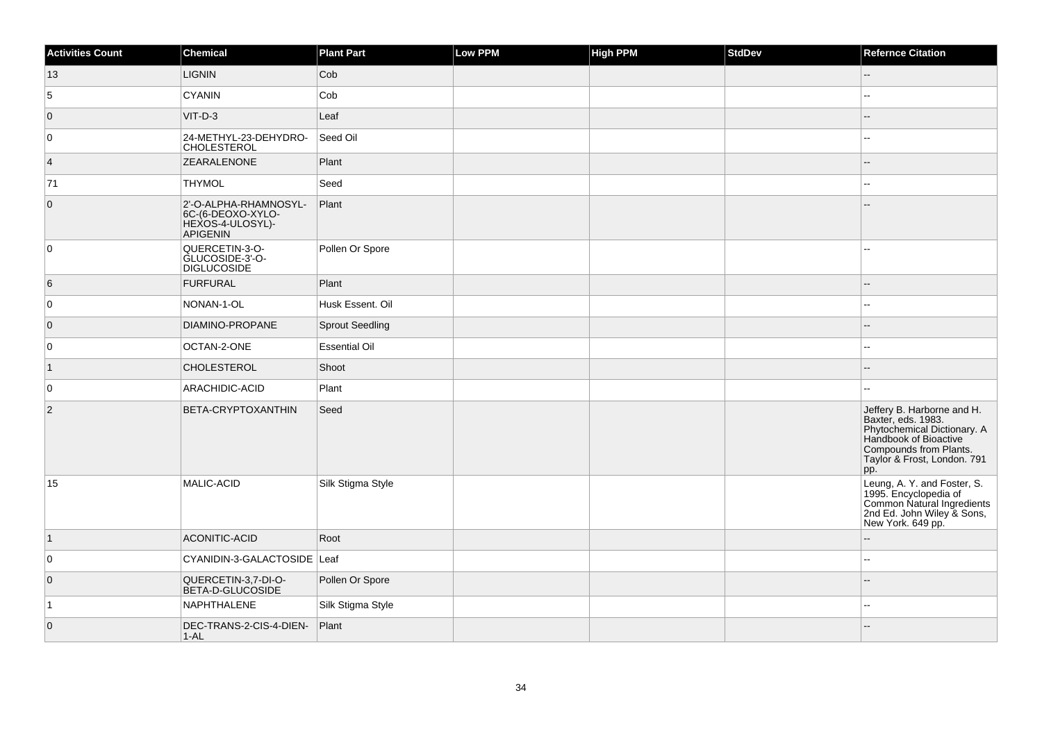| <b>Activities Count</b> | Chemical                                                                          | <b>Plant Part</b>      | Low PPM | <b>High PPM</b> | <b>StdDev</b> | <b>Refernce Citation</b>                                                                                                                                                 |
|-------------------------|-----------------------------------------------------------------------------------|------------------------|---------|-----------------|---------------|--------------------------------------------------------------------------------------------------------------------------------------------------------------------------|
| 13                      | <b>LIGNIN</b>                                                                     | Cob                    |         |                 |               |                                                                                                                                                                          |
| 5                       | <b>CYANIN</b>                                                                     | Cob                    |         |                 |               | Щ,                                                                                                                                                                       |
| $\overline{0}$          | $VIT-D-3$                                                                         | Leaf                   |         |                 |               | $=$                                                                                                                                                                      |
| 0                       | 24-METHYL-23-DEHYDRO-<br><b>CHOLESTEROL</b>                                       | Seed Oil               |         |                 |               | ۵.                                                                                                                                                                       |
| $\vert 4 \vert$         | <b>ZEARALENONE</b>                                                                | Plant                  |         |                 |               |                                                                                                                                                                          |
| 71                      | <b>THYMOL</b>                                                                     | Seed                   |         |                 |               | ۵.                                                                                                                                                                       |
| $\overline{0}$          | 2'-O-ALPHA-RHAMNOSYL-<br>6C-(6-DEOXO-XYLO-<br>HEXOS-4-ULOSYL)-<br><b>APIGENIN</b> | Plant                  |         |                 |               |                                                                                                                                                                          |
| 0                       | QUERCETIN-3-O-<br>GLUCOSIDE-3'-O-<br><b>DIGLUCOSIDE</b>                           | Pollen Or Spore        |         |                 |               |                                                                                                                                                                          |
| 6                       | <b>FURFURAL</b>                                                                   | Plant                  |         |                 |               | $-$                                                                                                                                                                      |
| 0                       | NONAN-1-OL                                                                        | Husk Essent. Oil       |         |                 |               | --                                                                                                                                                                       |
| $\overline{0}$          | DIAMINO-PROPANE                                                                   | <b>Sprout Seedling</b> |         |                 |               | --                                                                                                                                                                       |
| $\overline{0}$          | OCTAN-2-ONE                                                                       | <b>Essential Oil</b>   |         |                 |               | $\sim$ $\sim$                                                                                                                                                            |
| $\mathbf{1}$            | <b>CHOLESTEROL</b>                                                                | Shoot                  |         |                 |               |                                                                                                                                                                          |
| 0                       | ARACHIDIC-ACID                                                                    | Plant                  |         |                 |               | 44                                                                                                                                                                       |
| $\overline{2}$          | BETA-CRYPTOXANTHIN                                                                | Seed                   |         |                 |               | Jeffery B. Harborne and H.<br>Baxter, eds. 1983.<br>Phytochemical Dictionary. A<br>Handbook of Bioactive<br>Compounds from Plants.<br>Taylor & Frost, London. 791<br>pp. |
| 15                      | MALIC-ACID                                                                        | Silk Stigma Style      |         |                 |               | Leung, A. Y. and Foster, S.<br>1995. Encyclopedia of<br>Common Natural Ingredients<br>2nd Ed. John Wiley & Sons,<br>New York. 649 pp.                                    |
| $\vert$ 1               | ACONITIC-ACID                                                                     | Root                   |         |                 |               |                                                                                                                                                                          |
| 0                       | CYANIDIN-3-GALACTOSIDE Leaf                                                       |                        |         |                 |               |                                                                                                                                                                          |
| $\overline{0}$          | QUERCETIN-3,7-DI-O-<br>BETA-D-GLUCOSIDE                                           | Pollen Or Spore        |         |                 |               |                                                                                                                                                                          |
| 1                       | NAPHTHALENE                                                                       | Silk Stigma Style      |         |                 |               |                                                                                                                                                                          |
| $\overline{0}$          | DEC-TRANS-2-CIS-4-DIEN-<br>$1 - AL$                                               | Plant                  |         |                 |               |                                                                                                                                                                          |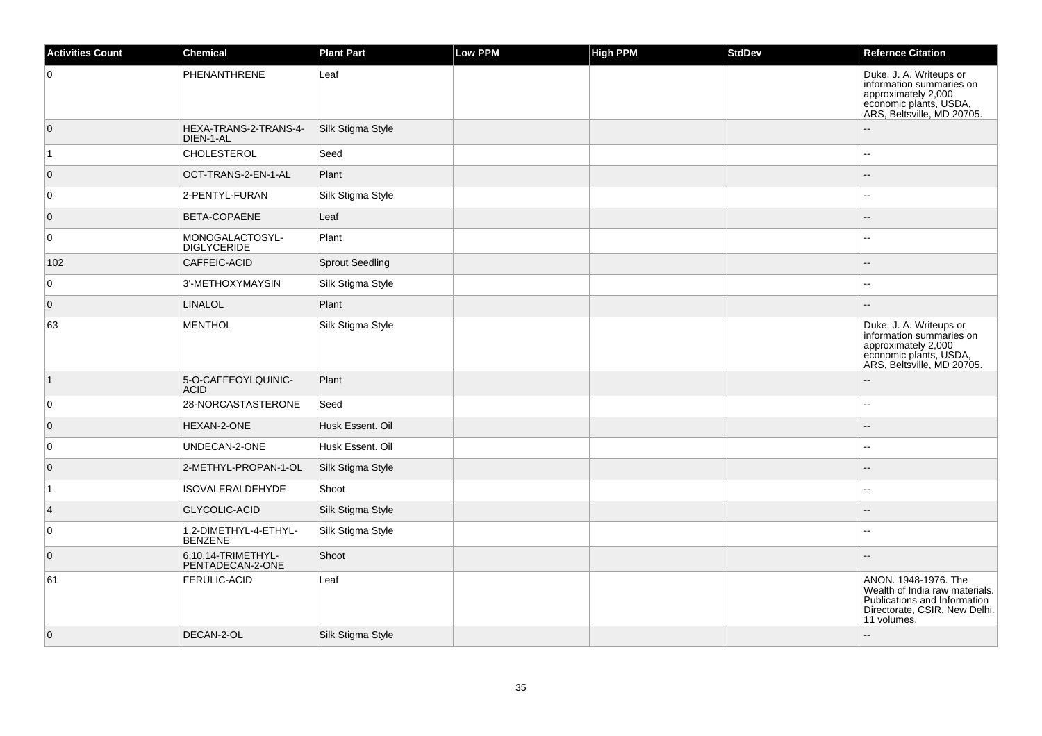| <b>Activities Count</b> | <b>Chemical</b>                         | <b>Plant Part</b>      | Low PPM | <b>High PPM</b> | <b>StdDev</b> | <b>Refernce Citation</b>                                                                                                               |
|-------------------------|-----------------------------------------|------------------------|---------|-----------------|---------------|----------------------------------------------------------------------------------------------------------------------------------------|
| 0                       | PHENANTHRENE                            | Leaf                   |         |                 |               | Duke, J. A. Writeups or<br>information summaries on<br>approximately 2,000<br>economic plants, USDA,<br>ARS, Beltsville, MD 20705.     |
| $\overline{0}$          | HEXA-TRANS-2-TRANS-4-<br>DIEN-1-AL      | Silk Stigma Style      |         |                 |               |                                                                                                                                        |
| $\overline{1}$          | <b>CHOLESTEROL</b>                      | Seed                   |         |                 |               |                                                                                                                                        |
| $\overline{0}$          | OCT-TRANS-2-EN-1-AL                     | Plant                  |         |                 |               |                                                                                                                                        |
| 0                       | 2-PENTYL-FURAN                          | Silk Stigma Style      |         |                 |               | $-$                                                                                                                                    |
| $\overline{0}$          | BETA-COPAENE                            | Leaf                   |         |                 |               |                                                                                                                                        |
| 0                       | MONOGALACTOSYL-<br><b>DIGLYCERIDE</b>   | Plant                  |         |                 |               |                                                                                                                                        |
| 102                     | CAFFEIC-ACID                            | <b>Sprout Seedling</b> |         |                 |               |                                                                                                                                        |
| 0                       | 3'-METHOXYMAYSIN                        | Silk Stigma Style      |         |                 |               |                                                                                                                                        |
| $\overline{0}$          | <b>LINALOL</b>                          | Plant                  |         |                 |               | $-$                                                                                                                                    |
| 63                      | <b>MENTHOL</b>                          | Silk Stigma Style      |         |                 |               | Duke, J. A. Writeups or<br>information summaries on<br>approximately 2,000<br>economic plants, USDA,<br>ARS, Beltsville, MD 20705.     |
| $\overline{1}$          | 5-O-CAFFEOYLQUINIC-<br><b>ACID</b>      | Plant                  |         |                 |               | $-$                                                                                                                                    |
| 0                       | 28-NORCASTASTERONE                      | Seed                   |         |                 |               |                                                                                                                                        |
| $\overline{0}$          | HEXAN-2-ONE                             | Husk Essent. Oil       |         |                 |               |                                                                                                                                        |
| 0                       | UNDECAN-2-ONE                           | Husk Essent. Oil       |         |                 |               | $-$                                                                                                                                    |
| $\overline{0}$          | 2-METHYL-PROPAN-1-OL                    | Silk Stigma Style      |         |                 |               |                                                                                                                                        |
| $\overline{1}$          | <b>ISOVALERALDEHYDE</b>                 | Shoot                  |         |                 |               |                                                                                                                                        |
| $\vert 4 \vert$         | GLYCOLIC-ACID                           | Silk Stigma Style      |         |                 |               |                                                                                                                                        |
| 0                       | 1,2-DIMETHYL-4-ETHYL-<br><b>BENZENE</b> | Silk Stigma Style      |         |                 |               |                                                                                                                                        |
| $\overline{0}$          | 6,10,14-TRIMETHYL-<br>PENTADECAN-2-ONE  | Shoot                  |         |                 |               | $\sim$                                                                                                                                 |
| 61                      | <b>FERULIC-ACID</b>                     | Leaf                   |         |                 |               | ANON. 1948-1976. The<br>Wealth of India raw materials.<br>Publications and Information<br>Directorate, CSIR, New Delhi.<br>11 volumes. |
| $\overline{0}$          | DECAN-2-OL                              | Silk Stigma Style      |         |                 |               | $-$                                                                                                                                    |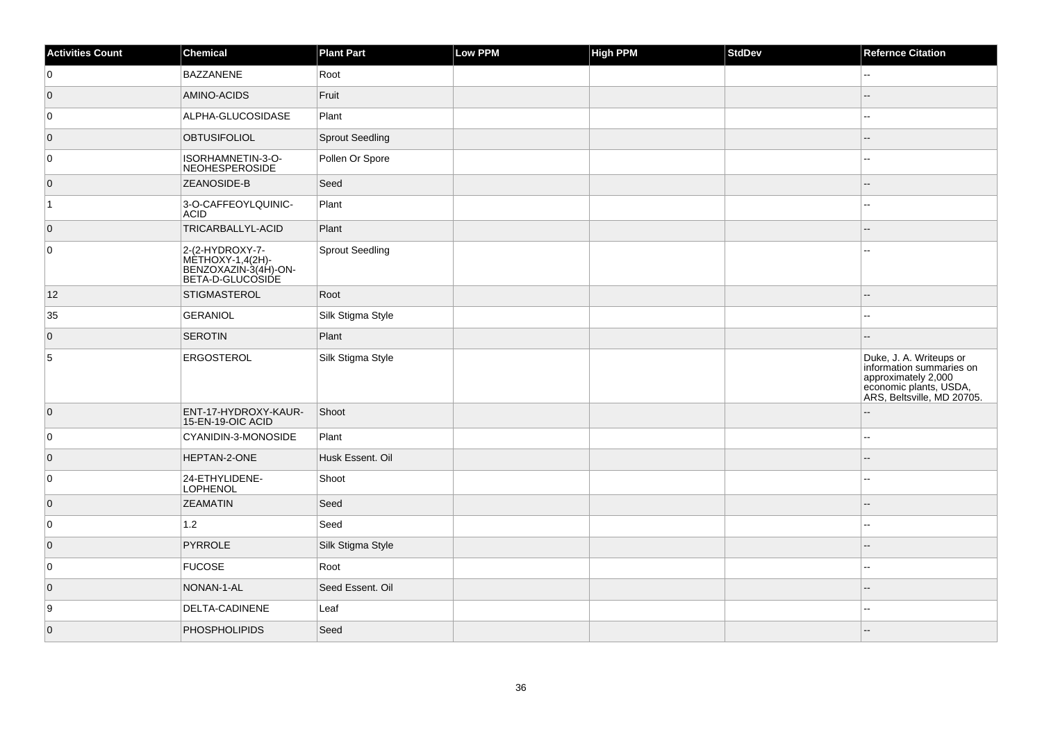| <b>Activities Count</b> | Chemical                                                                         | <b>Plant Part</b> | Low PPM | <b>High PPM</b> | StdDev | <b>Refernce Citation</b>                                                                                                           |
|-------------------------|----------------------------------------------------------------------------------|-------------------|---------|-----------------|--------|------------------------------------------------------------------------------------------------------------------------------------|
| 0                       | BAZZANENE                                                                        | Root              |         |                 |        | $\sim$                                                                                                                             |
| $\overline{0}$          | AMINO-ACIDS                                                                      | Fruit             |         |                 |        | Ξ.                                                                                                                                 |
| 0                       | ALPHA-GLUCOSIDASE                                                                | Plant             |         |                 |        | $\sim$                                                                                                                             |
| $\overline{0}$          | <b>OBTUSIFOLIOL</b>                                                              | Sprout Seedling   |         |                 |        |                                                                                                                                    |
| 0                       | ISORHAMNETIN-3-O-<br>NEOHESPEROSIDE                                              | Pollen Or Spore   |         |                 |        | --                                                                                                                                 |
| $\overline{0}$          | <b>ZEANOSIDE-B</b>                                                               | Seed              |         |                 |        |                                                                                                                                    |
| $\vert$ 1               | 3-O-CAFFEOYLQUINIC-<br><b>ACID</b>                                               | Plant             |         |                 |        | --                                                                                                                                 |
| $\overline{0}$          | TRICARBALLYL-ACID                                                                | Plant             |         |                 |        |                                                                                                                                    |
| 0                       | 2-(2-HYDROXY-7-<br> MÈTHOXY-1,4(2H)-<br>BENZOXAZIN-3(4H)-ON-<br>BETA-D-GLUCOSIDE | Sprout Seedling   |         |                 |        |                                                                                                                                    |
| 12                      | <b>STIGMASTEROL</b>                                                              | Root              |         |                 |        |                                                                                                                                    |
| 35                      | GERANIOL                                                                         | Silk Stigma Style |         |                 |        |                                                                                                                                    |
| $\overline{0}$          | <b>SEROTIN</b>                                                                   | Plant             |         |                 |        |                                                                                                                                    |
| $\overline{5}$          | ERGOSTEROL                                                                       | Silk Stigma Style |         |                 |        | Duke, J. A. Writeups or<br>information summaries on<br>approximately 2,000<br>economic plants, USDA,<br>ARS, Beltsville, MD 20705. |
| $\overline{0}$          | ENT-17-HYDROXY-KAUR-<br>15-EN-19-OIC ACID                                        | Shoot             |         |                 |        | --                                                                                                                                 |
| 0                       | CYANIDIN-3-MONOSIDE                                                              | Plant             |         |                 |        | ۵.                                                                                                                                 |
| $\overline{0}$          | HEPTAN-2-ONE                                                                     | Husk Essent. Oil  |         |                 |        | $-$                                                                                                                                |
| 0                       | 24-ETHYLIDENE-<br><b>LOPHENOL</b>                                                | Shoot             |         |                 |        | --                                                                                                                                 |
| $\overline{0}$          | <b>ZEAMATIN</b>                                                                  | Seed              |         |                 |        |                                                                                                                                    |
| 0                       | 1.2                                                                              | Seed              |         |                 |        | $\sim$                                                                                                                             |
| $\overline{0}$          | PYRROLE                                                                          | Silk Stigma Style |         |                 |        |                                                                                                                                    |
| 0                       | <b>FUCOSE</b>                                                                    | Root              |         |                 |        | --                                                                                                                                 |
| $\overline{0}$          | NONAN-1-AL                                                                       | Seed Essent. Oil  |         |                 |        |                                                                                                                                    |
| 9                       | DELTA-CADINENE                                                                   | Leaf              |         |                 |        | $\overline{a}$                                                                                                                     |
| $\overline{0}$          | PHOSPHOLIPIDS                                                                    | Seed              |         |                 |        |                                                                                                                                    |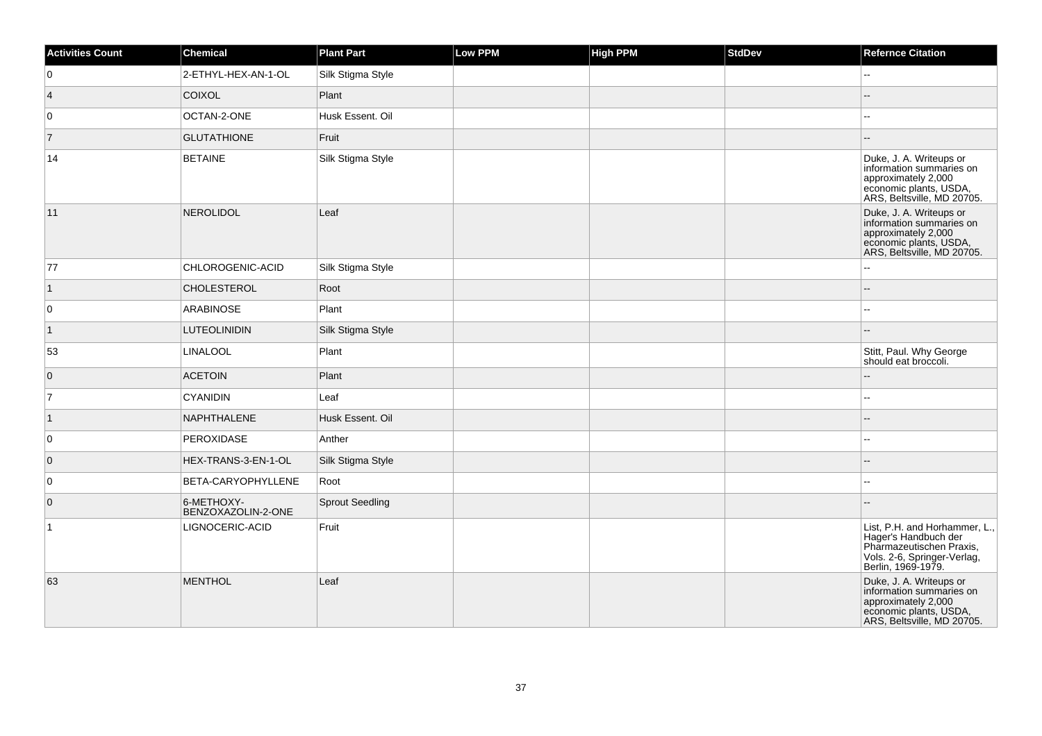| <b>Activities Count</b> | Chemical                         | <b>Plant Part</b>      | Low PPM | <b>High PPM</b> | <b>StdDev</b> | <b>Refernce Citation</b>                                                                                                               |
|-------------------------|----------------------------------|------------------------|---------|-----------------|---------------|----------------------------------------------------------------------------------------------------------------------------------------|
| $\overline{0}$          | 2-ETHYL-HEX-AN-1-OL              | Silk Stigma Style      |         |                 |               | Ξ.                                                                                                                                     |
| $\vert 4 \vert$         | <b>COIXOL</b>                    | Plant                  |         |                 |               |                                                                                                                                        |
| 0                       | OCTAN-2-ONE                      | Husk Essent. Oil       |         |                 |               | --                                                                                                                                     |
| $\vert$ 7               | <b>GLUTATHIONE</b>               | Fruit                  |         |                 |               |                                                                                                                                        |
| 14                      | <b>BETAINE</b>                   | Silk Stigma Style      |         |                 |               | Duke, J. A. Writeups or<br>information summaries on<br>approximately 2,000<br>economic plants, USDA,<br>ARS, Beltsville, MD 20705.     |
| 11                      | <b>NEROLIDOL</b>                 | Leaf                   |         |                 |               | Duke, J. A. Writeups or<br>information summaries on<br>approximately 2,000<br>economic plants, USDA,<br>ARS, Beltsville, MD 20705.     |
| 77                      | CHLOROGENIC-ACID                 | Silk Stigma Style      |         |                 |               |                                                                                                                                        |
| $\vert$ 1               | <b>CHOLESTEROL</b>               | Root                   |         |                 |               |                                                                                                                                        |
| $\overline{0}$          | ARABINOSE                        | Plant                  |         |                 |               | --                                                                                                                                     |
| $\vert$ 1               | <b>LUTEOLINIDIN</b>              | Silk Stigma Style      |         |                 |               |                                                                                                                                        |
| 53                      | <b>LINALOOL</b>                  | Plant                  |         |                 |               | Stitt, Paul. Why George<br>should eat broccoli.                                                                                        |
| $\overline{0}$          | <b>ACETOIN</b>                   | Plant                  |         |                 |               |                                                                                                                                        |
| 17                      | <b>CYANIDIN</b>                  | Leaf                   |         |                 |               |                                                                                                                                        |
| $\vert$ 1               | NAPHTHALENE                      | Husk Essent. Oil       |         |                 |               |                                                                                                                                        |
| $\overline{0}$          | PEROXIDASE                       | Anther                 |         |                 |               |                                                                                                                                        |
| $\overline{0}$          | HEX-TRANS-3-EN-1-OL              | Silk Stigma Style      |         |                 |               |                                                                                                                                        |
| 0                       | BETA-CARYOPHYLLENE               | Root                   |         |                 |               | --                                                                                                                                     |
| $\overline{0}$          | 6-METHOXY-<br>BENZOXAZOLIN-2-ONE | <b>Sprout Seedling</b> |         |                 |               |                                                                                                                                        |
| $\vert$ 1               | LIGNOCERIC-ACID                  | Fruit                  |         |                 |               | List, P.H. and Horhammer, L.,<br>Hager's Handbuch der<br>Pharmazeutischen Praxis,<br>Vols. 2-6, Springer-Verlag,<br>Berlin, 1969-1979. |
| 63                      | <b>MENTHOL</b>                   | Leaf                   |         |                 |               | Duke, J. A. Writeups or<br>information summaries on<br>approximately 2,000<br>economic plants, USDA,<br>ARS, Beltsville, MD 20705.     |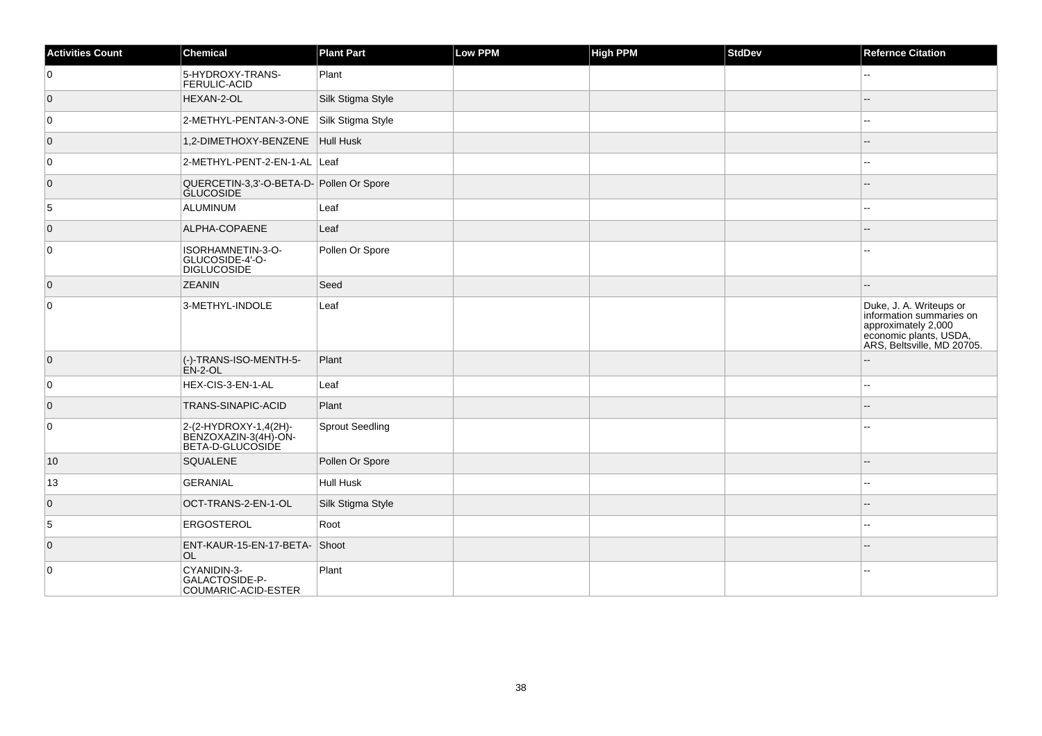| <b>Activities Count</b> | Chemical                                                          | <b>Plant Part</b> | Low PPM | <b>High PPM</b> | StdDev | <b>Refernce Citation</b>                                                                                                           |
|-------------------------|-------------------------------------------------------------------|-------------------|---------|-----------------|--------|------------------------------------------------------------------------------------------------------------------------------------|
| 0                       | 5-HYDROXY-TRANS-<br><b>FERULIC-ACID</b>                           | Plant             |         |                 |        | ÷÷.                                                                                                                                |
| $\overline{0}$          | HEXAN-2-OL                                                        | Silk Stigma Style |         |                 |        | $-$                                                                                                                                |
| 0                       | 2-METHYL-PENTAN-3-ONE                                             | Silk Stigma Style |         |                 |        | $\mathbf{u}$                                                                                                                       |
| $\overline{0}$          | 1,2-DIMETHOXY-BENZENE   Hull Husk                                 |                   |         |                 |        |                                                                                                                                    |
| 0                       | 2-METHYL-PENT-2-EN-1-AL Leaf                                      |                   |         |                 |        | $-1$                                                                                                                               |
| $\overline{0}$          | QUERCETIN-3,3'-O-BETA-D-<br>GLUCOSIDE                             |                   |         |                 |        |                                                                                                                                    |
| 5                       | ALUMINUM                                                          | Leaf              |         |                 |        | $-1$                                                                                                                               |
| $\overline{0}$          | ALPHA-COPAENE                                                     | Leaf              |         |                 |        |                                                                                                                                    |
| 0                       | ISORHAMNETIN-3-O-<br>GLUCOSIDE-4'-O-<br><b>DIGLUCOSIDE</b>        | Pollen Or Spore   |         |                 |        |                                                                                                                                    |
| $\overline{0}$          | <b>ZEANIN</b>                                                     | Seed              |         |                 |        |                                                                                                                                    |
| $\overline{0}$          | 3-METHYL-INDOLE                                                   | Leaf              |         |                 |        | Duke, J. A. Writeups or<br>information summaries on<br>approximately 2,000<br>economic plants, USDA,<br>ARS, Beltsville, MD 20705. |
| $\overline{0}$          | (-)-TRANS-ISO-MENTH-5-<br>ÈN-2-OL                                 | Plant             |         |                 |        |                                                                                                                                    |
| $\overline{0}$          | HEX-CIS-3-EN-1-AL                                                 | Leaf              |         |                 |        | $\overline{a}$                                                                                                                     |
| $\overline{0}$          | <b>TRANS-SINAPIC-ACID</b>                                         | Plant             |         |                 |        |                                                                                                                                    |
| 0                       | 2-(2-HYDROXY-1,4(2H)-<br>BENZOXAZIN-3(4H)-ON-<br>BETA-D-GLUCOSIDE | Sprout Seedling   |         |                 |        |                                                                                                                                    |
| 10                      | SQUALENE                                                          | Pollen Or Spore   |         |                 |        |                                                                                                                                    |
| 13                      | GERANIAL                                                          | Hull Husk         |         |                 |        | $\overline{a}$                                                                                                                     |
| $\overline{0}$          | OCT-TRANS-2-EN-1-OL                                               | Silk Stigma Style |         |                 |        |                                                                                                                                    |
| 5                       | <b>ERGOSTEROL</b>                                                 | Root              |         |                 |        |                                                                                                                                    |
| $\overline{0}$          | ENT-KAUR-15-EN-17-BETA- Shoot<br>OL.                              |                   |         |                 |        |                                                                                                                                    |
| 0                       | CYANIDIN-3-<br>GALACTOSIDE-P-<br>COUMARIC-ACID-ESTER              | Plant             |         |                 |        |                                                                                                                                    |